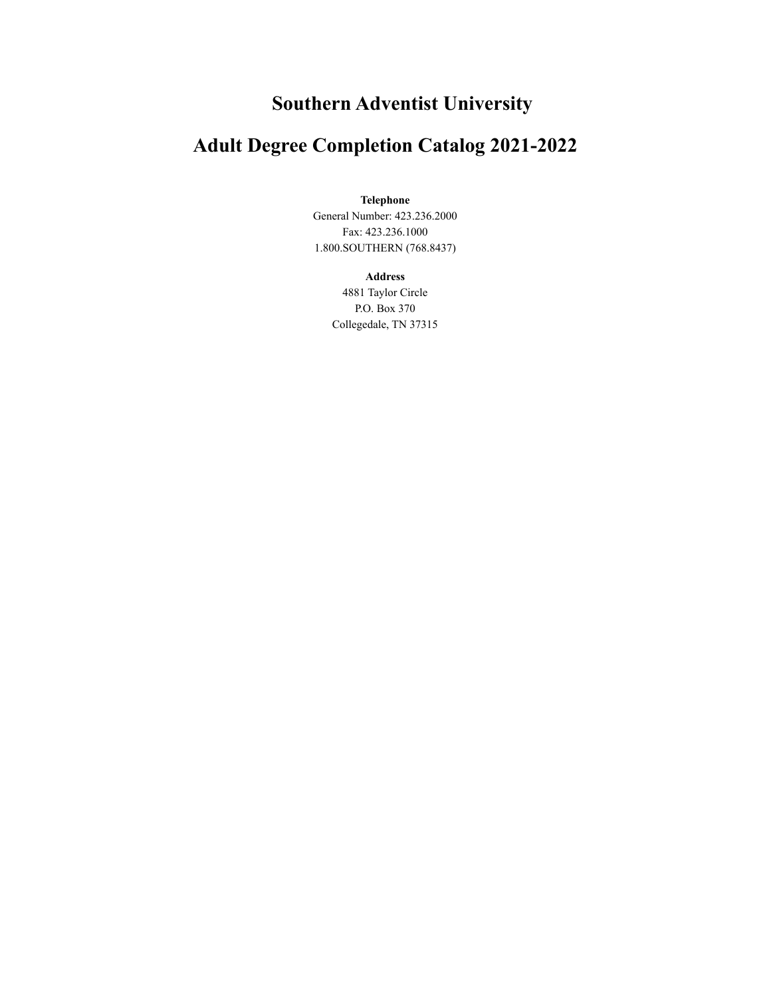## **Southern Adventist University**

## **Adult Degree Completion Catalog 2021-2022**

#### **Telephone**

General Number: 423.236.2000 Fax: 423.236.1000 1.800.SOUTHERN (768.8437)

#### **Address**

4881 Taylor Circle P.O. Box 370 Collegedale, TN 37315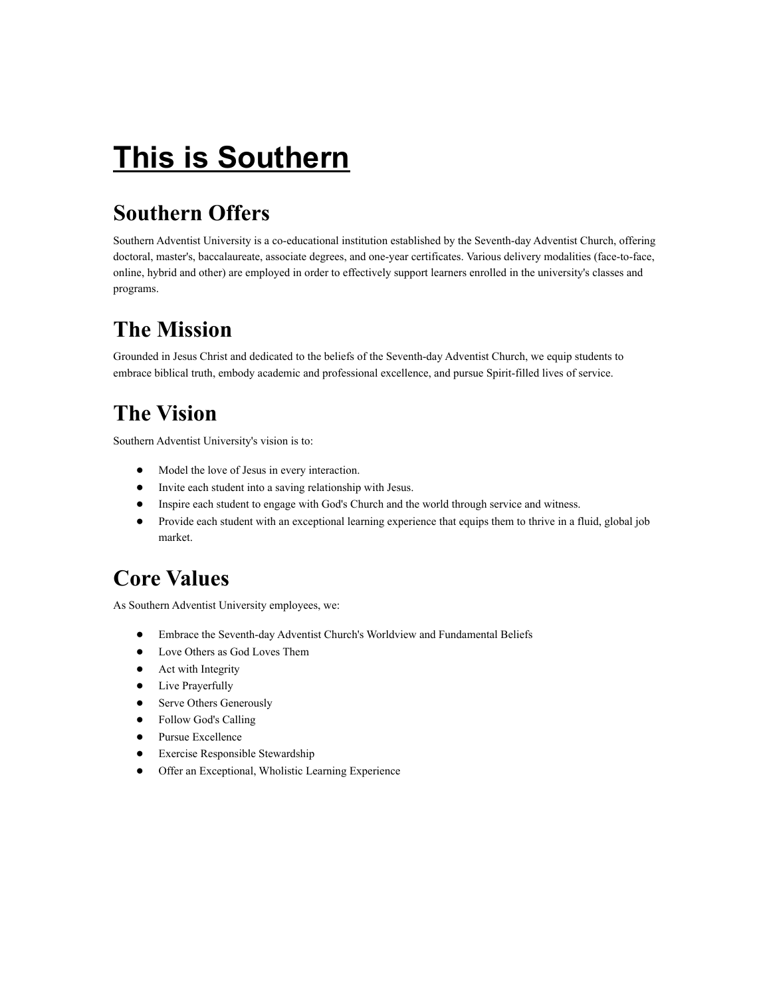# **This is Southern**

# **Southern Offers**

Southern Adventist University is a co-educational institution established by the Seventh-day Adventist Church, offering doctoral, master's, baccalaureate, associate degrees, and one-year certificates. Various delivery modalities (face-to-face, online, hybrid and other) are employed in order to effectively support learners enrolled in the university's classes and programs.

# **The Mission**

Grounded in Jesus Christ and dedicated to the beliefs of the Seventh-day Adventist Church, we equip students to embrace biblical truth, embody academic and professional excellence, and pursue Spirit-filled lives of service.

# **The Vision**

Southern Adventist University's vision is to:

- Model the love of Jesus in every interaction.
- Invite each student into a saving relationship with Jesus.
- Inspire each student to engage with God's Church and the world through service and witness.
- Provide each student with an exceptional learning experience that equips them to thrive in a fluid, global job market.

# **Core Values**

As Southern Adventist University employees, we:

- Embrace the Seventh-day Adventist Church's Worldview and Fundamental Beliefs
- Love Others as God Loves Them
- Act with Integrity
- Live Prayerfully
- Serve Others Generously
- Follow God's Calling
- Pursue Excellence
- Exercise Responsible Stewardship
- Offer an Exceptional, Wholistic Learning Experience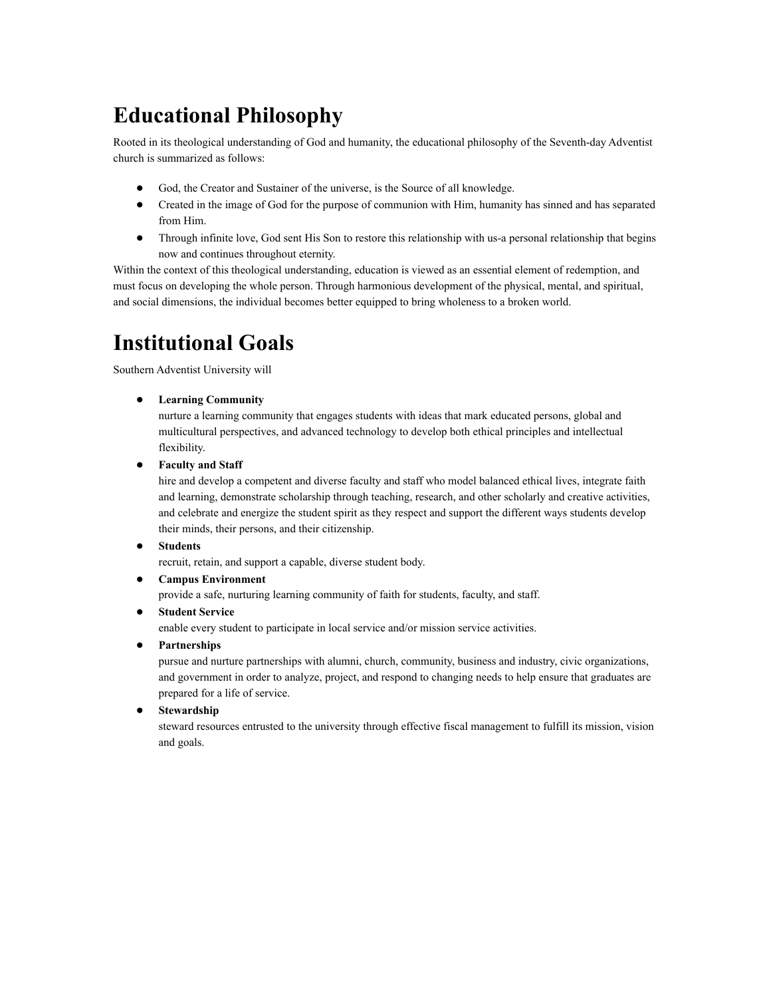## **Educational Philosophy**

Rooted in its theological understanding of God and humanity, the educational philosophy of the Seventh-day Adventist church is summarized as follows:

- God, the Creator and Sustainer of the universe, is the Source of all knowledge.
- Created in the image of God for the purpose of communion with Him, humanity has sinned and has separated from Him.
- Through infinite love, God sent His Son to restore this relationship with us-a personal relationship that begins now and continues throughout eternity.

Within the context of this theological understanding, education is viewed as an essential element of redemption, and must focus on developing the whole person. Through harmonious development of the physical, mental, and spiritual, and social dimensions, the individual becomes better equipped to bring wholeness to a broken world.

# **Institutional Goals**

Southern Adventist University will

● **Learning Community**

nurture a learning community that engages students with ideas that mark educated persons, global and multicultural perspectives, and advanced technology to develop both ethical principles and intellectual flexibility.

● **Faculty and Staff**

hire and develop a competent and diverse faculty and staff who model balanced ethical lives, integrate faith and learning, demonstrate scholarship through teaching, research, and other scholarly and creative activities, and celebrate and energize the student spirit as they respect and support the different ways students develop their minds, their persons, and their citizenship.

● **Students**

recruit, retain, and support a capable, diverse student body.

● **Campus Environment**

provide a safe, nurturing learning community of faith for students, faculty, and staff.

● **Student Service**

enable every student to participate in local service and/or mission service activities.

● **Partnerships**

pursue and nurture partnerships with alumni, church, community, business and industry, civic organizations, and government in order to analyze, project, and respond to changing needs to help ensure that graduates are prepared for a life of service.

● **Stewardship**

steward resources entrusted to the university through effective fiscal management to fulfill its mission, vision and goals.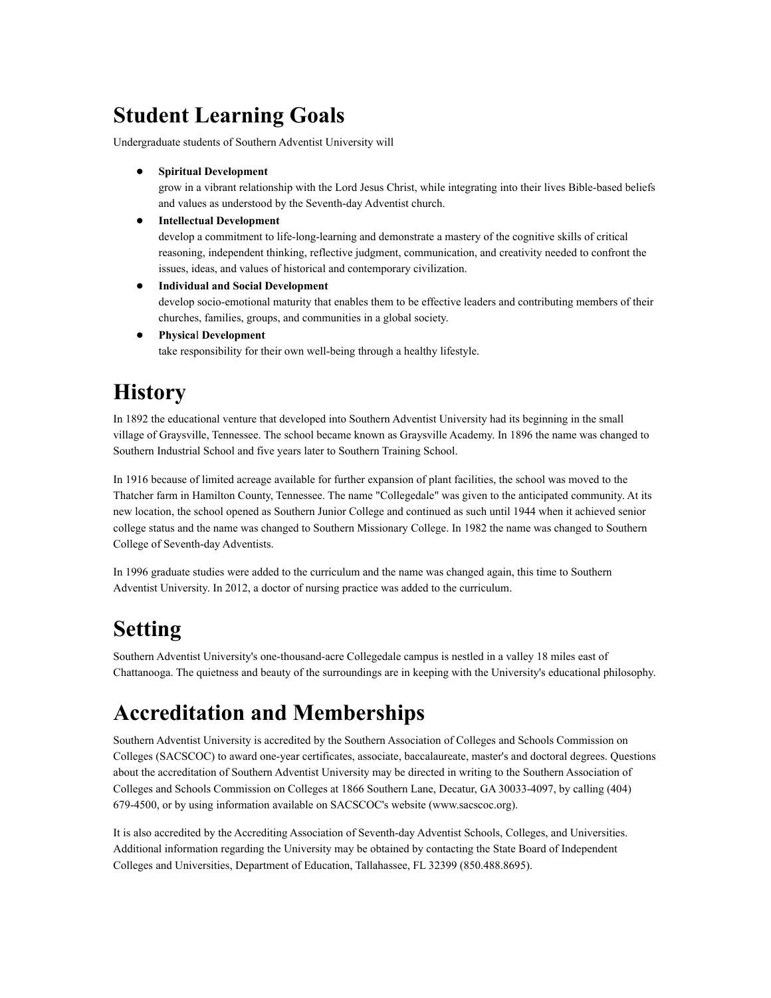## **Student Learning Goals**

Undergraduate students of Southern Adventist University will

● **Spiritual Development**

grow in a vibrant relationship with the Lord Jesus Christ, while integrating into their lives Bible-based beliefs and values as understood by the Seventh-day Adventist church.

● **Intellectual Development**

develop a commitment to life-long-learning and demonstrate a mastery of the cognitive skills of critical reasoning, independent thinking, reflective judgment, communication, and creativity needed to confront the issues, ideas, and values of historical and contemporary civilization.

● **Individual and Social Development**

develop socio-emotional maturity that enables them to be effective leaders and contributing members of their churches, families, groups, and communities in a global society.

● **Physica**l **Development** take responsibility for their own well-being through a healthy lifestyle.

# **History**

In 1892 the educational venture that developed into Southern Adventist University had its beginning in the small village of Graysville, Tennessee. The school became known as Graysville Academy. In 1896 the name was changed to Southern Industrial School and five years later to Southern Training School.

In 1916 because of limited acreage available for further expansion of plant facilities, the school was moved to the Thatcher farm in Hamilton County, Tennessee. The name "Collegedale" was given to the anticipated community. At its new location, the school opened as Southern Junior College and continued as such until 1944 when it achieved senior college status and the name was changed to Southern Missionary College. In 1982 the name was changed to Southern College of Seventh-day Adventists.

In 1996 graduate studies were added to the curriculum and the name was changed again, this time to Southern Adventist University. In 2012, a doctor of nursing practice was added to the curriculum.

# **Setting**

Southern Adventist University's one-thousand-acre Collegedale campus is nestled in a valley 18 miles east of Chattanooga. The quietness and beauty of the surroundings are in keeping with the University's educational philosophy.

## **Accreditation and Memberships**

Southern Adventist University is accredited by the Southern Association of Colleges and Schools Commission on Colleges (SACSCOC) to award one-year certificates, associate, baccalaureate, master's and doctoral degrees. Questions about the accreditation of Southern Adventist University may be directed in writing to the Southern Association of Colleges and Schools Commission on Colleges at 1866 Southern Lane, Decatur, GA 30033-4097, by calling (404) 679-4500, or by using information available on SACSCOC's website (www.sacscoc.org).

It is also accredited by the Accrediting Association of Seventh-day Adventist Schools, Colleges, and Universities. Additional information regarding the University may be obtained by contacting the State Board of Independent Colleges and Universities, Department of Education, Tallahassee, FL 32399 (850.488.8695).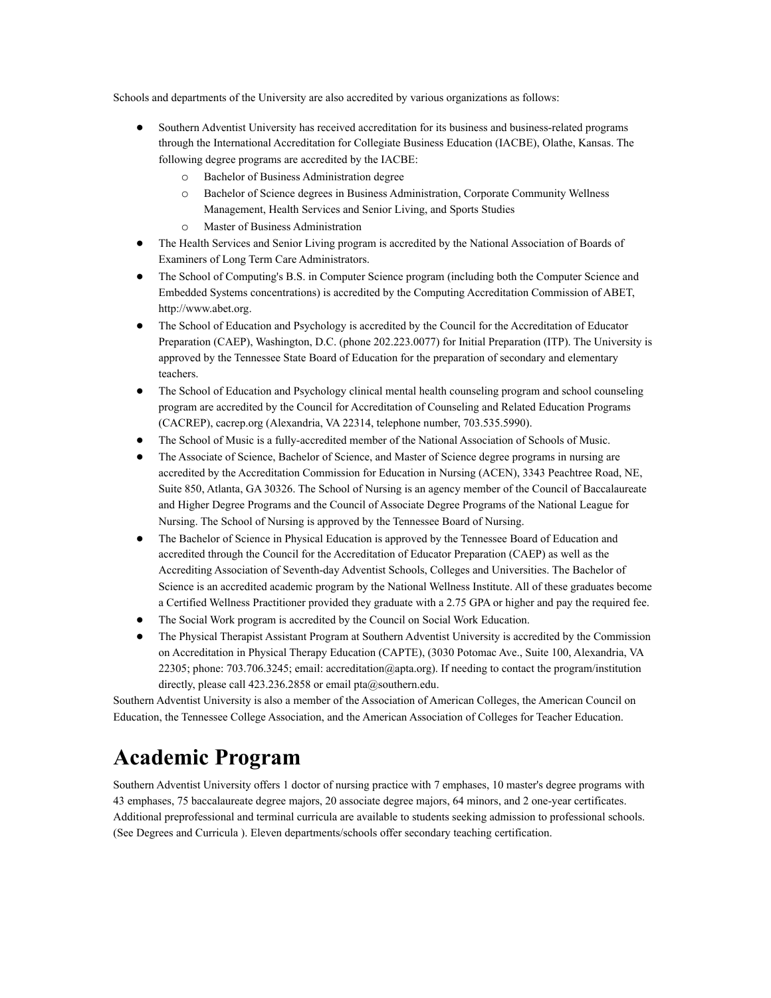Schools and departments of the University are also accredited by various organizations as follows:

- Southern Adventist University has received accreditation for its business and business-related programs through the International Accreditation for Collegiate Business Education (IACBE), Olathe, Kansas. The following degree programs are accredited by the IACBE:
	- o Bachelor of Business Administration degree
	- o Bachelor of Science degrees in Business Administration, Corporate Community Wellness Management, Health Services and Senior Living, and Sports Studies
	- o Master of Business Administration
- The Health Services and Senior Living program is accredited by the National Association of Boards of Examiners of Long Term Care Administrators.
- The School of Computing's B.S. in Computer Science program (including both the Computer Science and Embedded Systems concentrations) is accredited by the Computing Accreditation Commission of ABET, http://www.abet.org.
- The School of Education and Psychology is accredited by the Council for the Accreditation of Educator Preparation (CAEP), Washington, D.C. (phone 202.223.0077) for Initial Preparation (ITP). The University is approved by the Tennessee State Board of Education for the preparation of secondary and elementary teachers.
- The School of Education and Psychology clinical mental health counseling program and school counseling program are accredited by the Council for Accreditation of Counseling and Related Education Programs (CACREP), cacrep.org (Alexandria, VA 22314, telephone number, 703.535.5990).
- The School of Music is a fully-accredited member of the National Association of Schools of Music.
- The Associate of Science, Bachelor of Science, and Master of Science degree programs in nursing are accredited by the Accreditation Commission for Education in Nursing (ACEN), 3343 Peachtree Road, NE, Suite 850, Atlanta, GA 30326. The School of Nursing is an agency member of the Council of Baccalaureate and Higher Degree Programs and the Council of Associate Degree Programs of the National League for Nursing. The School of Nursing is approved by the Tennessee Board of Nursing.
- The Bachelor of Science in Physical Education is approved by the Tennessee Board of Education and accredited through the Council for the Accreditation of Educator Preparation (CAEP) as well as the Accrediting Association of Seventh-day Adventist Schools, Colleges and Universities. The Bachelor of Science is an accredited academic program by the National Wellness Institute. All of these graduates become a Certified Wellness Practitioner provided they graduate with a 2.75 GPA or higher and pay the required fee.
- The Social Work program is accredited by the Council on Social Work Education.
- The Physical Therapist Assistant Program at Southern Adventist University is accredited by the Commission on Accreditation in Physical Therapy Education (CAPTE), (3030 Potomac Ave., Suite 100, Alexandria, VA 22305; phone: 703.706.3245; email: accreditation@apta.org). If needing to contact the program/institution directly, please call 423.236.2858 or email pta@southern.edu.

Southern Adventist University is also a member of the Association of American Colleges, the American Council on Education, the Tennessee College Association, and the American Association of Colleges for Teacher Education.

### **Academic Program**

Southern Adventist University offers 1 doctor of nursing practice with 7 emphases, 10 master's degree programs with 43 emphases, 75 baccalaureate degree majors, 20 associate degree majors, 64 minors, and 2 one-year certificates. Additional preprofessional and terminal curricula are available to students seeking admission to professional schools. (See Degrees and Curricula ). Eleven departments/schools offer secondary teaching certification.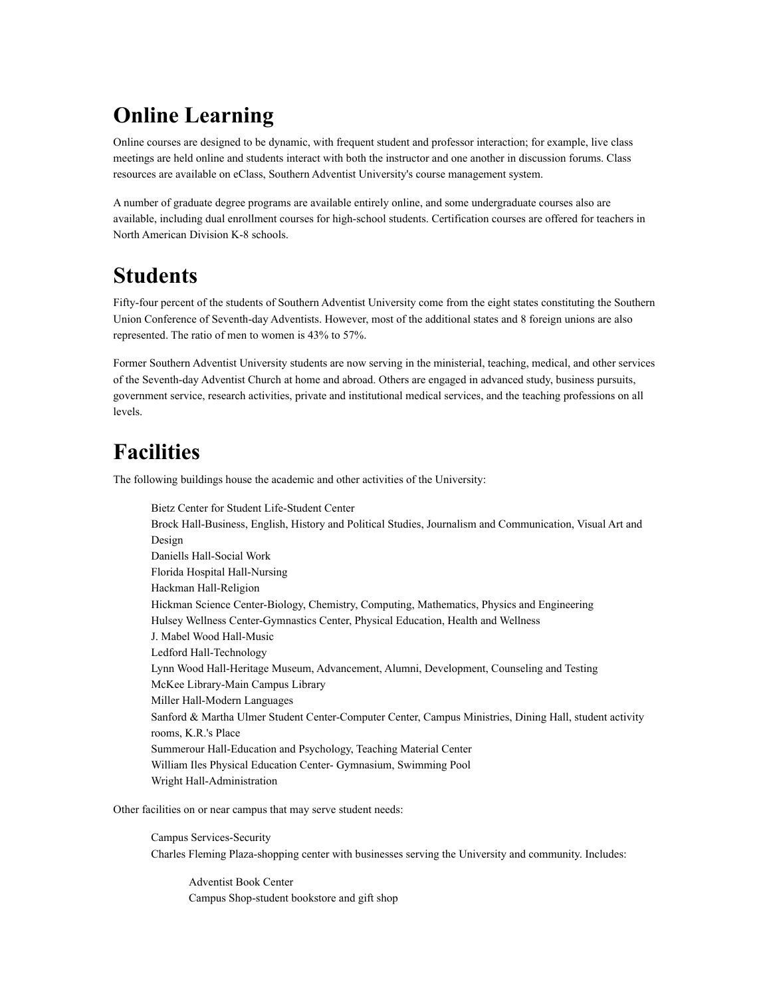# **Online Learning**

Online courses are designed to be dynamic, with frequent student and professor interaction; for example, live class meetings are held online and students interact with both the instructor and one another in discussion forums. Class resources are available on eClass, Southern Adventist University's course management system.

A number of graduate degree programs are available entirely online, and some undergraduate courses also are available, including dual enrollment courses for high-school students. Certification courses are offered for teachers in North American Division K-8 schools.

## **Students**

Fifty-four percent of the students of Southern Adventist University come from the eight states constituting the Southern Union Conference of Seventh-day Adventists. However, most of the additional states and 8 foreign unions are also represented. The ratio of men to women is 43% to 57%.

Former Southern Adventist University students are now serving in the ministerial, teaching, medical, and other services of the Seventh-day Adventist Church at home and abroad. Others are engaged in advanced study, business pursuits, government service, research activities, private and institutional medical services, and the teaching professions on all levels.

## **Facilities**

The following buildings house the academic and other activities of the University:

Bietz Center for Student Life-Student Center Brock Hall-Business, English, History and Political Studies, Journalism and Communication, Visual Art and Design Daniells Hall-Social Work Florida Hospital Hall-Nursing Hackman Hall-Religion Hickman Science Center-Biology, Chemistry, Computing, Mathematics, Physics and Engineering Hulsey Wellness Center-Gymnastics Center, Physical Education, Health and Wellness J. Mabel Wood Hall-Music Ledford Hall-Technology Lynn Wood Hall-Heritage Museum, Advancement, Alumni, Development, Counseling and Testing McKee Library-Main Campus Library Miller Hall-Modern Languages Sanford & Martha Ulmer Student Center-Computer Center, Campus Ministries, Dining Hall, student activity rooms, K.R.'s Place Summerour Hall-Education and Psychology, Teaching Material Center William Iles Physical Education Center- Gymnasium, Swimming Pool Wright Hall-Administration

Other facilities on or near campus that may serve student needs:

Campus Services-Security Charles Fleming Plaza-shopping center with businesses serving the University and community. Includes:

Adventist Book Center Campus Shop-student bookstore and gift shop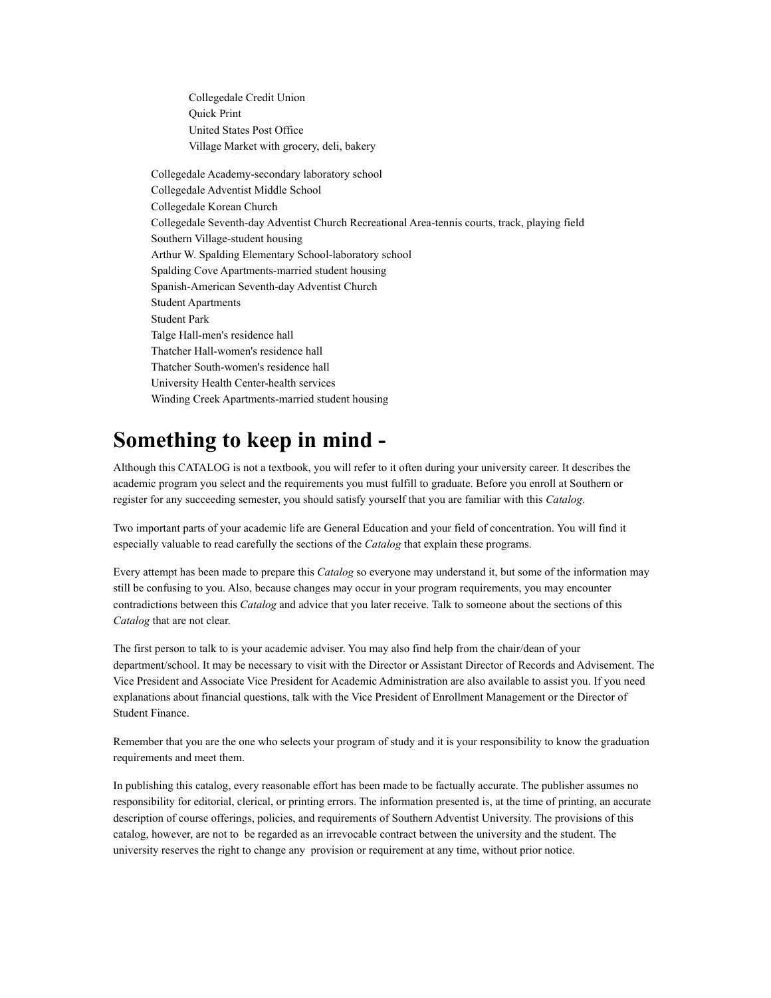Collegedale Credit Union Quick Print United States Post Office Village Market with grocery, deli, bakery

Collegedale Academy-secondary laboratory school Collegedale Adventist Middle School Collegedale Korean Church Collegedale Seventh-day Adventist Church Recreational Area-tennis courts, track, playing field Southern Village-student housing Arthur W. Spalding Elementary School-laboratory school Spalding Cove Apartments-married student housing Spanish-American Seventh-day Adventist Church Student Apartments Student Park Talge Hall-men's residence hall Thatcher Hall-women's residence hall Thatcher South-women's residence hall University Health Center-health services Winding Creek Apartments-married student housing

## **Something to keep in mind -**

Although this CATALOG is not a textbook, you will refer to it often during your university career. It describes the academic program you select and the requirements you must fulfill to graduate. Before you enroll at Southern or register for any succeeding semester, you should satisfy yourself that you are familiar with this *Catalog*.

Two important parts of your academic life are General Education and your field of concentration. You will find it especially valuable to read carefully the sections of the *Catalog* that explain these programs.

Every attempt has been made to prepare this *Catalog* so everyone may understand it, but some of the information may still be confusing to you. Also, because changes may occur in your program requirements, you may encounter contradictions between this *Catalog* and advice that you later receive. Talk to someone about the sections of this *Catalog* that are not clear.

The first person to talk to is your academic adviser. You may also find help from the chair/dean of your department/school. It may be necessary to visit with the Director or Assistant Director of Records and Advisement. The Vice President and Associate Vice President for Academic Administration are also available to assist you. If you need explanations about financial questions, talk with the Vice President of Enrollment Management or the Director of Student Finance.

Remember that you are the one who selects your program of study and it is your responsibility to know the graduation requirements and meet them.

In publishing this catalog, every reasonable effort has been made to be factually accurate. The publisher assumes no responsibility for editorial, clerical, or printing errors. The information presented is, at the time of printing, an accurate description of course offerings, policies, and requirements of Southern Adventist University. The provisions of this catalog, however, are not to be regarded as an irrevocable contract between the university and the student. The university reserves the right to change any provision or requirement at any time, without prior notice.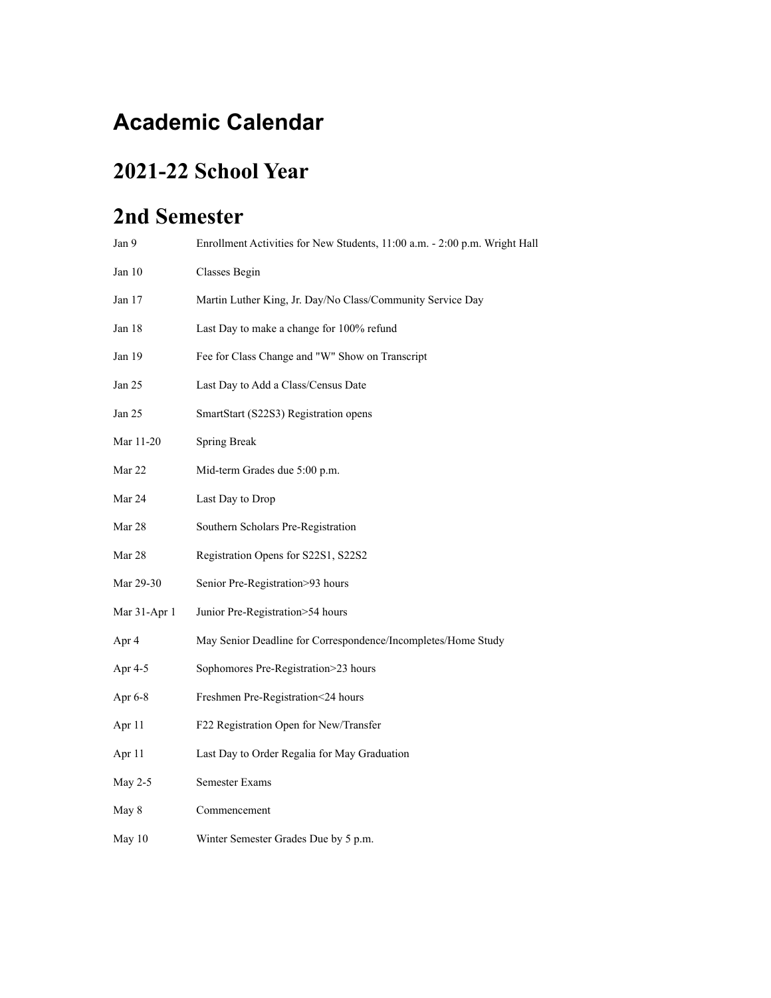# **Academic Calendar**

## **2021-22 School Year**

## **2nd Semester**

| Jan 9        | Enrollment Activities for New Students, 11:00 a.m. - 2:00 p.m. Wright Hall |
|--------------|----------------------------------------------------------------------------|
| Jan 10       | Classes Begin                                                              |
| Jan 17       | Martin Luther King, Jr. Day/No Class/Community Service Day                 |
| Jan 18       | Last Day to make a change for 100% refund                                  |
| Jan 19       | Fee for Class Change and "W" Show on Transcript                            |
| Jan 25       | Last Day to Add a Class/Census Date                                        |
| Jan 25       | SmartStart (S22S3) Registration opens                                      |
| Mar 11-20    | Spring Break                                                               |
| Mar 22       | Mid-term Grades due 5:00 p.m.                                              |
| Mar 24       | Last Day to Drop                                                           |
| Mar 28       | Southern Scholars Pre-Registration                                         |
| Mar 28       | Registration Opens for S22S1, S22S2                                        |
| Mar 29-30    | Senior Pre-Registration>93 hours                                           |
| Mar 31-Apr 1 | Junior Pre-Registration>54 hours                                           |
| Apr 4        | May Senior Deadline for Correspondence/Incompletes/Home Study              |
| Apr 4-5      | Sophomores Pre-Registration>23 hours                                       |
| Apr 6-8      | Freshmen Pre-Registration<24 hours                                         |
| Apr 11       | F22 Registration Open for New/Transfer                                     |
| Apr 11       | Last Day to Order Regalia for May Graduation                               |
| May $2-5$    | <b>Semester Exams</b>                                                      |
| May 8        | Commencement                                                               |
| May 10       | Winter Semester Grades Due by 5 p.m.                                       |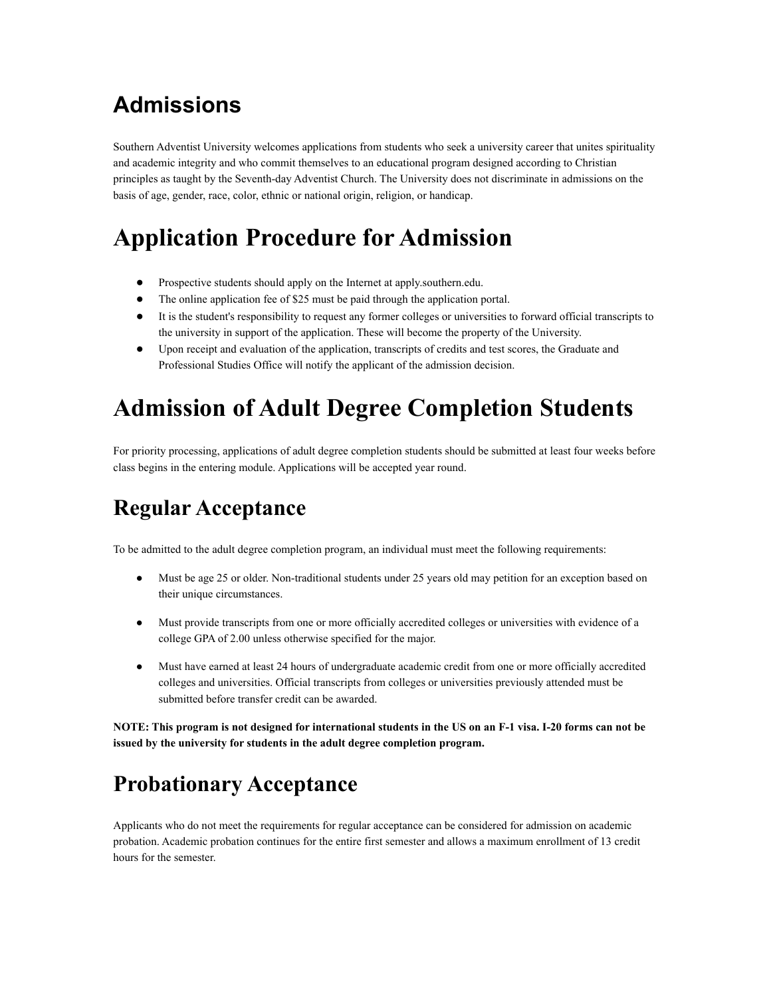# **Admissions**

Southern Adventist University welcomes applications from students who seek a university career that unites spirituality and academic integrity and who commit themselves to an educational program designed according to Christian principles as taught by the Seventh-day Adventist Church. The University does not discriminate in admissions on the basis of age, gender, race, color, ethnic or national origin, religion, or handicap.

# **Application Procedure for Admission**

- Prospective students should apply on the Internet at apply.southern.edu.
- The online application fee of \$25 must be paid through the application portal.
- It is the student's responsibility to request any former colleges or universities to forward official transcripts to the university in support of the application. These will become the property of the University.
- Upon receipt and evaluation of the application, transcripts of credits and test scores, the Graduate and Professional Studies Office will notify the applicant of the admission decision.

# **Admission of Adult Degree Completion Students**

For priority processing, applications of adult degree completion students should be submitted at least four weeks before class begins in the entering module. Applications will be accepted year round.

## **Regular Acceptance**

To be admitted to the adult degree completion program, an individual must meet the following requirements:

- Must be age 25 or older. Non-traditional students under 25 years old may petition for an exception based on their unique circumstances.
- Must provide transcripts from one or more officially accredited colleges or universities with evidence of a college GPA of 2.00 unless otherwise specified for the major.
- Must have earned at least 24 hours of undergraduate academic credit from one or more officially accredited colleges and universities. Official transcripts from colleges or universities previously attended must be submitted before transfer credit can be awarded.

**NOTE: This program is not designed for international students in the US on an F-1 visa. I-20 forms can not be issued by the university for students in the adult degree completion program.**

# **Probationary Acceptance**

Applicants who do not meet the requirements for regular acceptance can be considered for admission on academic probation. Academic probation continues for the entire first semester and allows a maximum enrollment of 13 credit hours for the semester.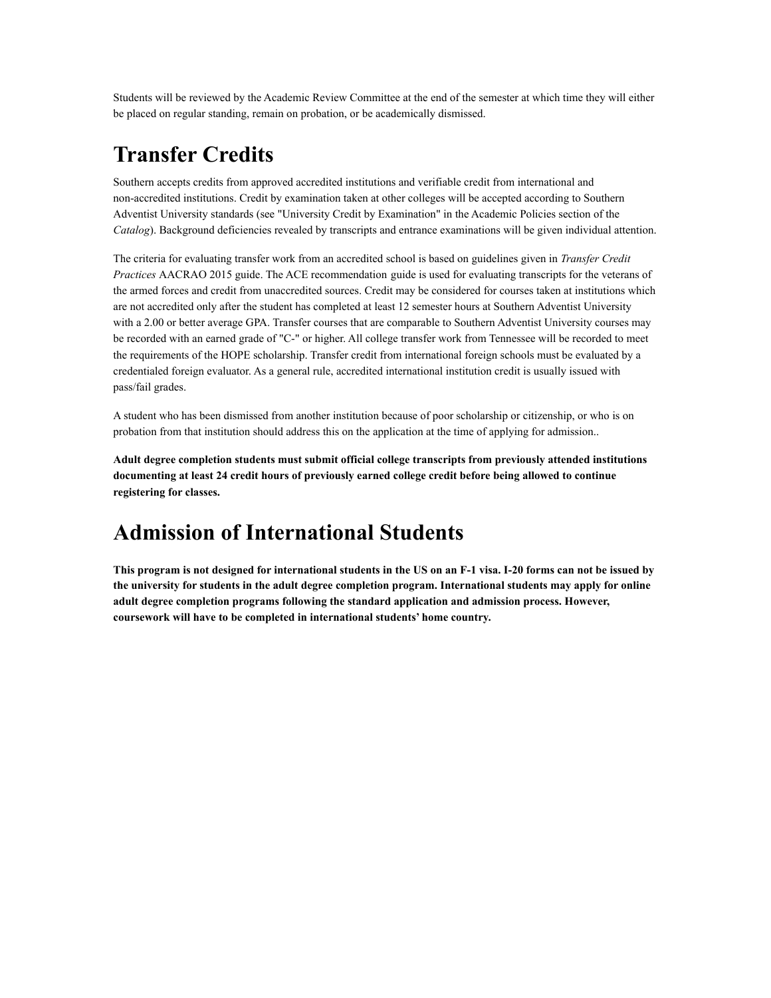Students will be reviewed by the Academic Review Committee at the end of the semester at which time they will either be placed on regular standing, remain on probation, or be academically dismissed.

## **Transfer Credits**

Southern accepts credits from approved accredited institutions and verifiable credit from international and non-accredited institutions. Credit by examination taken at other colleges will be accepted according to Southern Adventist University standards (see "University Credit by Examination" in the Academic Policies section of the *Catalog*). Background deficiencies revealed by transcripts and entrance examinations will be given individual attention.

The criteria for evaluating transfer work from an accredited school is based on guidelines given in *Transfer Credit Practices* AACRAO 2015 guide. The ACE recommendation guide is used for evaluating transcripts for the veterans of the armed forces and credit from unaccredited sources. Credit may be considered for courses taken at institutions which are not accredited only after the student has completed at least 12 semester hours at Southern Adventist University with a 2.00 or better average GPA. Transfer courses that are comparable to Southern Adventist University courses may be recorded with an earned grade of "C-" or higher. All college transfer work from Tennessee will be recorded to meet the requirements of the HOPE scholarship. Transfer credit from international foreign schools must be evaluated by a credentialed foreign evaluator. As a general rule, accredited international institution credit is usually issued with pass/fail grades.

A student who has been dismissed from another institution because of poor scholarship or citizenship, or who is on probation from that institution should address this on the application at the time of applying for admission..

**Adult degree completion students must submit official college transcripts from previously attended institutions documenting at least 24 credit hours of previously earned college credit before being allowed to continue registering for classes.**

## **Admission of International Students**

**This program is not designed for international students in the US on an F-1 visa. I-20 forms can not be issued by the university for students in the adult degree completion program. International students may apply for online adult degree completion programs following the standard application and admission process. However, coursework will have to be completed in international students' home country.**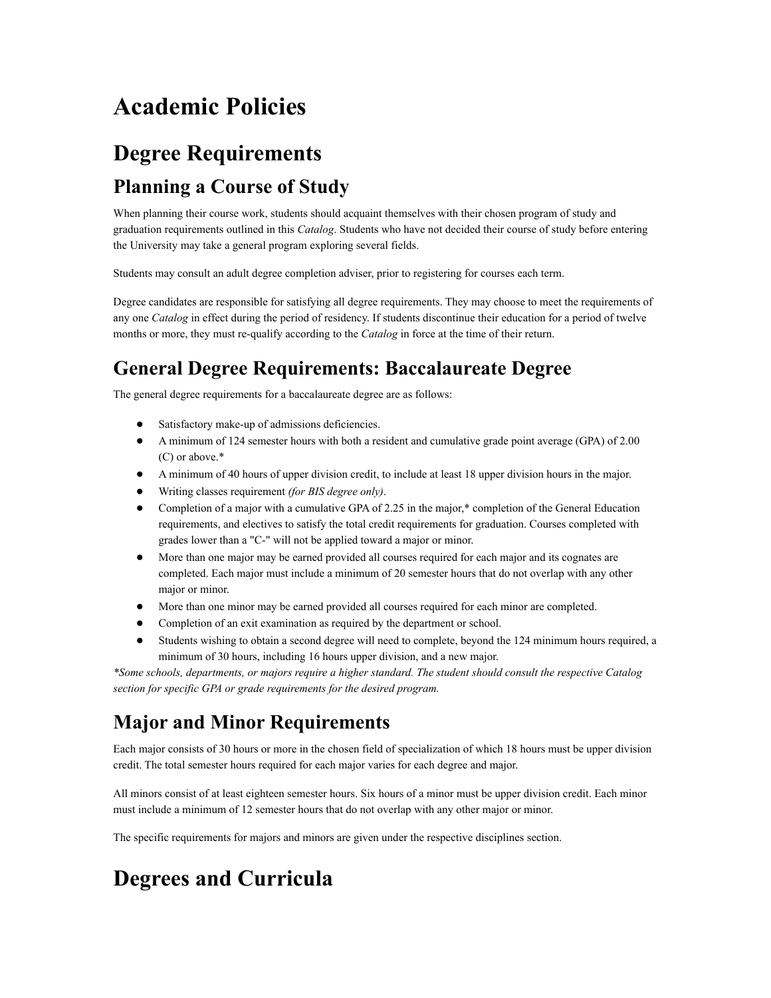# **Academic Policies**

# **Degree Requirements Planning a Course of Study**

When planning their course work, students should acquaint themselves with their chosen program of study and graduation requirements outlined in this *Catalog*. Students who have not decided their course of study before entering the University may take a general program exploring several fields.

Students may consult an adult degree completion adviser, prior to registering for courses each term.

Degree candidates are responsible for satisfying all degree requirements. They may choose to meet the requirements of any one *Catalog* in effect during the period of residency. If students discontinue their education for a period of twelve months or more, they must re-qualify according to the *Catalog* in force at the time of their return.

### **General Degree Requirements: Baccalaureate Degree**

The general degree requirements for a baccalaureate degree are as follows:

- Satisfactory make-up of admissions deficiencies.
- A minimum of 124 semester hours with both a resident and cumulative grade point average (GPA) of 2.00 (C) or above.\*
- A minimum of 40 hours of upper division credit, to include at least 18 upper division hours in the major.
- Writing classes requirement *(for BIS degree only)*.
- Completion of a major with a cumulative GPA of 2.25 in the major,  $*$  completion of the General Education requirements, and electives to satisfy the total credit requirements for graduation. Courses completed with grades lower than a "C-" will not be applied toward a major or minor.
- More than one major may be earned provided all courses required for each major and its cognates are completed. Each major must include a minimum of 20 semester hours that do not overlap with any other major or minor.
- More than one minor may be earned provided all courses required for each minor are completed.
- Completion of an exit examination as required by the department or school.
- Students wishing to obtain a second degree will need to complete, beyond the 124 minimum hours required, a minimum of 30 hours, including 16 hours upper division, and a new major.

*\*Some schools, departments, or majors require a higher standard. The student should consult the respective Catalog section for specific GPA or grade requirements for the desired program.*

### **Major and Minor Requirements**

Each major consists of 30 hours or more in the chosen field of specialization of which 18 hours must be upper division credit. The total semester hours required for each major varies for each degree and major.

All minors consist of at least eighteen semester hours. Six hours of a minor must be upper division credit. Each minor must include a minimum of 12 semester hours that do not overlap with any other major or minor.

The specific requirements for majors and minors are given under the respective disciplines section.

# **Degrees and Curricula**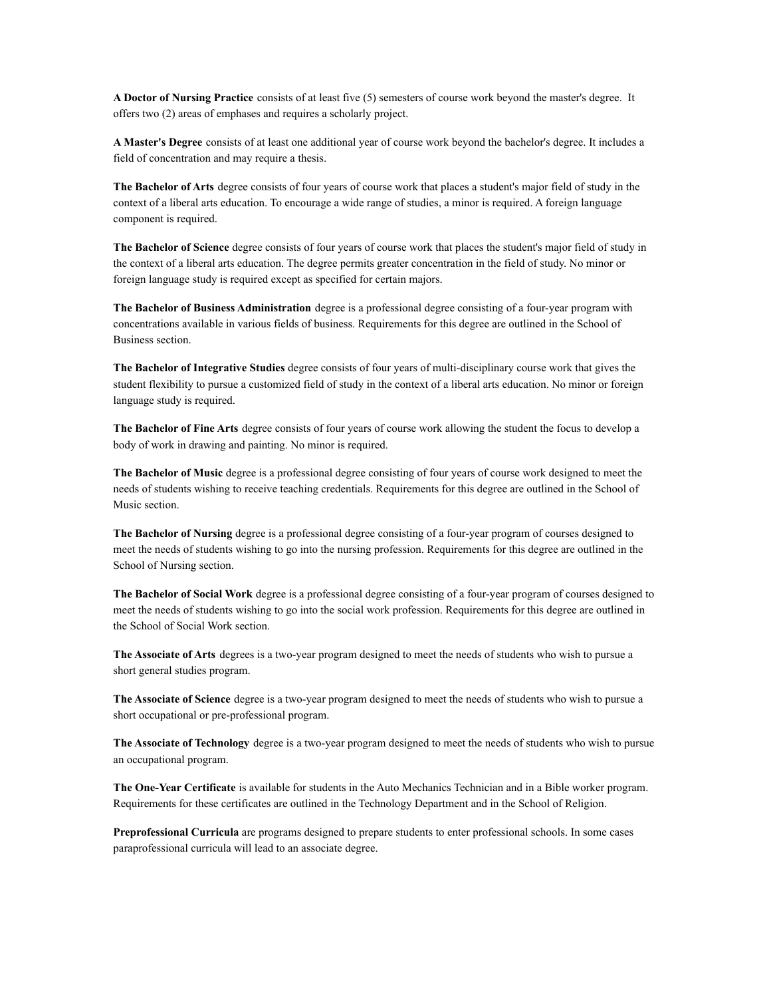**A Doctor of Nursing Practice** consists of at least five (5) semesters of course work beyond the master's degree. It offers two (2) areas of emphases and requires a scholarly project.

**A Master's Degree** consists of at least one additional year of course work beyond the bachelor's degree. It includes a field of concentration and may require a thesis.

**The Bachelor of Arts** degree consists of four years of course work that places a student's major field of study in the context of a liberal arts education. To encourage a wide range of studies, a minor is required. A foreign language component is required.

**The Bachelor of Science** degree consists of four years of course work that places the student's major field of study in the context of a liberal arts education. The degree permits greater concentration in the field of study. No minor or foreign language study is required except as specified for certain majors.

**The Bachelor of Business Administration** degree is a professional degree consisting of a four-year program with concentrations available in various fields of business. Requirements for this degree are outlined in the School of Business section.

**The Bachelor of Integrative Studies** degree consists of four years of multi-disciplinary course work that gives the student flexibility to pursue a customized field of study in the context of a liberal arts education. No minor or foreign language study is required.

**The Bachelor of Fine Arts** degree consists of four years of course work allowing the student the focus to develop a body of work in drawing and painting. No minor is required.

**The Bachelor of Music** degree is a professional degree consisting of four years of course work designed to meet the needs of students wishing to receive teaching credentials. Requirements for this degree are outlined in the School of Music section.

**The Bachelor of Nursing** degree is a professional degree consisting of a four-year program of courses designed to meet the needs of students wishing to go into the nursing profession. Requirements for this degree are outlined in the School of Nursing section.

**The Bachelor of Social Work** degree is a professional degree consisting of a four-year program of courses designed to meet the needs of students wishing to go into the social work profession. Requirements for this degree are outlined in the School of Social Work section.

**The Associate of Arts** degrees is a two-year program designed to meet the needs of students who wish to pursue a short general studies program.

**The Associate of Science** degree is a two-year program designed to meet the needs of students who wish to pursue a short occupational or pre-professional program.

**The Associate of Technology** degree is a two-year program designed to meet the needs of students who wish to pursue an occupational program.

**The One-Year Certificate** is available for students in the Auto Mechanics Technician and in a Bible worker program. Requirements for these certificates are outlined in the Technology Department and in the School of Religion.

**Preprofessional Curricula** are programs designed to prepare students to enter professional schools. In some cases paraprofessional curricula will lead to an associate degree.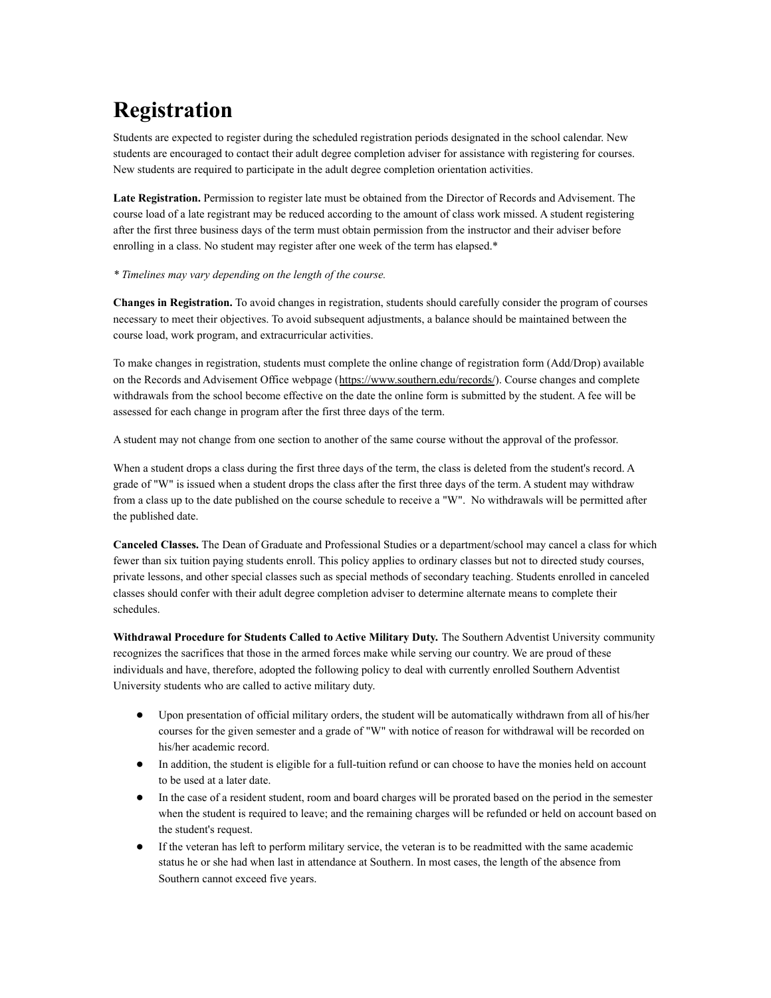# **Registration**

Students are expected to register during the scheduled registration periods designated in the school calendar. New students are encouraged to contact their adult degree completion adviser for assistance with registering for courses. New students are required to participate in the adult degree completion orientation activities.

**Late Registration.** Permission to register late must be obtained from the Director of Records and Advisement. The course load of a late registrant may be reduced according to the amount of class work missed. A student registering after the first three business days of the term must obtain permission from the instructor and their adviser before enrolling in a class. No student may register after one week of the term has elapsed.\*

#### *\* Timelines may vary depending on the length of the course.*

**Changes in Registration.** To avoid changes in registration, students should carefully consider the program of courses necessary to meet their objectives. To avoid subsequent adjustments, a balance should be maintained between the course load, work program, and extracurricular activities.

To make changes in registration, students must complete the online change of registration form (Add/Drop) available on the Records and Advisement Office webpage (<https://www.southern.edu/records/>). Course changes and complete withdrawals from the school become effective on the date the online form is submitted by the student. A fee will be assessed for each change in program after the first three days of the term.

A student may not change from one section to another of the same course without the approval of the professor.

When a student drops a class during the first three days of the term, the class is deleted from the student's record. A grade of "W" is issued when a student drops the class after the first three days of the term. A student may withdraw from a class up to the date published on the course schedule to receive a "W". No withdrawals will be permitted after the published date.

**Canceled Classes.** The Dean of Graduate and Professional Studies or a department/school may cancel a class for which fewer than six tuition paying students enroll. This policy applies to ordinary classes but not to directed study courses, private lessons, and other special classes such as special methods of secondary teaching. Students enrolled in canceled classes should confer with their adult degree completion adviser to determine alternate means to complete their schedules.

**Withdrawal Procedure for Students Called to Active Military Duty.** The Southern Adventist University community recognizes the sacrifices that those in the armed forces make while serving our country. We are proud of these individuals and have, therefore, adopted the following policy to deal with currently enrolled Southern Adventist University students who are called to active military duty.

- Upon presentation of official military orders, the student will be automatically withdrawn from all of his/her courses for the given semester and a grade of "W" with notice of reason for withdrawal will be recorded on his/her academic record.
- In addition, the student is eligible for a full-tuition refund or can choose to have the monies held on account to be used at a later date.
- In the case of a resident student, room and board charges will be prorated based on the period in the semester when the student is required to leave; and the remaining charges will be refunded or held on account based on the student's request.
- If the veteran has left to perform military service, the veteran is to be readmitted with the same academic status he or she had when last in attendance at Southern. In most cases, the length of the absence from Southern cannot exceed five years.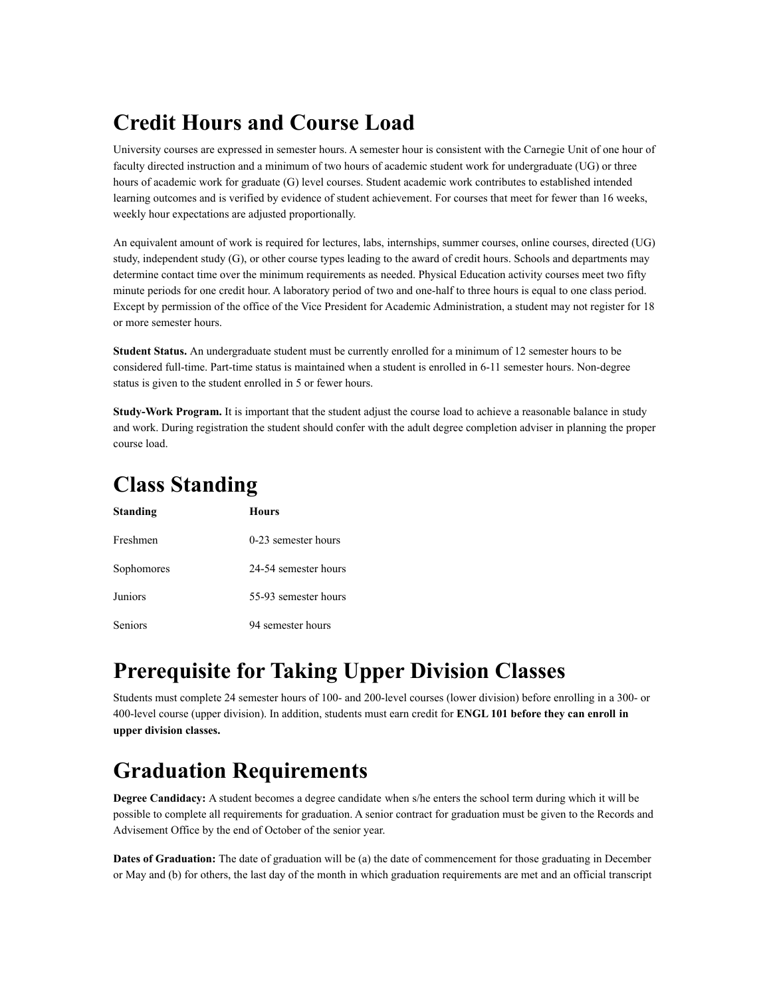## **Credit Hours and Course Load**

University courses are expressed in semester hours. A semester hour is consistent with the Carnegie Unit of one hour of faculty directed instruction and a minimum of two hours of academic student work for undergraduate (UG) or three hours of academic work for graduate (G) level courses. Student academic work contributes to established intended learning outcomes and is verified by evidence of student achievement. For courses that meet for fewer than 16 weeks, weekly hour expectations are adjusted proportionally.

An equivalent amount of work is required for lectures, labs, internships, summer courses, online courses, directed (UG) study, independent study (G), or other course types leading to the award of credit hours. Schools and departments may determine contact time over the minimum requirements as needed. Physical Education activity courses meet two fifty minute periods for one credit hour. A laboratory period of two and one-half to three hours is equal to one class period. Except by permission of the office of the Vice President for Academic Administration, a student may not register for 18 or more semester hours.

**Student Status.** An undergraduate student must be currently enrolled for a minimum of 12 semester hours to be considered full-time. Part-time status is maintained when a student is enrolled in 6-11 semester hours. Non-degree status is given to the student enrolled in 5 or fewer hours.

**Study-Work Program.** It is important that the student adjust the course load to achieve a reasonable balance in study and work. During registration the student should confer with the adult degree completion adviser in planning the proper course load.

## **Class Standing**

| <b>Standing</b> | Hours                |
|-----------------|----------------------|
| Freshmen        | 0-23 semester hours  |
| Sophomores      | 24-54 semester hours |
| Juniors         | 55-93 semester hours |
| <b>Seniors</b>  | 94 semester hours    |

## **Prerequisite for Taking Upper Division Classes**

Students must complete 24 semester hours of 100- and 200-level courses (lower division) before enrolling in a 300- or 400-level course (upper division). In addition, students must earn credit for **ENGL 101 before they can enroll in upper division classes.**

## **Graduation Requirements**

**Degree Candidacy:** A student becomes a degree candidate when s/he enters the school term during which it will be possible to complete all requirements for graduation. A senior contract for graduation must be given to the Records and Advisement Office by the end of October of the senior year.

**Dates of Graduation:** The date of graduation will be (a) the date of commencement for those graduating in December or May and (b) for others, the last day of the month in which graduation requirements are met and an official transcript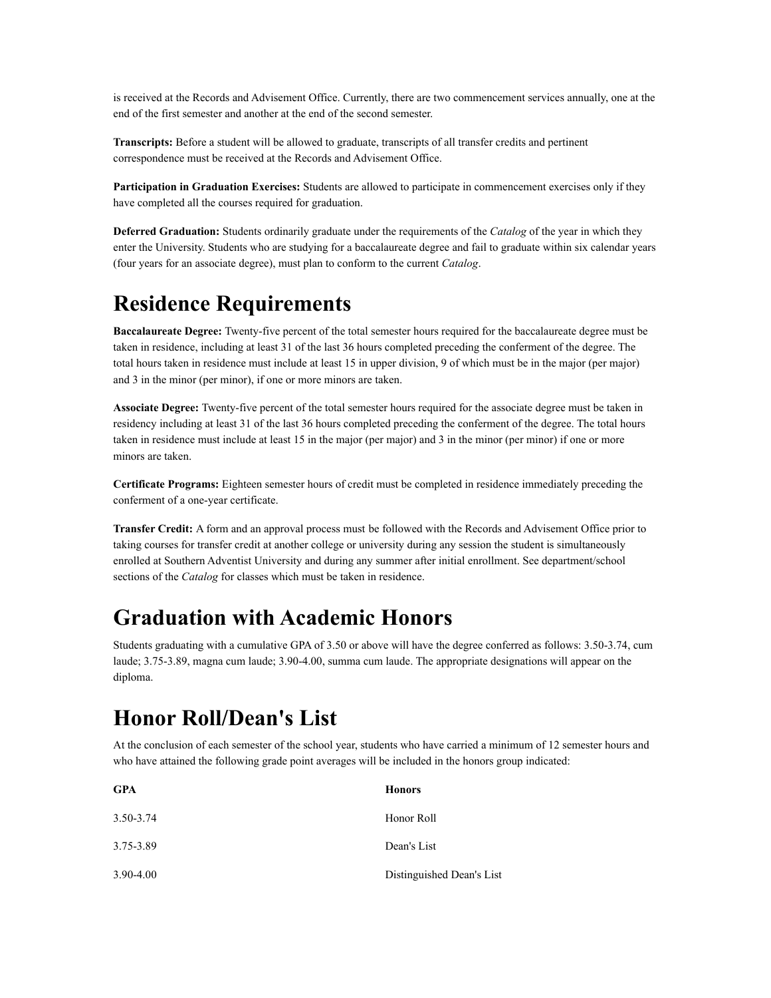is received at the Records and Advisement Office. Currently, there are two commencement services annually, one at the end of the first semester and another at the end of the second semester.

**Transcripts:** Before a student will be allowed to graduate, transcripts of all transfer credits and pertinent correspondence must be received at the Records and Advisement Office.

**Participation in Graduation Exercises:** Students are allowed to participate in commencement exercises only if they have completed all the courses required for graduation.

**Deferred Graduation:** Students ordinarily graduate under the requirements of the *Catalog* of the year in which they enter the University. Students who are studying for a baccalaureate degree and fail to graduate within six calendar years (four years for an associate degree), must plan to conform to the current *Catalog*.

### **Residence Requirements**

**Baccalaureate Degree:** Twenty-five percent of the total semester hours required for the baccalaureate degree must be taken in residence, including at least 31 of the last 36 hours completed preceding the conferment of the degree. The total hours taken in residence must include at least 15 in upper division, 9 of which must be in the major (per major) and 3 in the minor (per minor), if one or more minors are taken.

**Associate Degree:** Twenty-five percent of the total semester hours required for the associate degree must be taken in residency including at least 31 of the last 36 hours completed preceding the conferment of the degree. The total hours taken in residence must include at least 15 in the major (per major) and 3 in the minor (per minor) if one or more minors are taken.

**Certificate Programs:** Eighteen semester hours of credit must be completed in residence immediately preceding the conferment of a one-year certificate.

**Transfer Credit:** A form and an approval process must be followed with the Records and Advisement Office prior to taking courses for transfer credit at another college or university during any session the student is simultaneously enrolled at Southern Adventist University and during any summer after initial enrollment. See department/school sections of the *Catalog* for classes which must be taken in residence.

## **Graduation with Academic Honors**

Students graduating with a cumulative GPA of 3.50 or above will have the degree conferred as follows: 3.50-3.74, cum laude; 3.75-3.89, magna cum laude; 3.90-4.00, summa cum laude. The appropriate designations will appear on the diploma.

## **Honor Roll/Dean's List**

At the conclusion of each semester of the school year, students who have carried a minimum of 12 semester hours and who have attained the following grade point averages will be included in the honors group indicated:

| <b>GPA</b> | <b>Honors</b>             |
|------------|---------------------------|
| 3.50-3.74  | Honor Roll                |
| 3.75-3.89  | Dean's List               |
| 3.90-4.00  | Distinguished Dean's List |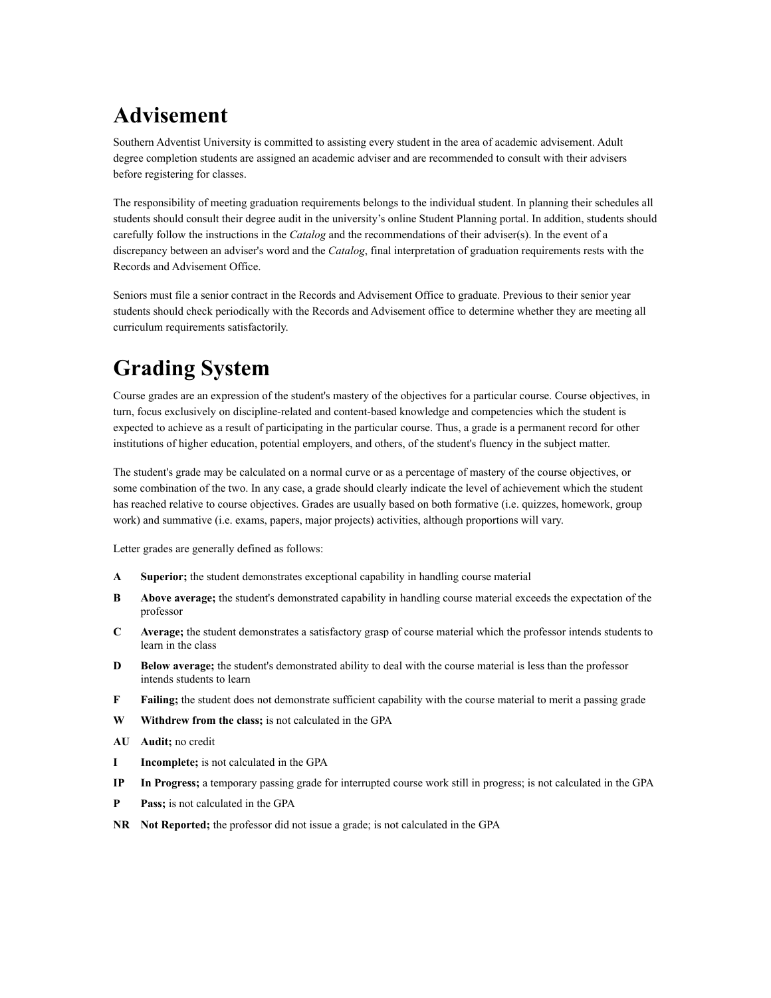# **Advisement**

Southern Adventist University is committed to assisting every student in the area of academic advisement. Adult degree completion students are assigned an academic adviser and are recommended to consult with their advisers before registering for classes.

The responsibility of meeting graduation requirements belongs to the individual student. In planning their schedules all students should consult their degree audit in the university's online Student Planning portal. In addition, students should carefully follow the instructions in the *Catalog* and the recommendations of their adviser(s). In the event of a discrepancy between an adviser's word and the *Catalog*, final interpretation of graduation requirements rests with the Records and Advisement Office.

Seniors must file a senior contract in the Records and Advisement Office to graduate. Previous to their senior year students should check periodically with the Records and Advisement office to determine whether they are meeting all curriculum requirements satisfactorily.

# **Grading System**

Course grades are an expression of the student's mastery of the objectives for a particular course. Course objectives, in turn, focus exclusively on discipline-related and content-based knowledge and competencies which the student is expected to achieve as a result of participating in the particular course. Thus, a grade is a permanent record for other institutions of higher education, potential employers, and others, of the student's fluency in the subject matter.

The student's grade may be calculated on a normal curve or as a percentage of mastery of the course objectives, or some combination of the two. In any case, a grade should clearly indicate the level of achievement which the student has reached relative to course objectives. Grades are usually based on both formative (i.e. quizzes, homework, group work) and summative (i.e. exams, papers, major projects) activities, although proportions will vary.

Letter grades are generally defined as follows:

- **A Superior;** the student demonstrates exceptional capability in handling course material
- **B Above average;** the student's demonstrated capability in handling course material exceeds the expectation of the professor
- **C Average;** the student demonstrates a satisfactory grasp of course material which the professor intends students to learn in the class
- **D Below average;** the student's demonstrated ability to deal with the course material is less than the professor intends students to learn
- **F Failing;** the student does not demonstrate sufficient capability with the course material to merit a passing grade
- **W Withdrew from the class;** is not calculated in the GPA
- **AU Audit;** no credit
- **I Incomplete;** is not calculated in the GPA
- **IP In Progress;** a temporary passing grade for interrupted course work still in progress; is not calculated in the GPA
- **P Pass;** is not calculated in the GPA
- **NR Not Reported;** the professor did not issue a grade; is not calculated in the GPA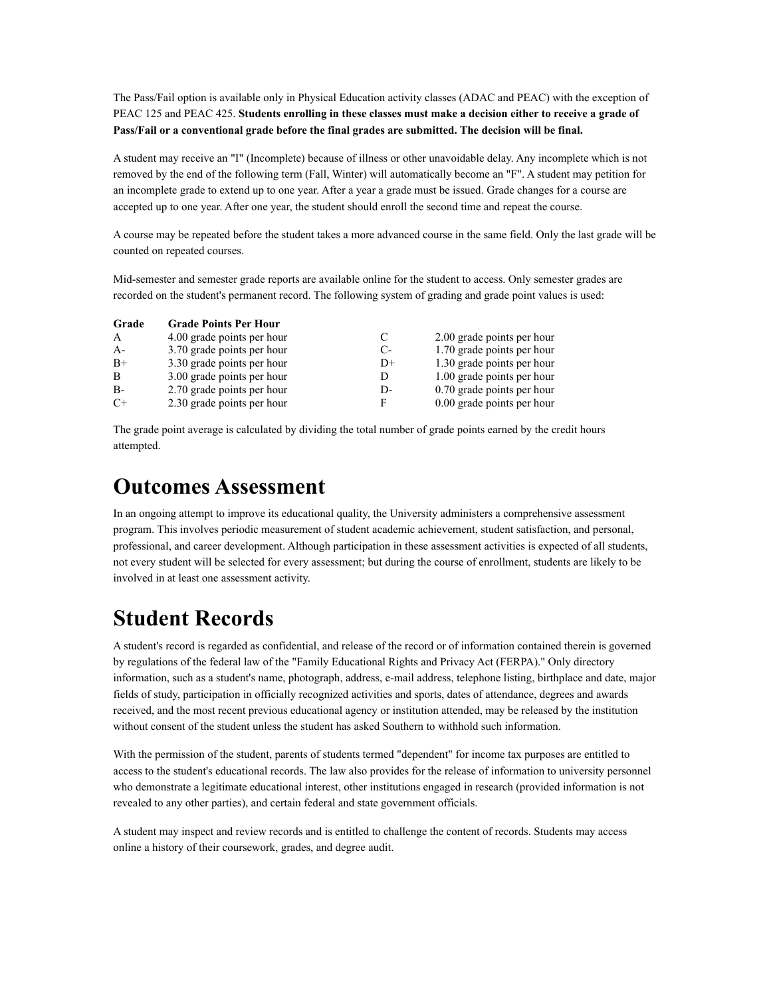The Pass/Fail option is available only in Physical Education activity classes (ADAC and PEAC) with the exception of PEAC 125 and PEAC 425. **Students enrolling in these classes must make a decision either to receive a grade of Pass/Fail or a conventional grade before the final grades are submitted. The decision will be final.**

A student may receive an "I" (Incomplete) because of illness or other unavoidable delay. Any incomplete which is not removed by the end of the following term (Fall, Winter) will automatically become an "F". A student may petition for an incomplete grade to extend up to one year. After a year a grade must be issued. Grade changes for a course are accepted up to one year. After one year, the student should enroll the second time and repeat the course.

A course may be repeated before the student takes a more advanced course in the same field. Only the last grade will be counted on repeated courses.

Mid-semester and semester grade reports are available online for the student to access. Only semester grades are recorded on the student's permanent record. The following system of grading and grade point values is used:

| Grade        | <b>Grade Points Per Hour</b> |      |                            |
|--------------|------------------------------|------|----------------------------|
| $\mathsf{A}$ | 4.00 grade points per hour   | C    | 2.00 grade points per hour |
| $A -$        | 3.70 grade points per hour   | $C-$ | 1.70 grade points per hour |
| $B+$         | 3.30 grade points per hour   | $D+$ | 1.30 grade points per hour |
| B            | 3.00 grade points per hour   | D    | 1.00 grade points per hour |
| $B -$        | 2.70 grade points per hour   | D-   | 0.70 grade points per hour |
| $C+$         | 2.30 grade points per hour   | F    | 0.00 grade points per hour |

The grade point average is calculated by dividing the total number of grade points earned by the credit hours attempted.

### **Outcomes Assessment**

In an ongoing attempt to improve its educational quality, the University administers a comprehensive assessment program. This involves periodic measurement of student academic achievement, student satisfaction, and personal, professional, and career development. Although participation in these assessment activities is expected of all students, not every student will be selected for every assessment; but during the course of enrollment, students are likely to be involved in at least one assessment activity.

# **Student Records**

A student's record is regarded as confidential, and release of the record or of information contained therein is governed by regulations of the federal law of the "Family Educational Rights and Privacy Act (FERPA)." Only directory information, such as a student's name, photograph, address, e-mail address, telephone listing, birthplace and date, major fields of study, participation in officially recognized activities and sports, dates of attendance, degrees and awards received, and the most recent previous educational agency or institution attended, may be released by the institution without consent of the student unless the student has asked Southern to withhold such information.

With the permission of the student, parents of students termed "dependent" for income tax purposes are entitled to access to the student's educational records. The law also provides for the release of information to university personnel who demonstrate a legitimate educational interest, other institutions engaged in research (provided information is not revealed to any other parties), and certain federal and state government officials.

A student may inspect and review records and is entitled to challenge the content of records. Students may access online a history of their coursework, grades, and degree audit.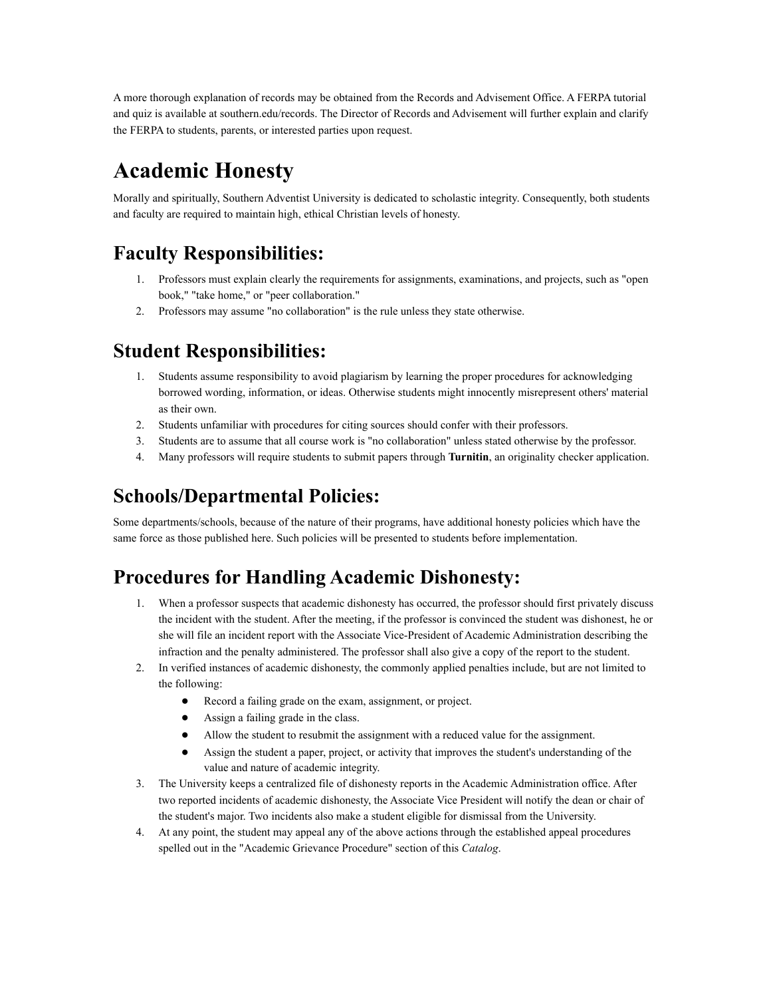A more thorough explanation of records may be obtained from the Records and Advisement Office. A FERPA tutorial and quiz is available at southern.edu/records. The Director of Records and Advisement will further explain and clarify the FERPA to students, parents, or interested parties upon request.

## **Academic Honesty**

Morally and spiritually, Southern Adventist University is dedicated to scholastic integrity. Consequently, both students and faculty are required to maintain high, ethical Christian levels of honesty.

### **Faculty Responsibilities:**

- 1. Professors must explain clearly the requirements for assignments, examinations, and projects, such as "open book," "take home," or "peer collaboration."
- 2. Professors may assume "no collaboration" is the rule unless they state otherwise.

### **Student Responsibilities:**

- 1. Students assume responsibility to avoid plagiarism by learning the proper procedures for acknowledging borrowed wording, information, or ideas. Otherwise students might innocently misrepresent others' material as their own.
- 2. Students unfamiliar with procedures for citing sources should confer with their professors.
- 3. Students are to assume that all course work is "no collaboration" unless stated otherwise by the professor.
- 4. Many professors will require students to submit papers through **Turnitin**, an originality checker application.

### **Schools/Departmental Policies:**

Some departments/schools, because of the nature of their programs, have additional honesty policies which have the same force as those published here. Such policies will be presented to students before implementation.

### **Procedures for Handling Academic Dishonesty:**

- 1. When a professor suspects that academic dishonesty has occurred, the professor should first privately discuss the incident with the student. After the meeting, if the professor is convinced the student was dishonest, he or she will file an incident report with the Associate Vice-President of Academic Administration describing the infraction and the penalty administered. The professor shall also give a copy of the report to the student.
- 2. In verified instances of academic dishonesty, the commonly applied penalties include, but are not limited to the following:
	- Record a failing grade on the exam, assignment, or project.
	- Assign a failing grade in the class.
	- Allow the student to resubmit the assignment with a reduced value for the assignment.
	- Assign the student a paper, project, or activity that improves the student's understanding of the value and nature of academic integrity.
- 3. The University keeps a centralized file of dishonesty reports in the Academic Administration office. After two reported incidents of academic dishonesty, the Associate Vice President will notify the dean or chair of the student's major. Two incidents also make a student eligible for dismissal from the University.
- 4. At any point, the student may appeal any of the above actions through the established appeal procedures spelled out in the "Academic Grievance Procedure" section of this *Catalog*.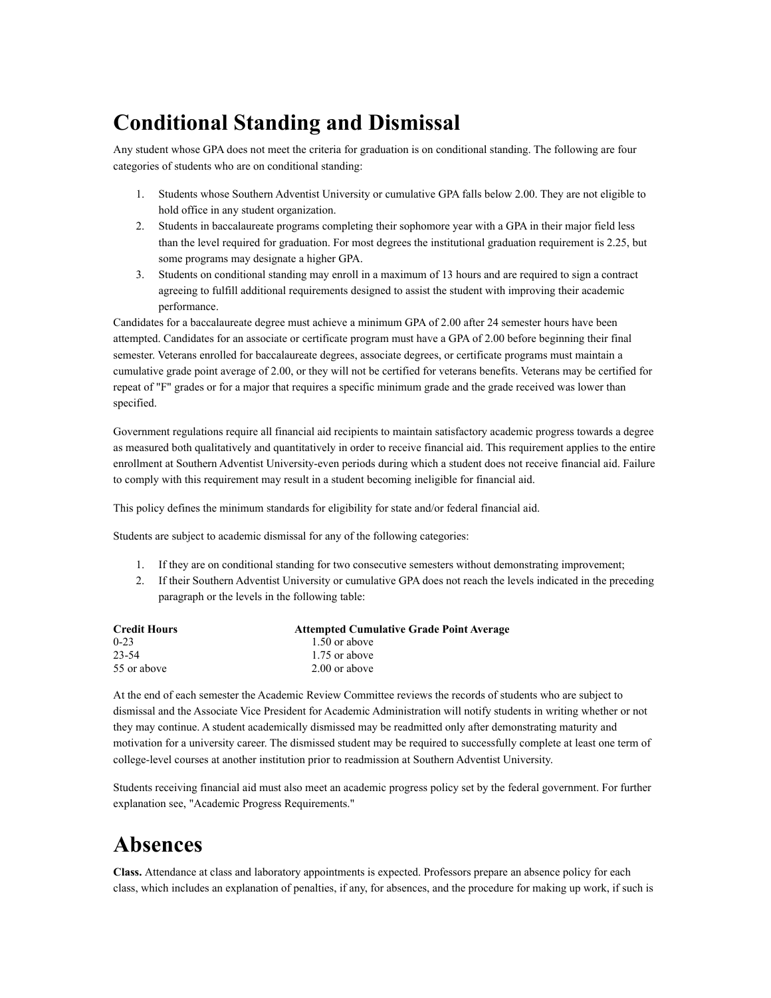## **Conditional Standing and Dismissal**

Any student whose GPA does not meet the criteria for graduation is on conditional standing. The following are four categories of students who are on conditional standing:

- 1. Students whose Southern Adventist University or cumulative GPA falls below 2.00. They are not eligible to hold office in any student organization.
- 2. Students in baccalaureate programs completing their sophomore year with a GPA in their major field less than the level required for graduation. For most degrees the institutional graduation requirement is 2.25, but some programs may designate a higher GPA.
- 3. Students on conditional standing may enroll in a maximum of 13 hours and are required to sign a contract agreeing to fulfill additional requirements designed to assist the student with improving their academic performance.

Candidates for a baccalaureate degree must achieve a minimum GPA of 2.00 after 24 semester hours have been attempted. Candidates for an associate or certificate program must have a GPA of 2.00 before beginning their final semester. Veterans enrolled for baccalaureate degrees, associate degrees, or certificate programs must maintain a cumulative grade point average of 2.00, or they will not be certified for veterans benefits. Veterans may be certified for repeat of "F" grades or for a major that requires a specific minimum grade and the grade received was lower than specified.

Government regulations require all financial aid recipients to maintain satisfactory academic progress towards a degree as measured both qualitatively and quantitatively in order to receive financial aid. This requirement applies to the entire enrollment at Southern Adventist University-even periods during which a student does not receive financial aid. Failure to comply with this requirement may result in a student becoming ineligible for financial aid.

This policy defines the minimum standards for eligibility for state and/or federal financial aid.

Students are subject to academic dismissal for any of the following categories:

- 1. If they are on conditional standing for two consecutive semesters without demonstrating improvement;
- 2. If their Southern Adventist University or cumulative GPA does not reach the levels indicated in the preceding paragraph or the levels in the following table:

| <b>Credit Hours</b> | <b>Attempted Cumulative Grade Point Average</b> |
|---------------------|-------------------------------------------------|
| $0 - 23$            | 1.50 or above                                   |
| 23-54               | 1.75 or above                                   |
| 55 or above         | 2.00 or above                                   |

At the end of each semester the Academic Review Committee reviews the records of students who are subject to dismissal and the Associate Vice President for Academic Administration will notify students in writing whether or not they may continue. A student academically dismissed may be readmitted only after demonstrating maturity and motivation for a university career. The dismissed student may be required to successfully complete at least one term of college-level courses at another institution prior to readmission at Southern Adventist University.

Students receiving financial aid must also meet an academic progress policy set by the federal government. For further explanation see, "Academic Progress Requirements."

## **Absences**

**Class.** Attendance at class and laboratory appointments is expected. Professors prepare an absence policy for each class, which includes an explanation of penalties, if any, for absences, and the procedure for making up work, if such is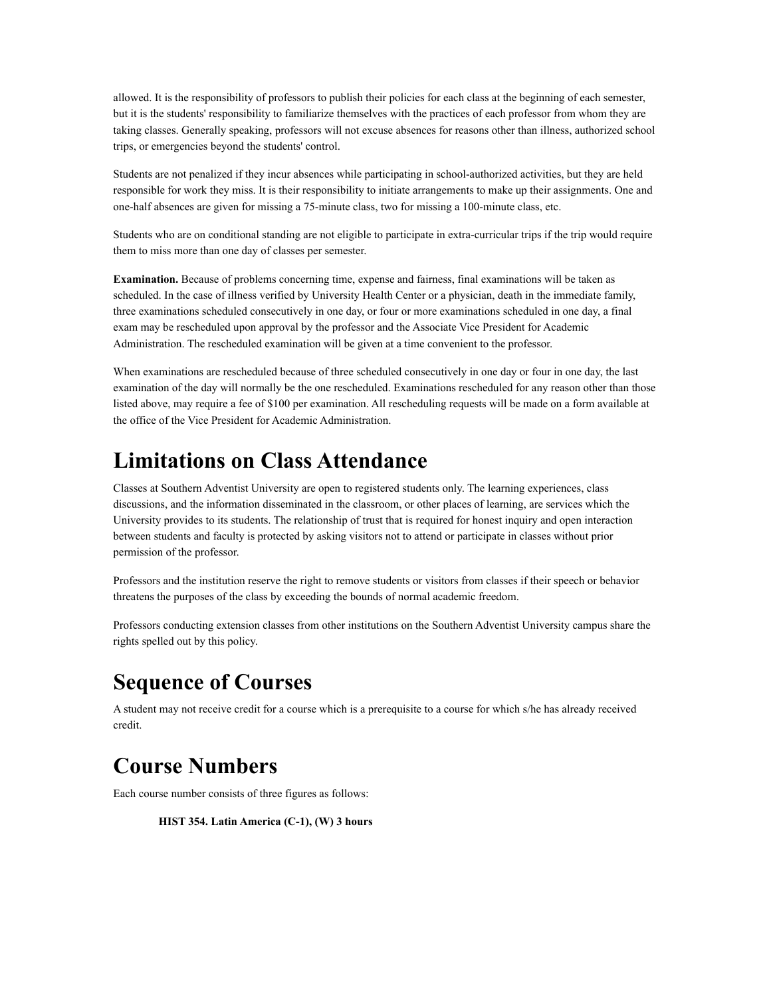allowed. It is the responsibility of professors to publish their policies for each class at the beginning of each semester, but it is the students' responsibility to familiarize themselves with the practices of each professor from whom they are taking classes. Generally speaking, professors will not excuse absences for reasons other than illness, authorized school trips, or emergencies beyond the students' control.

Students are not penalized if they incur absences while participating in school-authorized activities, but they are held responsible for work they miss. It is their responsibility to initiate arrangements to make up their assignments. One and one-half absences are given for missing a 75-minute class, two for missing a 100-minute class, etc.

Students who are on conditional standing are not eligible to participate in extra-curricular trips if the trip would require them to miss more than one day of classes per semester.

**Examination.** Because of problems concerning time, expense and fairness, final examinations will be taken as scheduled. In the case of illness verified by University Health Center or a physician, death in the immediate family, three examinations scheduled consecutively in one day, or four or more examinations scheduled in one day, a final exam may be rescheduled upon approval by the professor and the Associate Vice President for Academic Administration. The rescheduled examination will be given at a time convenient to the professor.

When examinations are rescheduled because of three scheduled consecutively in one day or four in one day, the last examination of the day will normally be the one rescheduled. Examinations rescheduled for any reason other than those listed above, may require a fee of \$100 per examination. All rescheduling requests will be made on a form available at the office of the Vice President for Academic Administration.

## **Limitations on Class Attendance**

Classes at Southern Adventist University are open to registered students only. The learning experiences, class discussions, and the information disseminated in the classroom, or other places of learning, are services which the University provides to its students. The relationship of trust that is required for honest inquiry and open interaction between students and faculty is protected by asking visitors not to attend or participate in classes without prior permission of the professor.

Professors and the institution reserve the right to remove students or visitors from classes if their speech or behavior threatens the purposes of the class by exceeding the bounds of normal academic freedom.

Professors conducting extension classes from other institutions on the Southern Adventist University campus share the rights spelled out by this policy.

## **Sequence of Courses**

A student may not receive credit for a course which is a prerequisite to a course for which s/he has already received credit.

## **Course Numbers**

Each course number consists of three figures as follows:

**HIST 354. Latin America (C-1), (W) 3 hours**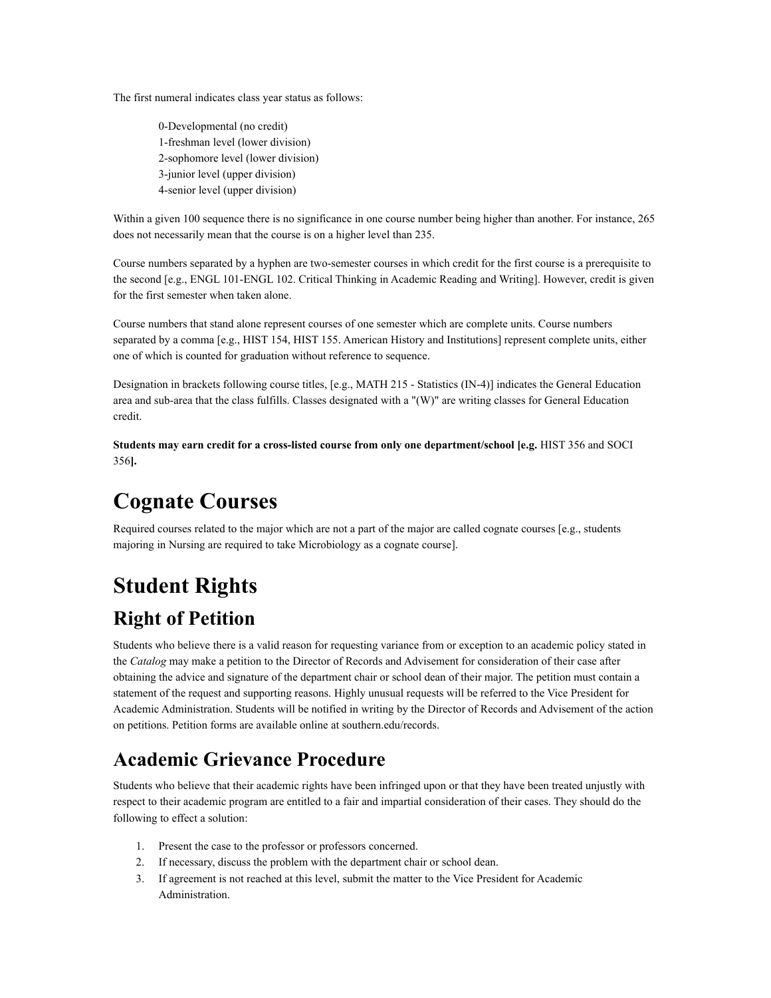The first numeral indicates class year status as follows:

0-Developmental (no credit) 1-freshman level (lower division) 2-sophomore level (lower division) 3-junior level (upper division) 4-senior level (upper division)

Within a given 100 sequence there is no significance in one course number being higher than another. For instance, 265 does not necessarily mean that the course is on a higher level than 235.

Course numbers separated by a hyphen are two-semester courses in which credit for the first course is a prerequisite to the second [e.g., ENGL 101-ENGL 102. Critical Thinking in Academic Reading and Writing]. However, credit is given for the first semester when taken alone.

Course numbers that stand alone represent courses of one semester which are complete units. Course numbers separated by a comma [e.g., HIST 154, HIST 155. American History and Institutions] represent complete units, either one of which is counted for graduation without reference to sequence.

Designation in brackets following course titles, [e.g., MATH 215 - Statistics (IN-4)] indicates the General Education area and sub-area that the class fulfills. Classes designated with a "(W)" are writing classes for General Education credit.

**Students may earn credit for a cross-listed course from only one department/school [e.g.** HIST 356 and SOCI 356**].**

# **Cognate Courses**

Required courses related to the major which are not a part of the major are called cognate courses [e.g., students majoring in Nursing are required to take Microbiology as a cognate course].

# **Student Rights Right of Petition**

Students who believe there is a valid reason for requesting variance from or exception to an academic policy stated in the *Catalog* may make a petition to the Director of Records and Advisement for consideration of their case after obtaining the advice and signature of the department chair or school dean of their major. The petition must contain a statement of the request and supporting reasons. Highly unusual requests will be referred to the Vice President for Academic Administration. Students will be notified in writing by the Director of Records and Advisement of the action on petitions. Petition forms are available online at southern.edu/records.

### **Academic Grievance Procedure**

Students who believe that their academic rights have been infringed upon or that they have been treated unjustly with respect to their academic program are entitled to a fair and impartial consideration of their cases. They should do the following to effect a solution:

- 1. Present the case to the professor or professors concerned.
- 2. If necessary, discuss the problem with the department chair or school dean.
- 3. If agreement is not reached at this level, submit the matter to the Vice President for Academic Administration.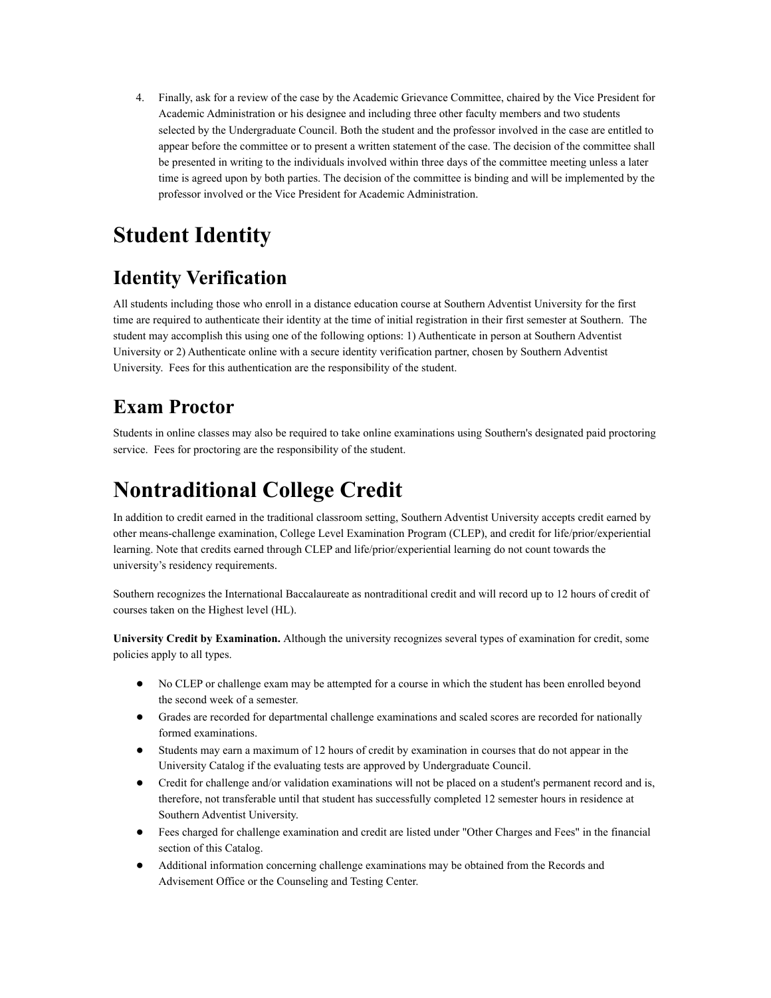4. Finally, ask for a review of the case by the Academic Grievance Committee, chaired by the Vice President for Academic Administration or his designee and including three other faculty members and two students selected by the Undergraduate Council. Both the student and the professor involved in the case are entitled to appear before the committee or to present a written statement of the case. The decision of the committee shall be presented in writing to the individuals involved within three days of the committee meeting unless a later time is agreed upon by both parties. The decision of the committee is binding and will be implemented by the professor involved or the Vice President for Academic Administration.

## **Student Identity**

### **Identity Verification**

All students including those who enroll in a distance education course at Southern Adventist University for the first time are required to authenticate their identity at the time of initial registration in their first semester at Southern. The student may accomplish this using one of the following options: 1) Authenticate in person at Southern Adventist University or 2) Authenticate online with a secure identity verification partner, chosen by Southern Adventist University. Fees for this authentication are the responsibility of the student.

### **Exam Proctor**

Students in online classes may also be required to take online examinations using Southern's designated paid proctoring service. Fees for proctoring are the responsibility of the student.

## **Nontraditional College Credit**

In addition to credit earned in the traditional classroom setting, Southern Adventist University accepts credit earned by other means-challenge examination, College Level Examination Program (CLEP), and credit for life/prior/experiential learning. Note that credits earned through CLEP and life/prior/experiential learning do not count towards the university's residency requirements.

Southern recognizes the International Baccalaureate as nontraditional credit and will record up to 12 hours of credit of courses taken on the Highest level (HL).

**University Credit by Examination.** Although the university recognizes several types of examination for credit, some policies apply to all types.

- No CLEP or challenge exam may be attempted for a course in which the student has been enrolled beyond the second week of a semester.
- Grades are recorded for departmental challenge examinations and scaled scores are recorded for nationally formed examinations.
- Students may earn a maximum of 12 hours of credit by examination in courses that do not appear in the University Catalog if the evaluating tests are approved by Undergraduate Council.
- Credit for challenge and/or validation examinations will not be placed on a student's permanent record and is, therefore, not transferable until that student has successfully completed 12 semester hours in residence at Southern Adventist University.
- Fees charged for challenge examination and credit are listed under "Other Charges and Fees" in the financial section of this Catalog.
- Additional information concerning challenge examinations may be obtained from the Records and Advisement Office or the Counseling and Testing Center.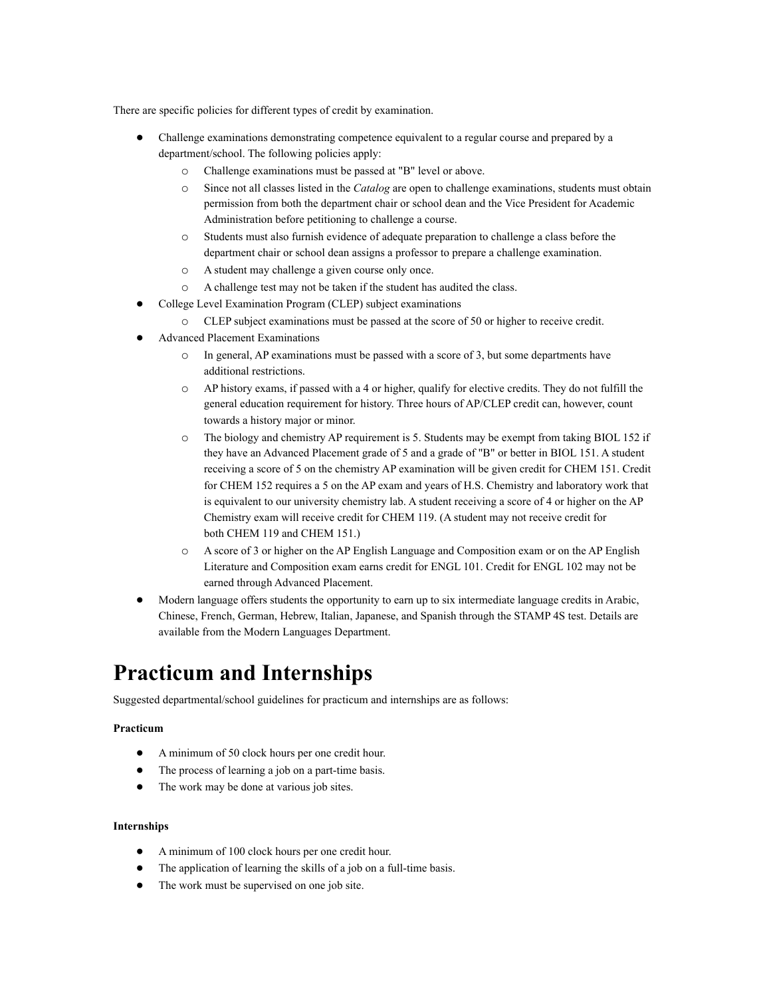There are specific policies for different types of credit by examination.

- Challenge examinations demonstrating competence equivalent to a regular course and prepared by a department/school. The following policies apply:
	- o Challenge examinations must be passed at "B" level or above.
	- o Since not all classes listed in the *Catalog* are open to challenge examinations, students must obtain permission from both the department chair or school dean and the Vice President for Academic Administration before petitioning to challenge a course.
	- o Students must also furnish evidence of adequate preparation to challenge a class before the department chair or school dean assigns a professor to prepare a challenge examination.
	- o A student may challenge a given course only once.
	- o A challenge test may not be taken if the student has audited the class.
- College Level Examination Program (CLEP) subject examinations
	- o CLEP subject examinations must be passed at the score of 50 or higher to receive credit.
- Advanced Placement Examinations
	- $\circ$  In general, AP examinations must be passed with a score of 3, but some departments have additional restrictions.
	- o AP history exams, if passed with a 4 or higher, qualify for elective credits. They do not fulfill the general education requirement for history. Three hours of AP/CLEP credit can, however, count towards a history major or minor.
	- o The biology and chemistry AP requirement is 5. Students may be exempt from taking BIOL 152 if they have an Advanced Placement grade of 5 and a grade of "B" or better in BIOL 151. A student receiving a score of 5 on the chemistry AP examination will be given credit for CHEM 151. Credit for CHEM 152 requires a 5 on the AP exam and years of H.S. Chemistry and laboratory work that is equivalent to our university chemistry lab. A student receiving a score of 4 or higher on the AP Chemistry exam will receive credit for CHEM 119. (A student may not receive credit for both CHEM 119 and CHEM 151.)
	- o A score of 3 or higher on the AP English Language and Composition exam or on the AP English Literature and Composition exam earns credit for ENGL 101. Credit for ENGL 102 may not be earned through Advanced Placement.
- Modern language offers students the opportunity to earn up to six intermediate language credits in Arabic, Chinese, French, German, Hebrew, Italian, Japanese, and Spanish through the STAMP 4S test. Details are available from the Modern Languages Department.

### **Practicum and Internships**

Suggested departmental/school guidelines for practicum and internships are as follows:

#### **Practicum**

- A minimum of 50 clock hours per one credit hour.
- The process of learning a job on a part-time basis.
- The work may be done at various job sites.

#### **Internships**

- A minimum of 100 clock hours per one credit hour.
- The application of learning the skills of a job on a full-time basis.
- The work must be supervised on one job site.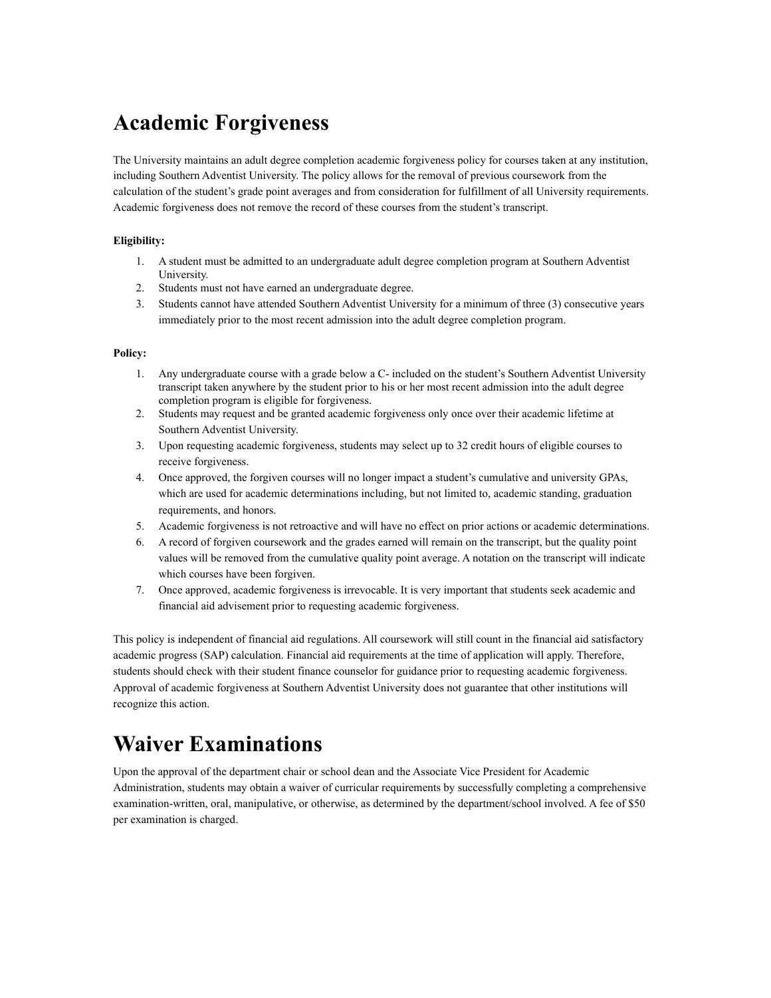## **Academic Forgiveness**

The University maintains an adult degree completion academic forgiveness policy for courses taken at any institution, including Southern Adventist University. The policy allows for the removal of previous coursework from the calculation of the student's grade point averages and from consideration for fulfillment of all University requirements. Academic forgiveness does not remove the record of these courses from the student's transcript.

#### **Eligibility:**

- 1. A student must be admitted to an undergraduate adult degree completion program at Southern Adventist University.
- 2. Students must not have earned an undergraduate degree.
- 3. Students cannot have attended Southern Adventist University for a minimum of three (3) consecutive years immediately prior to the most recent admission into the adult degree completion program.

#### **Policy:**

- 1. Any undergraduate course with a grade below a C- included on the student's Southern Adventist University transcript taken anywhere by the student prior to his or her most recent admission into the adult degree completion program is eligible for forgiveness.
- 2. Students may request and be granted academic forgiveness only once over their academic lifetime at Southern Adventist University.
- 3. Upon requesting academic forgiveness, students may select up to 32 credit hours of eligible courses to receive forgiveness.
- 4. Once approved, the forgiven courses will no longer impact a student's cumulative and university GPAs, which are used for academic determinations including, but not limited to, academic standing, graduation requirements, and honors.
- 5. Academic forgiveness is not retroactive and will have no effect on prior actions or academic determinations.
- 6. A record of forgiven coursework and the grades earned will remain on the transcript, but the quality point values will be removed from the cumulative quality point average. A notation on the transcript will indicate which courses have been forgiven.
- 7. Once approved, academic forgiveness is irrevocable. It is very important that students seek academic and financial aid advisement prior to requesting academic forgiveness.

This policy is independent of financial aid regulations. All coursework will still count in the financial aid satisfactory academic progress (SAP) calculation. Financial aid requirements at the time of application will apply. Therefore, students should check with their student finance counselor for guidance prior to requesting academic forgiveness. Approval of academic forgiveness at Southern Adventist University does not guarantee that other institutions will recognize this action.

## **Waiver Examinations**

Upon the approval of the department chair or school dean and the Associate Vice President for Academic Administration, students may obtain a waiver of curricular requirements by successfully completing a comprehensive examination-written, oral, manipulative, or otherwise, as determined by the department/school involved. A fee of \$50 per examination is charged.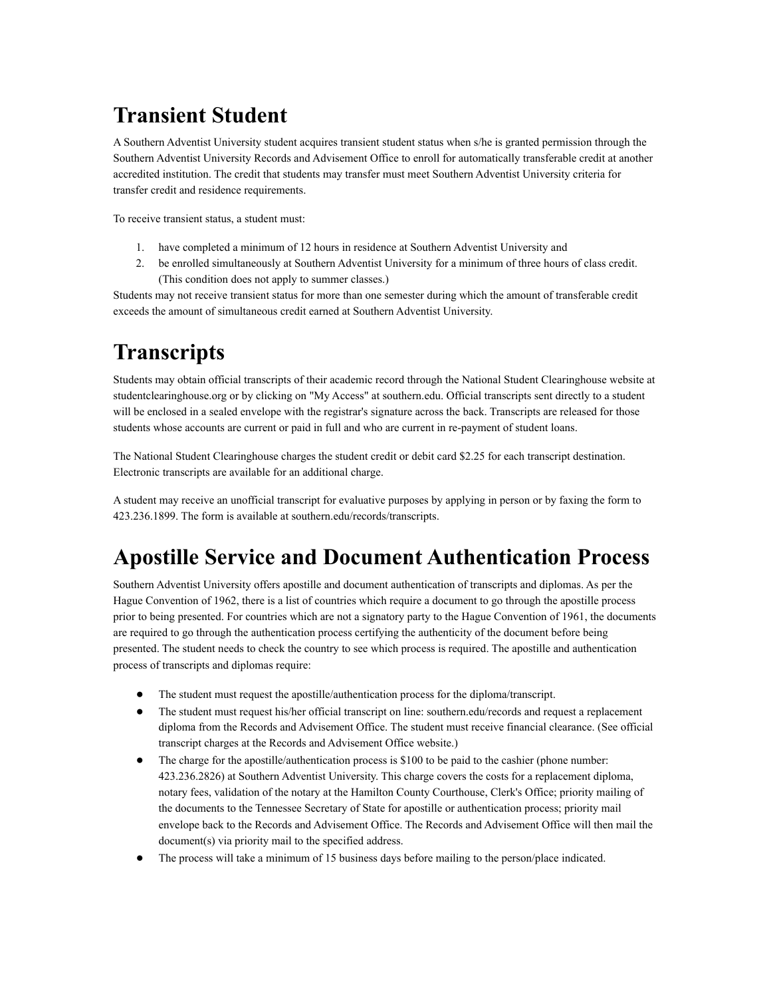# **Transient Student**

A Southern Adventist University student acquires transient student status when s/he is granted permission through the Southern Adventist University Records and Advisement Office to enroll for automatically transferable credit at another accredited institution. The credit that students may transfer must meet Southern Adventist University criteria for transfer credit and residence requirements.

To receive transient status, a student must:

- 1. have completed a minimum of 12 hours in residence at Southern Adventist University and
- 2. be enrolled simultaneously at Southern Adventist University for a minimum of three hours of class credit. (This condition does not apply to summer classes.)

Students may not receive transient status for more than one semester during which the amount of transferable credit exceeds the amount of simultaneous credit earned at Southern Adventist University.

## **Transcripts**

Students may obtain official transcripts of their academic record through the National Student Clearinghouse website at studentclearinghouse.org or by clicking on "My Access" at southern.edu. Official transcripts sent directly to a student will be enclosed in a sealed envelope with the registrar's signature across the back. Transcripts are released for those students whose accounts are current or paid in full and who are current in re-payment of student loans.

The National Student Clearinghouse charges the student credit or debit card \$2.25 for each transcript destination. Electronic transcripts are available for an additional charge.

A student may receive an unofficial transcript for evaluative purposes by applying in person or by faxing the form to 423.236.1899. The form is available at southern.edu/records/transcripts.

## **Apostille Service and Document Authentication Process**

Southern Adventist University offers apostille and document authentication of transcripts and diplomas. As per the Hague Convention of 1962, there is a list of countries which require a document to go through the apostille process prior to being presented. For countries which are not a signatory party to the Hague Convention of 1961, the documents are required to go through the authentication process certifying the authenticity of the document before being presented. The student needs to check the country to see which process is required. The apostille and authentication process of transcripts and diplomas require:

- The student must request the apostille/authentication process for the diploma/transcript.
- The student must request his/her official transcript on line: southern.edu/records and request a replacement diploma from the Records and Advisement Office. The student must receive financial clearance. (See official transcript charges at the Records and Advisement Office website.)
- The charge for the apostille/authentication process is \$100 to be paid to the cashier (phone number: 423.236.2826) at Southern Adventist University. This charge covers the costs for a replacement diploma, notary fees, validation of the notary at the Hamilton County Courthouse, Clerk's Office; priority mailing of the documents to the Tennessee Secretary of State for apostille or authentication process; priority mail envelope back to the Records and Advisement Office. The Records and Advisement Office will then mail the document(s) via priority mail to the specified address.
- The process will take a minimum of 15 business days before mailing to the person/place indicated.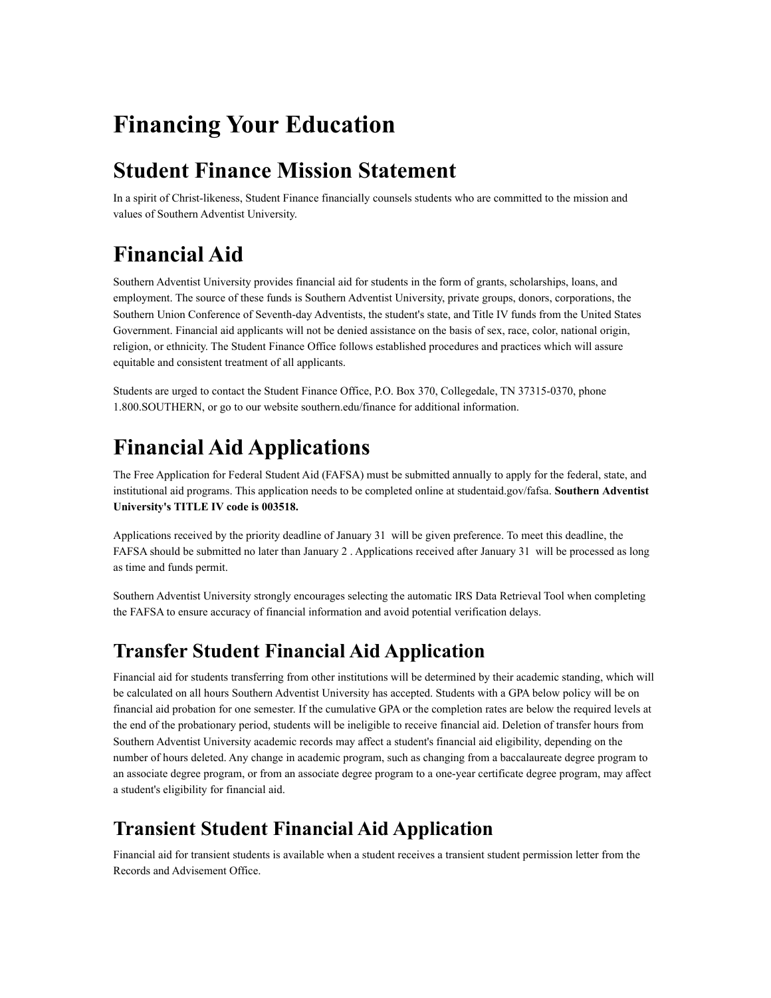# **Financing Your Education**

## **Student Finance Mission Statement**

In a spirit of Christ-likeness, Student Finance financially counsels students who are committed to the mission and values of Southern Adventist University.

# **Financial Aid**

Southern Adventist University provides financial aid for students in the form of grants, scholarships, loans, and employment. The source of these funds is Southern Adventist University, private groups, donors, corporations, the Southern Union Conference of Seventh-day Adventists, the student's state, and Title IV funds from the United States Government. Financial aid applicants will not be denied assistance on the basis of sex, race, color, national origin, religion, or ethnicity. The Student Finance Office follows established procedures and practices which will assure equitable and consistent treatment of all applicants.

Students are urged to contact the Student Finance Office, P.O. Box 370, Collegedale, TN 37315-0370, phone 1.800.SOUTHERN, or go to our website southern.edu/finance for additional information.

# **Financial Aid Applications**

The Free Application for Federal Student Aid (FAFSA) must be submitted annually to apply for the federal, state, and institutional aid programs. This application needs to be completed online at studentaid.gov/fafsa. **Southern Adventist University's TITLE IV code is 003518.**

Applications received by the priority deadline of January 31 will be given preference. To meet this deadline, the FAFSA should be submitted no later than January 2 . Applications received after January 31 will be processed as long as time and funds permit.

Southern Adventist University strongly encourages selecting the automatic IRS Data Retrieval Tool when completing the FAFSA to ensure accuracy of financial information and avoid potential verification delays.

### **Transfer Student Financial Aid Application**

Financial aid for students transferring from other institutions will be determined by their academic standing, which will be calculated on all hours Southern Adventist University has accepted. Students with a GPA below policy will be on financial aid probation for one semester. If the cumulative GPA or the completion rates are below the required levels at the end of the probationary period, students will be ineligible to receive financial aid. Deletion of transfer hours from Southern Adventist University academic records may affect a student's financial aid eligibility, depending on the number of hours deleted. Any change in academic program, such as changing from a baccalaureate degree program to an associate degree program, or from an associate degree program to a one-year certificate degree program, may affect a student's eligibility for financial aid.

### **Transient Student Financial Aid Application**

Financial aid for transient students is available when a student receives a transient student permission letter from the Records and Advisement Office.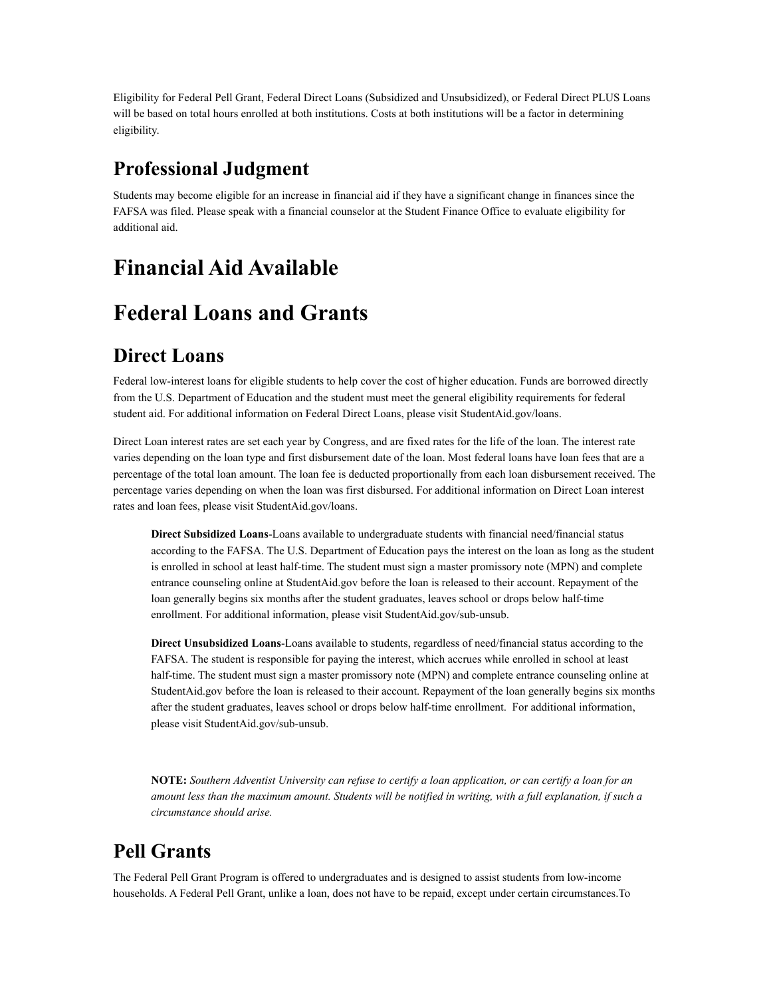Eligibility for Federal Pell Grant, Federal Direct Loans (Subsidized and Unsubsidized), or Federal Direct PLUS Loans will be based on total hours enrolled at both institutions. Costs at both institutions will be a factor in determining eligibility.

### **Professional Judgment**

Students may become eligible for an increase in financial aid if they have a significant change in finances since the FAFSA was filed. Please speak with a financial counselor at the Student Finance Office to evaluate eligibility for additional aid.

## **Financial Aid Available**

## **Federal Loans and Grants**

### **Direct Loans**

Federal low-interest loans for eligible students to help cover the cost of higher education. Funds are borrowed directly from the U.S. Department of Education and the student must meet the general eligibility requirements for federal student aid. For additional information on Federal Direct Loans, please visit StudentAid.gov/loans.

Direct Loan interest rates are set each year by Congress, and are fixed rates for the life of the loan. The interest rate varies depending on the loan type and first disbursement date of the loan. Most federal loans have loan fees that are a percentage of the total loan amount. The loan fee is deducted proportionally from each loan disbursement received. The percentage varies depending on when the loan was first disbursed. For additional information on Direct Loan interest rates and loan fees, please visit StudentAid.gov/loans.

**Direct Subsidized Loans**-Loans available to undergraduate students with financial need/financial status according to the FAFSA. The U.S. Department of Education pays the interest on the loan as long as the student is enrolled in school at least half-time. The student must sign a master promissory note (MPN) and complete entrance counseling online at StudentAid.gov before the loan is released to their account. Repayment of the loan generally begins six months after the student graduates, leaves school or drops below half-time enrollment. For additional information, please visit StudentAid.gov/sub-unsub.

**Direct Unsubsidized Loans**-Loans available to students, regardless of need/financial status according to the FAFSA. The student is responsible for paying the interest, which accrues while enrolled in school at least half-time. The student must sign a master promissory note (MPN) and complete entrance counseling online at StudentAid.gov before the loan is released to their account. Repayment of the loan generally begins six months after the student graduates, leaves school or drops below half-time enrollment. For additional information, please visit StudentAid.gov/sub-unsub.

**NOTE:** *Southern Adventist University can refuse to certify a loan application, or can certify a loan for an amount less than the maximum amount. Students will be notified in writing, with a full explanation, if such a circumstance should arise.*

### **Pell Grants**

The Federal Pell Grant Program is offered to undergraduates and is designed to assist students from low-income households. A Federal Pell Grant, unlike a loan, does not have to be repaid, except under certain circumstances.To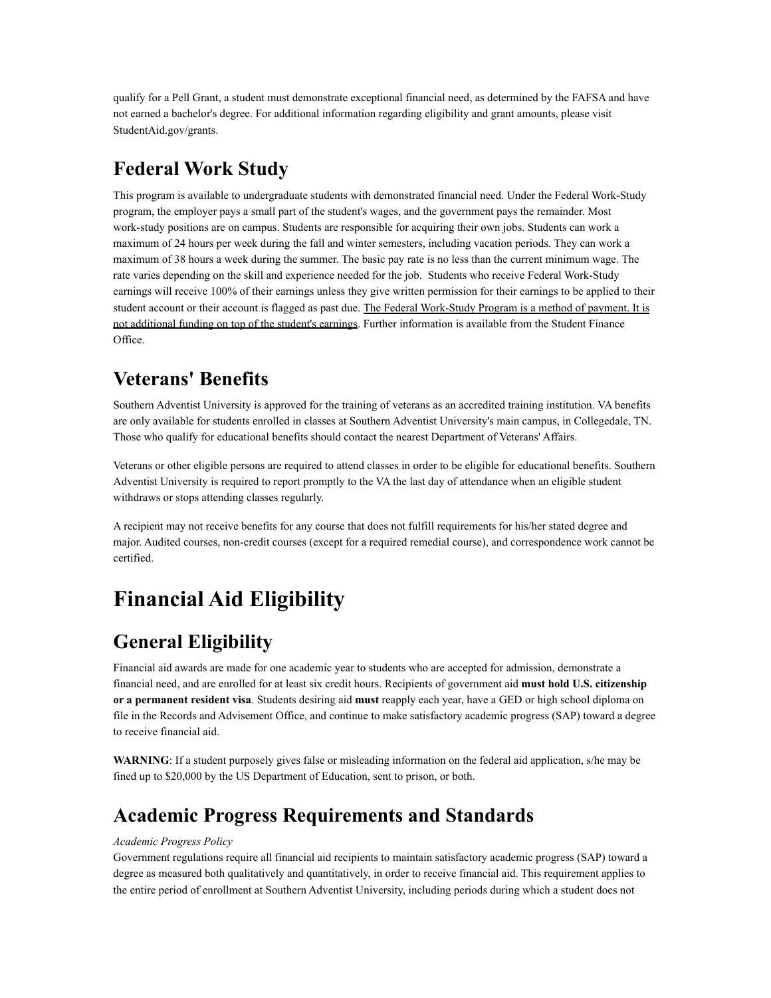qualify for a Pell Grant, a student must demonstrate exceptional financial need, as determined by the FAFSA and have not earned a bachelor's degree. For additional information regarding eligibility and grant amounts, please visit StudentAid.gov/grants.

### **Federal Work Study**

This program is available to undergraduate students with demonstrated financial need. Under the Federal Work-Study program, the employer pays a small part of the student's wages, and the government pays the remainder. Most work-study positions are on campus. Students are responsible for acquiring their own jobs. Students can work a maximum of 24 hours per week during the fall and winter semesters, including vacation periods. They can work a maximum of 38 hours a week during the summer. The basic pay rate is no less than the current minimum wage. The rate varies depending on the skill and experience needed for the job. Students who receive Federal Work-Study earnings will receive 100% of their earnings unless they give written permission for their earnings to be applied to their student account or their account is flagged as past due. The Federal Work-Study Program is a method of payment. It is not additional funding on top of the student's earnings. Further information is available from the Student Finance Office.

### **Veterans' Benefits**

Southern Adventist University is approved for the training of veterans as an accredited training institution. VA benefits are only available for students enrolled in classes at Southern Adventist University's main campus, in Collegedale, TN. Those who qualify for educational benefits should contact the nearest Department of Veterans' Affairs.

Veterans or other eligible persons are required to attend classes in order to be eligible for educational benefits. Southern Adventist University is required to report promptly to the VA the last day of attendance when an eligible student withdraws or stops attending classes regularly.

A recipient may not receive benefits for any course that does not fulfill requirements for his/her stated degree and major. Audited courses, non-credit courses (except for a required remedial course), and correspondence work cannot be certified.

# **Financial Aid Eligibility**

### **General Eligibility**

Financial aid awards are made for one academic year to students who are accepted for admission, demonstrate a financial need, and are enrolled for at least six credit hours. Recipients of government aid **must hold U.S. citizenship or a permanent resident visa**. Students desiring aid **must** reapply each year, have a GED or high school diploma on file in the Records and Advisement Office, and continue to make satisfactory academic progress (SAP) toward a degree to receive financial aid.

**WARNING**: If a student purposely gives false or misleading information on the federal aid application, s/he may be fined up to \$20,000 by the US Department of Education, sent to prison, or both.

### **Academic Progress Requirements and Standards**

#### *Academic Progress Policy*

Government regulations require all financial aid recipients to maintain satisfactory academic progress (SAP) toward a degree as measured both qualitatively and quantitatively, in order to receive financial aid. This requirement applies to the entire period of enrollment at Southern Adventist University, including periods during which a student does not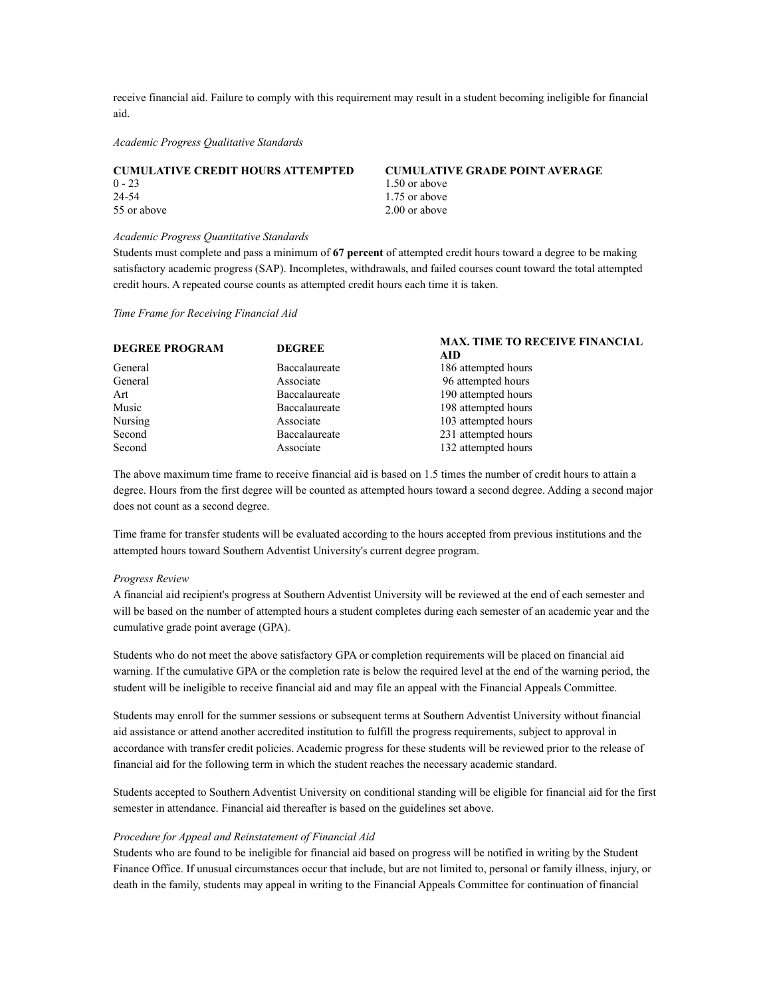receive financial aid. Failure to comply with this requirement may result in a student becoming ineligible for financial aid.

*Academic Progress Qualitative Standards*

| <b>CUMULATIVE CREDIT HOURS ATTEMPTED</b> | <b>CUMULATIVE GRADE POINT AVERAGE</b> |
|------------------------------------------|---------------------------------------|
| $0 - 23$                                 | 1.50 or above                         |
| 24-54                                    | 1.75 or above                         |
| 55 or above                              | 2.00 or above                         |

#### *Academic Progress Quantitative Standards*

Students must complete and pass a minimum of **67 percent** of attempted credit hours toward a degree to be making satisfactory academic progress (SAP). Incompletes, withdrawals, and failed courses count toward the total attempted credit hours. A repeated course counts as attempted credit hours each time it is taken.

*Time Frame for Receiving Financial Aid*

| <b>DEGREE PROGRAM</b> | <b>DEGREE</b> | <b>MAX. TIME TO RECEIVE FINANCIAL</b><br>AID. |
|-----------------------|---------------|-----------------------------------------------|
| General               | Baccalaureate | 186 attempted hours                           |
| General               | Associate     | 96 attempted hours                            |
| Art                   | Baccalaureate | 190 attempted hours                           |
| Music                 | Baccalaureate | 198 attempted hours                           |
| <b>Nursing</b>        | Associate     | 103 attempted hours                           |
| Second                | Baccalaureate | 231 attempted hours                           |
| Second                | Associate     | 132 attempted hours                           |

The above maximum time frame to receive financial aid is based on 1.5 times the number of credit hours to attain a degree. Hours from the first degree will be counted as attempted hours toward a second degree. Adding a second major does not count as a second degree.

Time frame for transfer students will be evaluated according to the hours accepted from previous institutions and the attempted hours toward Southern Adventist University's current degree program.

#### *Progress Review*

A financial aid recipient's progress at Southern Adventist University will be reviewed at the end of each semester and will be based on the number of attempted hours a student completes during each semester of an academic year and the cumulative grade point average (GPA).

Students who do not meet the above satisfactory GPA or completion requirements will be placed on financial aid warning. If the cumulative GPA or the completion rate is below the required level at the end of the warning period, the student will be ineligible to receive financial aid and may file an appeal with the Financial Appeals Committee.

Students may enroll for the summer sessions or subsequent terms at Southern Adventist University without financial aid assistance or attend another accredited institution to fulfill the progress requirements, subject to approval in accordance with transfer credit policies. Academic progress for these students will be reviewed prior to the release of financial aid for the following term in which the student reaches the necessary academic standard.

Students accepted to Southern Adventist University on conditional standing will be eligible for financial aid for the first semester in attendance. Financial aid thereafter is based on the guidelines set above.

#### *Procedure for Appeal and Reinstatement of Financial Aid*

Students who are found to be ineligible for financial aid based on progress will be notified in writing by the Student Finance Office. If unusual circumstances occur that include, but are not limited to, personal or family illness, injury, or death in the family, students may appeal in writing to the Financial Appeals Committee for continuation of financial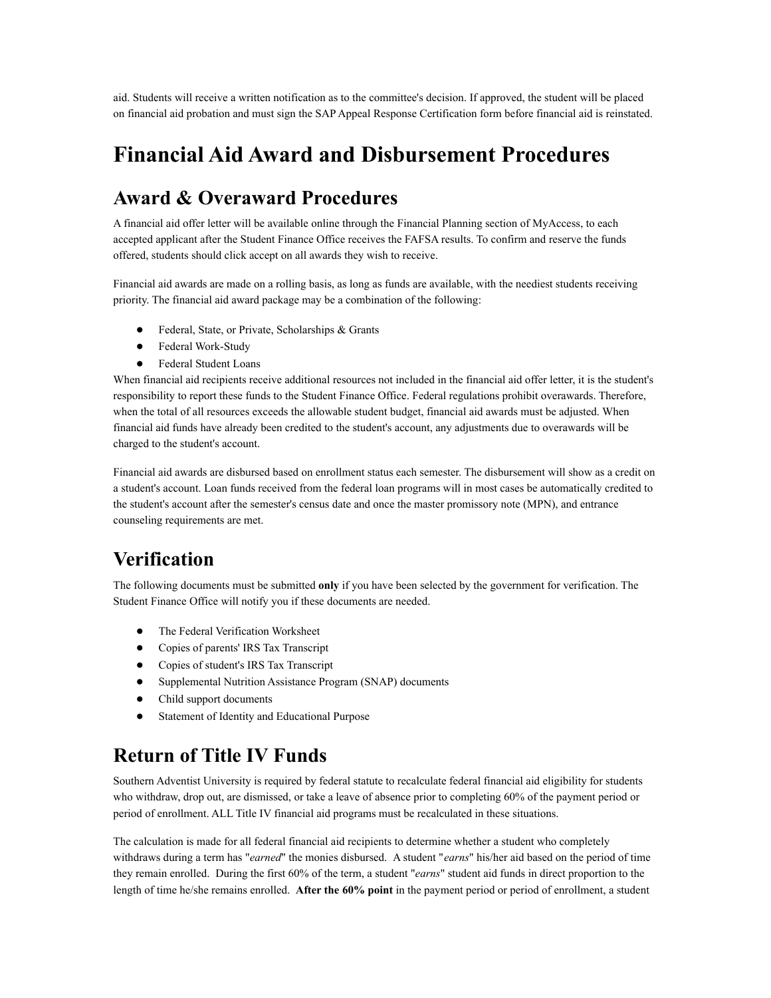aid. Students will receive a written notification as to the committee's decision. If approved, the student will be placed on financial aid probation and must sign the SAP Appeal Response Certification form before financial aid is reinstated.

### **Financial Aid Award and Disbursement Procedures**

### **Award & Overaward Procedures**

A financial aid offer letter will be available online through the Financial Planning section of MyAccess, to each accepted applicant after the Student Finance Office receives the FAFSA results. To confirm and reserve the funds offered, students should click accept on all awards they wish to receive.

Financial aid awards are made on a rolling basis, as long as funds are available, with the neediest students receiving priority. The financial aid award package may be a combination of the following:

- Federal, State, or Private, Scholarships & Grants
- Federal Work-Study
- Federal Student Loans

When financial aid recipients receive additional resources not included in the financial aid offer letter, it is the student's responsibility to report these funds to the Student Finance Office. Federal regulations prohibit overawards. Therefore, when the total of all resources exceeds the allowable student budget, financial aid awards must be adjusted. When financial aid funds have already been credited to the student's account, any adjustments due to overawards will be charged to the student's account.

Financial aid awards are disbursed based on enrollment status each semester. The disbursement will show as a credit on a student's account. Loan funds received from the federal loan programs will in most cases be automatically credited to the student's account after the semester's census date and once the master promissory note (MPN), and entrance counseling requirements are met.

### **Verification**

The following documents must be submitted **only** if you have been selected by the government for verification. The Student Finance Office will notify you if these documents are needed.

- The Federal Verification Worksheet
- Copies of parents' IRS Tax Transcript
- Copies of student's IRS Tax Transcript
- Supplemental Nutrition Assistance Program (SNAP) documents
- Child support documents
- Statement of Identity and Educational Purpose

### **Return of Title IV Funds**

Southern Adventist University is required by federal statute to recalculate federal financial aid eligibility for students who withdraw, drop out, are dismissed, or take a leave of absence prior to completing 60% of the payment period or period of enrollment. ALL Title IV financial aid programs must be recalculated in these situations.

The calculation is made for all federal financial aid recipients to determine whether a student who completely withdraws during a term has "*earned*" the monies disbursed. A student "*earns*" his/her aid based on the period of time they remain enrolled. During the first 60% of the term, a student "*earns*" student aid funds in direct proportion to the length of time he/she remains enrolled. **After the 60% point** in the payment period or period of enrollment, a student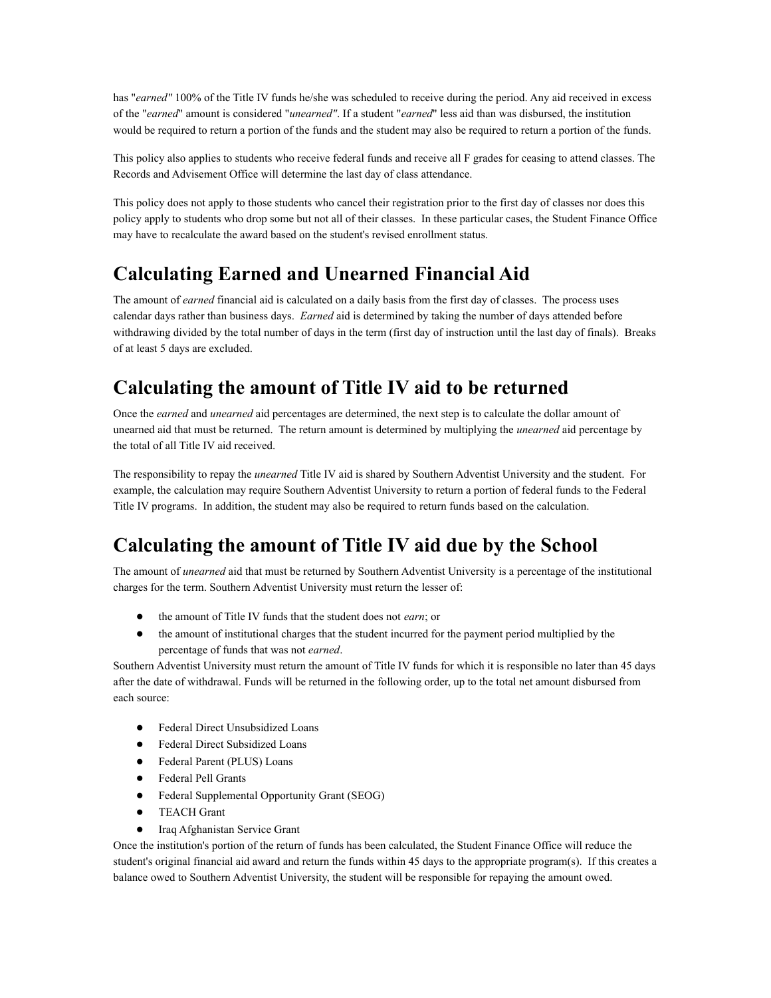has "*earned"* 100% of the Title IV funds he/she was scheduled to receive during the period. Any aid received in excess of the "*earned*" amount is considered "*unearned"*. If a student "*earned*" less aid than was disbursed, the institution would be required to return a portion of the funds and the student may also be required to return a portion of the funds.

This policy also applies to students who receive federal funds and receive all F grades for ceasing to attend classes. The Records and Advisement Office will determine the last day of class attendance.

This policy does not apply to those students who cancel their registration prior to the first day of classes nor does this policy apply to students who drop some but not all of their classes. In these particular cases, the Student Finance Office may have to recalculate the award based on the student's revised enrollment status.

### **Calculating Earned and Unearned Financial Aid**

The amount of *earned* financial aid is calculated on a daily basis from the first day of classes. The process uses calendar days rather than business days. *Earned* aid is determined by taking the number of days attended before withdrawing divided by the total number of days in the term (first day of instruction until the last day of finals). Breaks of at least 5 days are excluded.

### **Calculating the amount of Title IV aid to be returned**

Once the *earned* and *unearned* aid percentages are determined, the next step is to calculate the dollar amount of unearned aid that must be returned. The return amount is determined by multiplying the *unearned* aid percentage by the total of all Title IV aid received.

The responsibility to repay the *unearned* Title IV aid is shared by Southern Adventist University and the student. For example, the calculation may require Southern Adventist University to return a portion of federal funds to the Federal Title IV programs. In addition, the student may also be required to return funds based on the calculation.

### **Calculating the amount of Title IV aid due by the School**

The amount of *unearned* aid that must be returned by Southern Adventist University is a percentage of the institutional charges for the term. Southern Adventist University must return the lesser of:

- the amount of Title IV funds that the student does not *earn*; or
- the amount of institutional charges that the student incurred for the payment period multiplied by the percentage of funds that was not *earned*.

Southern Adventist University must return the amount of Title IV funds for which it is responsible no later than 45 days after the date of withdrawal. Funds will be returned in the following order, up to the total net amount disbursed from each source:

- Federal Direct Unsubsidized Loans
- Federal Direct Subsidized Loans
- Federal Parent (PLUS) Loans
- Federal Pell Grants
- Federal Supplemental Opportunity Grant (SEOG)
- TEACH Grant
- Iraq Afghanistan Service Grant

Once the institution's portion of the return of funds has been calculated, the Student Finance Office will reduce the student's original financial aid award and return the funds within 45 days to the appropriate program(s). If this creates a balance owed to Southern Adventist University, the student will be responsible for repaying the amount owed.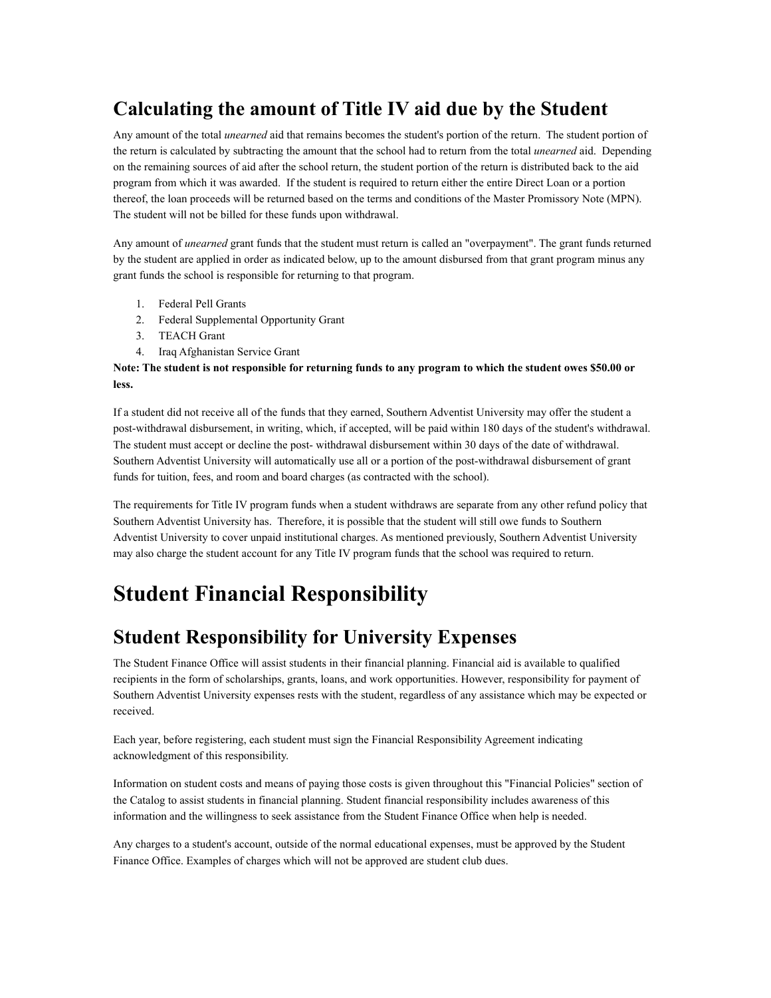### **Calculating the amount of Title IV aid due by the Student**

Any amount of the total *unearned* aid that remains becomes the student's portion of the return. The student portion of the return is calculated by subtracting the amount that the school had to return from the total *unearned* aid. Depending on the remaining sources of aid after the school return, the student portion of the return is distributed back to the aid program from which it was awarded. If the student is required to return either the entire Direct Loan or a portion thereof, the loan proceeds will be returned based on the terms and conditions of the Master Promissory Note (MPN). The student will not be billed for these funds upon withdrawal.

Any amount of *unearned* grant funds that the student must return is called an "overpayment". The grant funds returned by the student are applied in order as indicated below, up to the amount disbursed from that grant program minus any grant funds the school is responsible for returning to that program.

- 1. Federal Pell Grants
- 2. Federal Supplemental Opportunity Grant
- 3. TEACH Grant
- 4. Iraq Afghanistan Service Grant

#### **Note: The student is not responsible for returning funds to any program to which the student owes \$50.00 or less.**

If a student did not receive all of the funds that they earned, Southern Adventist University may offer the student a post-withdrawal disbursement, in writing, which, if accepted, will be paid within 180 days of the student's withdrawal. The student must accept or decline the post- withdrawal disbursement within 30 days of the date of withdrawal. Southern Adventist University will automatically use all or a portion of the post-withdrawal disbursement of grant funds for tuition, fees, and room and board charges (as contracted with the school).

The requirements for Title IV program funds when a student withdraws are separate from any other refund policy that Southern Adventist University has. Therefore, it is possible that the student will still owe funds to Southern Adventist University to cover unpaid institutional charges. As mentioned previously, Southern Adventist University may also charge the student account for any Title IV program funds that the school was required to return.

## **Student Financial Responsibility**

### **Student Responsibility for University Expenses**

The Student Finance Office will assist students in their financial planning. Financial aid is available to qualified recipients in the form of scholarships, grants, loans, and work opportunities. However, responsibility for payment of Southern Adventist University expenses rests with the student, regardless of any assistance which may be expected or received.

Each year, before registering, each student must sign the Financial Responsibility Agreement indicating acknowledgment of this responsibility.

Information on student costs and means of paying those costs is given throughout this "Financial Policies" section of the Catalog to assist students in financial planning. Student financial responsibility includes awareness of this information and the willingness to seek assistance from the Student Finance Office when help is needed.

Any charges to a student's account, outside of the normal educational expenses, must be approved by the Student Finance Office. Examples of charges which will not be approved are student club dues.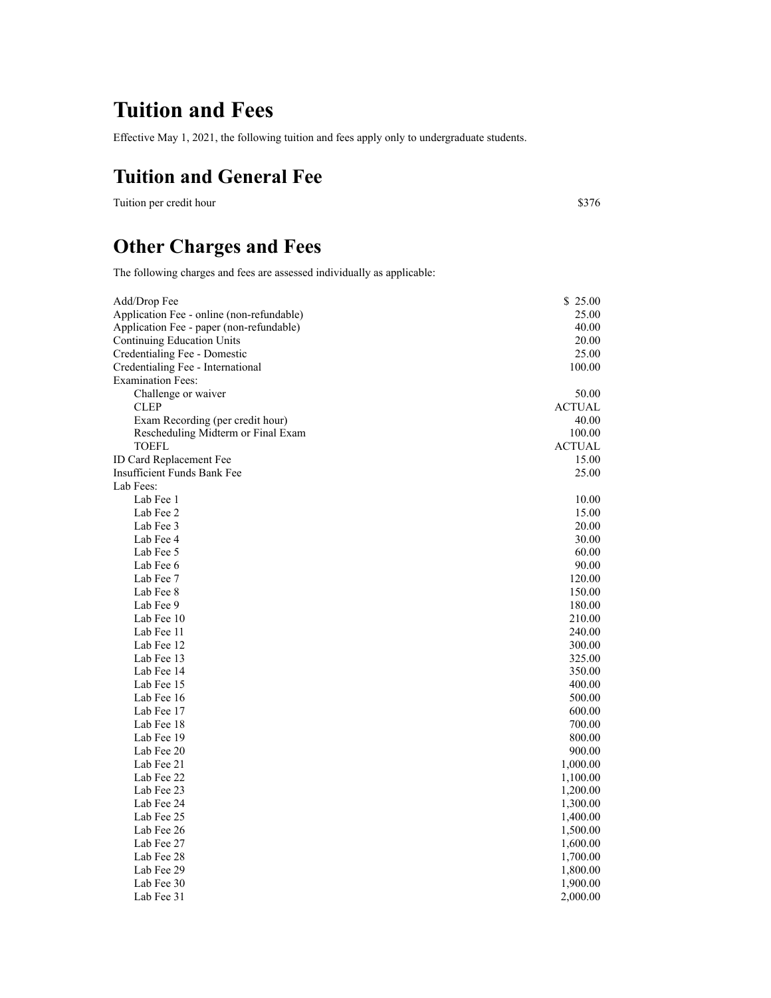## **Tuition and Fees**

Effective May 1, 2021, the following tuition and fees apply only to undergraduate students.

### **Tuition and General Fee**

Tuition per credit hour \$376

### **Other Charges and Fees**

The following charges and fees are assessed individually as applicable:

| Add/Drop Fee                              | \$25.00       |
|-------------------------------------------|---------------|
| Application Fee - online (non-refundable) | 25.00         |
| Application Fee - paper (non-refundable)  | 40.00         |
| <b>Continuing Education Units</b>         | 20.00         |
| Credentialing Fee - Domestic              | 25.00         |
| Credentialing Fee - International         | 100.00        |
| <b>Examination Fees:</b>                  |               |
| Challenge or waiver                       | 50.00         |
| <b>CLEP</b>                               | <b>ACTUAL</b> |
| Exam Recording (per credit hour)          | 40.00         |
| Rescheduling Midterm or Final Exam        | 100.00        |
| <b>TOEFL</b>                              | <b>ACTUAL</b> |
| ID Card Replacement Fee                   | 15.00         |
| Insufficient Funds Bank Fee               | 25.00         |
| Lab Fees:                                 |               |
| Lab Fee 1                                 | 10.00         |
| Lab Fee 2                                 | 15.00         |
| Lab Fee 3                                 | 20.00         |
| Lab Fee 4                                 | 30.00         |
| Lab Fee 5                                 | 60.00         |
| Lab Fee 6                                 | 90.00         |
| Lab Fee 7                                 | 120.00        |
| Lab Fee 8                                 | 150.00        |
| Lab Fee 9                                 | 180.00        |
| Lab Fee 10                                | 210.00        |
| Lab Fee 11                                | 240.00        |
| Lab Fee 12                                | 300.00        |
| Lab Fee 13                                | 325.00        |
| Lab Fee 14                                | 350.00        |
| Lab Fee 15                                | 400.00        |
| Lab Fee 16                                | 500.00        |
| Lab Fee 17                                | 600.00        |
| Lab Fee 18                                | 700.00        |
| Lab Fee 19                                | 800.00        |
| Lab Fee 20                                | 900.00        |
| Lab Fee 21                                | 1,000.00      |
| Lab Fee 22                                | 1,100.00      |
| Lab Fee 23                                | 1,200.00      |
| Lab Fee 24                                | 1,300.00      |
| Lab Fee 25                                | 1,400.00      |
| Lab Fee 26                                | 1,500.00      |
| Lab Fee 27                                | 1,600.00      |
| Lab Fee 28                                | 1,700.00      |
| Lab Fee 29                                | 1,800.00      |
| Lab Fee 30                                | 1,900.00      |
| Lab Fee 31                                | 2,000.00      |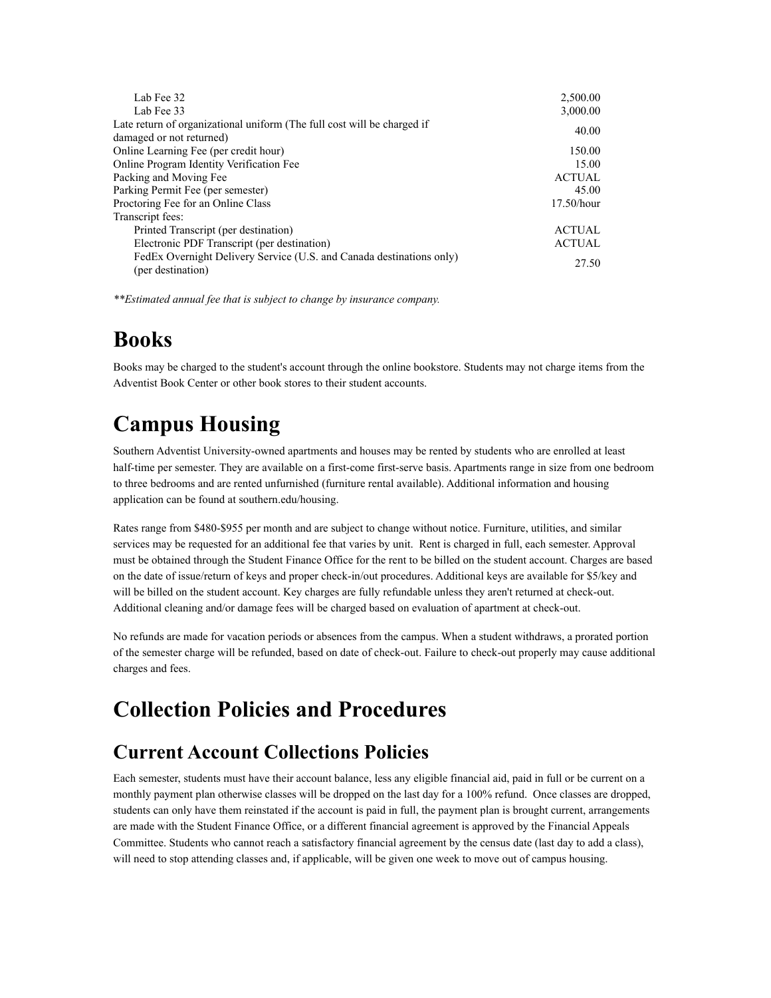| Lab Fee 32                                                              | 2,500.00      |
|-------------------------------------------------------------------------|---------------|
| Lab Fee 33                                                              | 3,000.00      |
| Late return of organizational uniform (The full cost will be charged if | 40.00         |
| damaged or not returned)                                                |               |
| Online Learning Fee (per credit hour)                                   | 150.00        |
| Online Program Identity Verification Fee                                | 15.00         |
| Packing and Moving Fee                                                  | <b>ACTUAL</b> |
| Parking Permit Fee (per semester)                                       | 45.00         |
| Proctoring Fee for an Online Class                                      | $17.50/h$ our |
| Transcript fees:                                                        |               |
| Printed Transcript (per destination)                                    | <b>ACTUAL</b> |
| Electronic PDF Transcript (per destination)                             | <b>ACTUAL</b> |
| FedEx Overnight Delivery Service (U.S. and Canada destinations only)    |               |
| (per destination)                                                       | 27.50         |
|                                                                         |               |

*\*\*Estimated annual fee that is subject to change by insurance company.*

## **Books**

Books may be charged to the student's account through the online bookstore. Students may not charge items from the Adventist Book Center or other book stores to their student accounts.

# **Campus Housing**

Southern Adventist University-owned apartments and houses may be rented by students who are enrolled at least half-time per semester. They are available on a first-come first-serve basis. Apartments range in size from one bedroom to three bedrooms and are rented unfurnished (furniture rental available). Additional information and housing application can be found at southern.edu/housing.

Rates range from \$480-\$955 per month and are subject to change without notice. Furniture, utilities, and similar services may be requested for an additional fee that varies by unit. Rent is charged in full, each semester. Approval must be obtained through the Student Finance Office for the rent to be billed on the student account. Charges are based on the date of issue/return of keys and proper check-in/out procedures. Additional keys are available for \$5/key and will be billed on the student account. Key charges are fully refundable unless they aren't returned at check-out. Additional cleaning and/or damage fees will be charged based on evaluation of apartment at check-out.

No refunds are made for vacation periods or absences from the campus. When a student withdraws, a prorated portion of the semester charge will be refunded, based on date of check-out. Failure to check-out properly may cause additional charges and fees.

## **Collection Policies and Procedures**

### **Current Account Collections Policies**

Each semester, students must have their account balance, less any eligible financial aid, paid in full or be current on a monthly payment plan otherwise classes will be dropped on the last day for a 100% refund. Once classes are dropped, students can only have them reinstated if the account is paid in full, the payment plan is brought current, arrangements are made with the Student Finance Office, or a different financial agreement is approved by the Financial Appeals Committee. Students who cannot reach a satisfactory financial agreement by the census date (last day to add a class), will need to stop attending classes and, if applicable, will be given one week to move out of campus housing.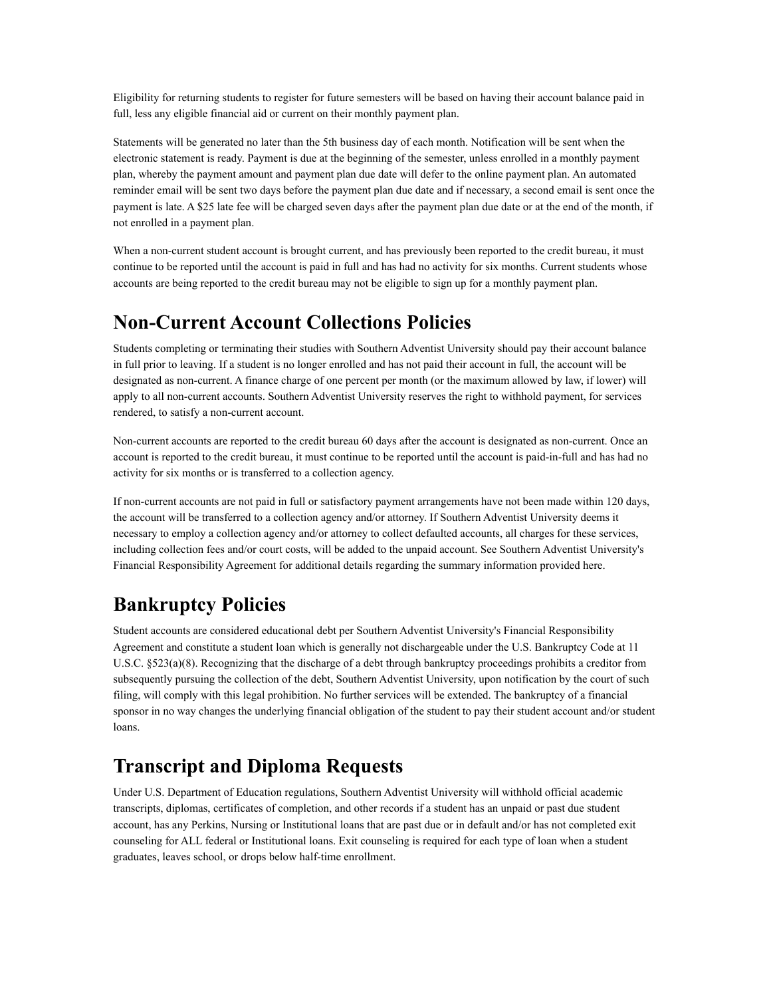Eligibility for returning students to register for future semesters will be based on having their account balance paid in full, less any eligible financial aid or current on their monthly payment plan.

Statements will be generated no later than the 5th business day of each month. Notification will be sent when the electronic statement is ready. Payment is due at the beginning of the semester, unless enrolled in a monthly payment plan, whereby the payment amount and payment plan due date will defer to the online payment plan. An automated reminder email will be sent two days before the payment plan due date and if necessary, a second email is sent once the payment is late. A \$25 late fee will be charged seven days after the payment plan due date or at the end of the month, if not enrolled in a payment plan.

When a non-current student account is brought current, and has previously been reported to the credit bureau, it must continue to be reported until the account is paid in full and has had no activity for six months. Current students whose accounts are being reported to the credit bureau may not be eligible to sign up for a monthly payment plan.

### **Non-Current Account Collections Policies**

Students completing or terminating their studies with Southern Adventist University should pay their account balance in full prior to leaving. If a student is no longer enrolled and has not paid their account in full, the account will be designated as non-current. A finance charge of one percent per month (or the maximum allowed by law, if lower) will apply to all non-current accounts. Southern Adventist University reserves the right to withhold payment, for services rendered, to satisfy a non-current account.

Non-current accounts are reported to the credit bureau 60 days after the account is designated as non-current. Once an account is reported to the credit bureau, it must continue to be reported until the account is paid-in-full and has had no activity for six months or is transferred to a collection agency.

If non-current accounts are not paid in full or satisfactory payment arrangements have not been made within 120 days, the account will be transferred to a collection agency and/or attorney. If Southern Adventist University deems it necessary to employ a collection agency and/or attorney to collect defaulted accounts, all charges for these services, including collection fees and/or court costs, will be added to the unpaid account. See Southern Adventist University's Financial Responsibility Agreement for additional details regarding the summary information provided here.

### **Bankruptcy Policies**

Student accounts are considered educational debt per Southern Adventist University's Financial Responsibility Agreement and constitute a student loan which is generally not dischargeable under the U.S. Bankruptcy Code at 11 U.S.C. §523(a)(8). Recognizing that the discharge of a debt through bankruptcy proceedings prohibits a creditor from subsequently pursuing the collection of the debt, Southern Adventist University, upon notification by the court of such filing, will comply with this legal prohibition. No further services will be extended. The bankruptcy of a financial sponsor in no way changes the underlying financial obligation of the student to pay their student account and/or student loans.

### **Transcript and Diploma Requests**

Under U.S. Department of Education regulations, Southern Adventist University will withhold official academic transcripts, diplomas, certificates of completion, and other records if a student has an unpaid or past due student account, has any Perkins, Nursing or Institutional loans that are past due or in default and/or has not completed exit counseling for ALL federal or Institutional loans. Exit counseling is required for each type of loan when a student graduates, leaves school, or drops below half-time enrollment.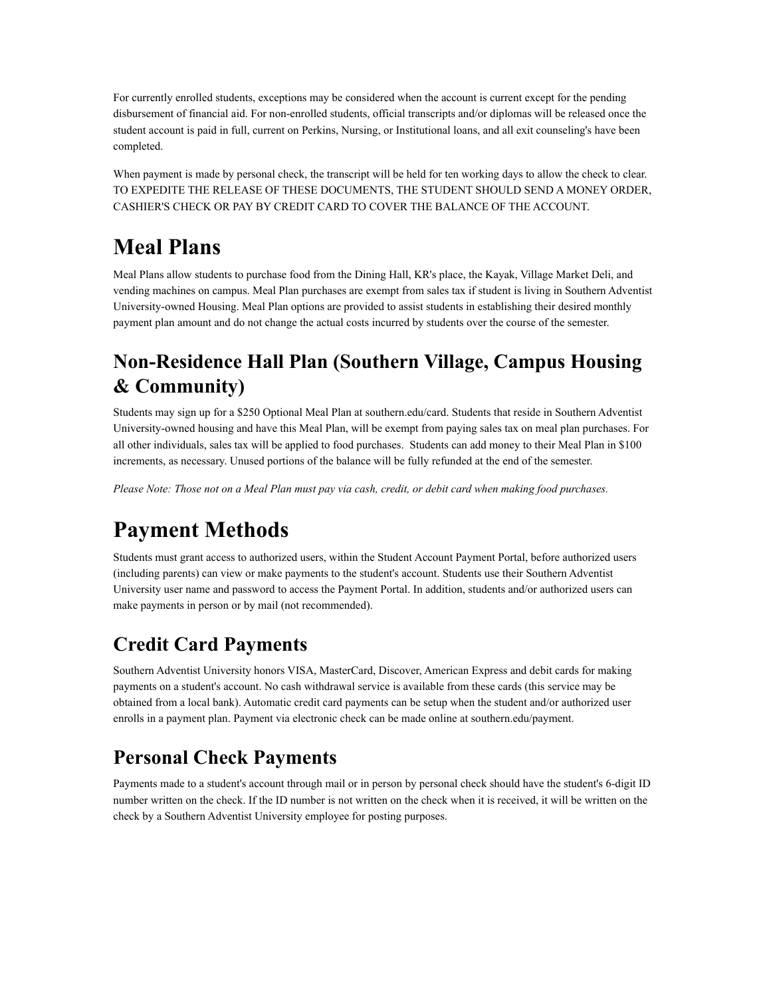For currently enrolled students, exceptions may be considered when the account is current except for the pending disbursement of financial aid. For non-enrolled students, official transcripts and/or diplomas will be released once the student account is paid in full, current on Perkins, Nursing, or Institutional loans, and all exit counseling's have been completed.

When payment is made by personal check, the transcript will be held for ten working days to allow the check to clear. TO EXPEDITE THE RELEASE OF THESE DOCUMENTS, THE STUDENT SHOULD SEND A MONEY ORDER, CASHIER'S CHECK OR PAY BY CREDIT CARD TO COVER THE BALANCE OF THE ACCOUNT.

# **Meal Plans**

Meal Plans allow students to purchase food from the Dining Hall, KR's place, the Kayak, Village Market Deli, and vending machines on campus. Meal Plan purchases are exempt from sales tax if student is living in Southern Adventist University-owned Housing. Meal Plan options are provided to assist students in establishing their desired monthly payment plan amount and do not change the actual costs incurred by students over the course of the semester.

### **Non-Residence Hall Plan (Southern Village, Campus Housing & Community)**

Students may sign up for a \$250 Optional Meal Plan at southern.edu/card. Students that reside in Southern Adventist University-owned housing and have this Meal Plan, will be exempt from paying sales tax on meal plan purchases. For all other individuals, sales tax will be applied to food purchases. Students can add money to their Meal Plan in \$100 increments, as necessary. Unused portions of the balance will be fully refunded at the end of the semester.

*Please Note: Those not on a Meal Plan must pay via cash, credit, or debit card when making food purchases.*

# **Payment Methods**

Students must grant access to authorized users, within the Student Account Payment Portal, before authorized users (including parents) can view or make payments to the student's account. Students use their Southern Adventist University user name and password to access the Payment Portal. In addition, students and/or authorized users can make payments in person or by mail (not recommended).

## **Credit Card Payments**

Southern Adventist University honors VISA, MasterCard, Discover, American Express and debit cards for making payments on a student's account. No cash withdrawal service is available from these cards (this service may be obtained from a local bank). Automatic credit card payments can be setup when the student and/or authorized user enrolls in a payment plan. Payment via electronic check can be made online at southern.edu/payment.

### **Personal Check Payments**

Payments made to a student's account through mail or in person by personal check should have the student's 6-digit ID number written on the check. If the ID number is not written on the check when it is received, it will be written on the check by a Southern Adventist University employee for posting purposes.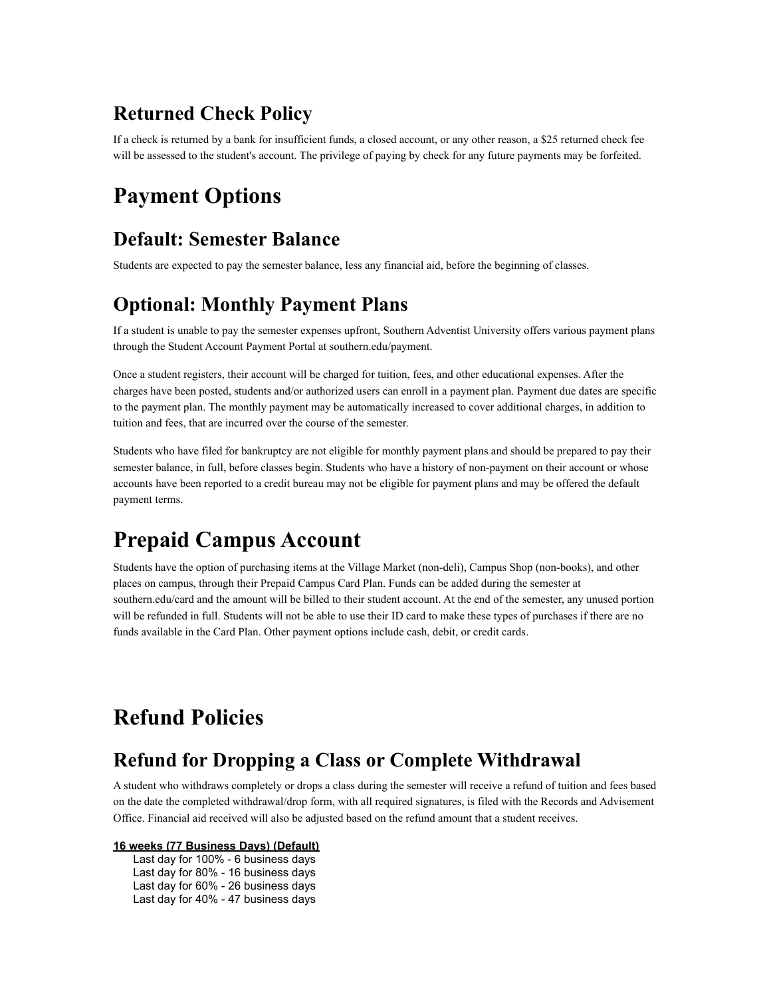### **Returned Check Policy**

If a check is returned by a bank for insufficient funds, a closed account, or any other reason, a \$25 returned check fee will be assessed to the student's account. The privilege of paying by check for any future payments may be forfeited.

### **Payment Options**

### **Default: Semester Balance**

Students are expected to pay the semester balance, less any financial aid, before the beginning of classes.

### **Optional: Monthly Payment Plans**

If a student is unable to pay the semester expenses upfront, Southern Adventist University offers various payment plans through the Student Account Payment Portal at southern.edu/payment.

Once a student registers, their account will be charged for tuition, fees, and other educational expenses. After the charges have been posted, students and/or authorized users can enroll in a payment plan. Payment due dates are specific to the payment plan. The monthly payment may be automatically increased to cover additional charges, in addition to tuition and fees, that are incurred over the course of the semester.

Students who have filed for bankruptcy are not eligible for monthly payment plans and should be prepared to pay their semester balance, in full, before classes begin. Students who have a history of non-payment on their account or whose accounts have been reported to a credit bureau may not be eligible for payment plans and may be offered the default payment terms.

# **Prepaid Campus Account**

Students have the option of purchasing items at the Village Market (non-deli), Campus Shop (non-books), and other places on campus, through their Prepaid Campus Card Plan. Funds can be added during the semester at southern.edu/card and the amount will be billed to their student account. At the end of the semester, any unused portion will be refunded in full. Students will not be able to use their ID card to make these types of purchases if there are no funds available in the Card Plan. Other payment options include cash, debit, or credit cards.

# **Refund Policies**

### **Refund for Dropping a Class or Complete Withdrawal**

A student who withdraws completely or drops a class during the semester will receive a refund of tuition and fees based on the date the completed withdrawal/drop form, with all required signatures, is filed with the Records and Advisement Office. Financial aid received will also be adjusted based on the refund amount that a student receives.

#### **16 weeks (77 Business Days) (Default)**

Last day for 100% - 6 business days Last day for 80% - 16 business days Last day for 60% - 26 business days Last day for 40% - 47 business days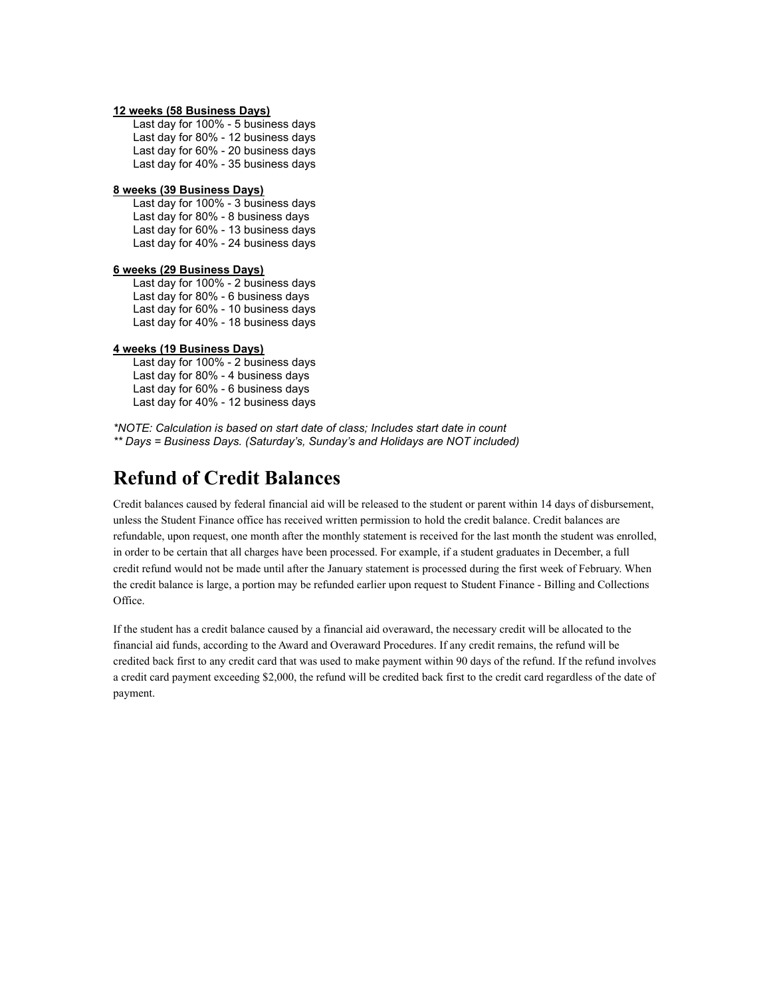#### **12 weeks (58 Business Days)**

Last day for 100% - 5 business days Last day for 80% - 12 business days Last day for 60% - 20 business days Last day for 40% - 35 business days

#### **8 weeks (39 Business Days)**

Last day for 100% - 3 business days Last day for 80% - 8 business days Last day for 60% - 13 business days Last day for 40% - 24 business days

#### **6 weeks (29 Business Days)**

Last day for 100% - 2 business days Last day for 80% - 6 business days Last day for 60% - 10 business days Last day for 40% - 18 business days

#### **4 weeks (19 Business Days)**

Last day for 100% - 2 business days Last day for 80% - 4 business days Last day for 60% - 6 business days Last day for 40% - 12 business days

*\*NOTE: Calculation is based on start date of class; Includes start date in count \*\* Days = Business Days. (Saturday's, Sunday's and Holidays are NOT included)*

### **Refund of Credit Balances**

Credit balances caused by federal financial aid will be released to the student or parent within 14 days of disbursement, unless the Student Finance office has received written permission to hold the credit balance. Credit balances are refundable, upon request, one month after the monthly statement is received for the last month the student was enrolled, in order to be certain that all charges have been processed. For example, if a student graduates in December, a full credit refund would not be made until after the January statement is processed during the first week of February. When the credit balance is large, a portion may be refunded earlier upon request to Student Finance - Billing and Collections Office.

If the student has a credit balance caused by a financial aid overaward, the necessary credit will be allocated to the financial aid funds, according to the Award and Overaward Procedures. If any credit remains, the refund will be credited back first to any credit card that was used to make payment within 90 days of the refund. If the refund involves a credit card payment exceeding \$2,000, the refund will be credited back first to the credit card regardless of the date of payment.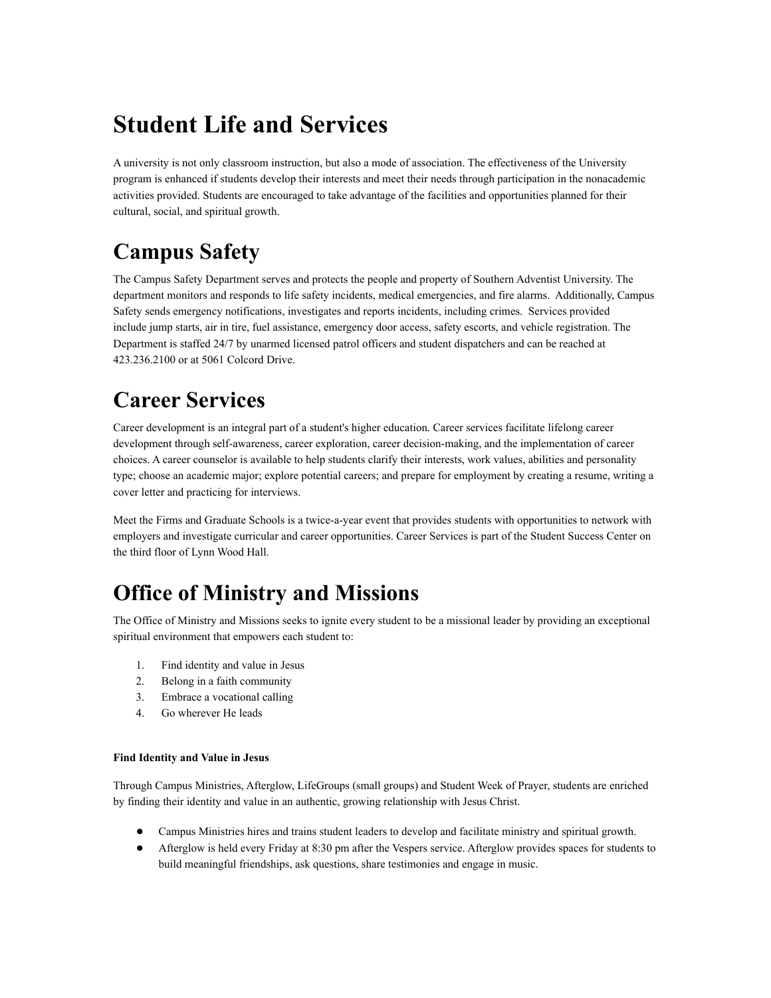# **Student Life and Services**

A university is not only classroom instruction, but also a mode of association. The effectiveness of the University program is enhanced if students develop their interests and meet their needs through participation in the nonacademic activities provided. Students are encouraged to take advantage of the facilities and opportunities planned for their cultural, social, and spiritual growth.

# **Campus Safety**

The Campus Safety Department serves and protects the people and property of Southern Adventist University. The department monitors and responds to life safety incidents, medical emergencies, and fire alarms. Additionally, Campus Safety sends emergency notifications, investigates and reports incidents, including crimes. Services provided include jump starts, air in tire, fuel assistance, emergency door access, safety escorts, and vehicle registration. The Department is staffed 24/7 by unarmed licensed patrol officers and student dispatchers and can be reached at 423.236.2100 or at 5061 Colcord Drive.

# **Career Services**

Career development is an integral part of a student's higher education. Career services facilitate lifelong career development through self-awareness, career exploration, career decision-making, and the implementation of career choices. A career counselor is available to help students clarify their interests, work values, abilities and personality type; choose an academic major; explore potential careers; and prepare for employment by creating a resume, writing a cover letter and practicing for interviews.

Meet the Firms and Graduate Schools is a twice-a-year event that provides students with opportunities to network with employers and investigate curricular and career opportunities. Career Services is part of the Student Success Center on the third floor of Lynn Wood Hall.

# **Office of Ministry and Missions**

The Office of Ministry and Missions seeks to ignite every student to be a missional leader by providing an exceptional spiritual environment that empowers each student to:

- 1. Find identity and value in Jesus
- 2. Belong in a faith community
- 3. Embrace a vocational calling
- 4. Go wherever He leads

#### **Find Identity and Value in Jesus**

Through Campus Ministries, Afterglow, LifeGroups (small groups) and Student Week of Prayer, students are enriched by finding their identity and value in an authentic, growing relationship with Jesus Christ.

- Campus Ministries hires and trains student leaders to develop and facilitate ministry and spiritual growth.
- Afterglow is held every Friday at 8:30 pm after the Vespers service. Afterglow provides spaces for students to build meaningful friendships, ask questions, share testimonies and engage in music.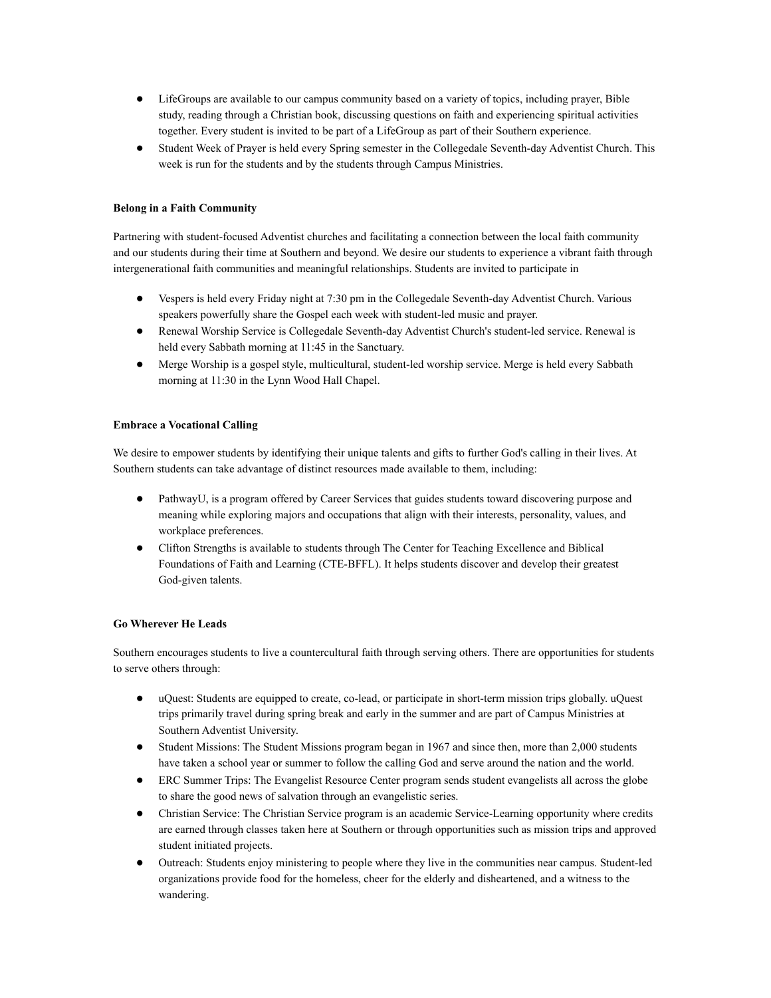- LifeGroups are available to our campus community based on a variety of topics, including prayer, Bible study, reading through a Christian book, discussing questions on faith and experiencing spiritual activities together. Every student is invited to be part of a LifeGroup as part of their Southern experience.
- Student Week of Prayer is held every Spring semester in the Collegedale Seventh-day Adventist Church. This week is run for the students and by the students through Campus Ministries.

#### **Belong in a Faith Community**

Partnering with student-focused Adventist churches and facilitating a connection between the local faith community and our students during their time at Southern and beyond. We desire our students to experience a vibrant faith through intergenerational faith communities and meaningful relationships. Students are invited to participate in

- Vespers is held every Friday night at 7:30 pm in the Collegedale Seventh-day Adventist Church. Various speakers powerfully share the Gospel each week with student-led music and prayer.
- Renewal Worship Service is Collegedale Seventh-day Adventist Church's student-led service. Renewal is held every Sabbath morning at 11:45 in the Sanctuary.
- Merge Worship is a gospel style, multicultural, student-led worship service. Merge is held every Sabbath morning at 11:30 in the Lynn Wood Hall Chapel.

#### **Embrace a Vocational Calling**

We desire to empower students by identifying their unique talents and gifts to further God's calling in their lives. At Southern students can take advantage of distinct resources made available to them, including:

- PathwayU, is a program offered by Career Services that guides students toward discovering purpose and meaning while exploring majors and occupations that align with their interests, personality, values, and workplace preferences.
- Clifton Strengths is available to students through The Center for Teaching Excellence and Biblical Foundations of Faith and Learning (CTE-BFFL). It helps students discover and develop their greatest God-given talents.

#### **Go Wherever He Leads**

Southern encourages students to live a countercultural faith through serving others. There are opportunities for students to serve others through:

- uQuest: Students are equipped to create, co-lead, or participate in short-term mission trips globally. uQuest trips primarily travel during spring break and early in the summer and are part of Campus Ministries at Southern Adventist University.
- Student Missions: The Student Missions program began in 1967 and since then, more than 2,000 students have taken a school year or summer to follow the calling God and serve around the nation and the world.
- ERC Summer Trips: The Evangelist Resource Center program sends student evangelists all across the globe to share the good news of salvation through an evangelistic series.
- Christian Service: The Christian Service program is an academic Service-Learning opportunity where credits are earned through classes taken here at Southern or through opportunities such as mission trips and approved student initiated projects.
- Outreach: Students enjoy ministering to people where they live in the communities near campus. Student-led organizations provide food for the homeless, cheer for the elderly and disheartened, and a witness to the wandering.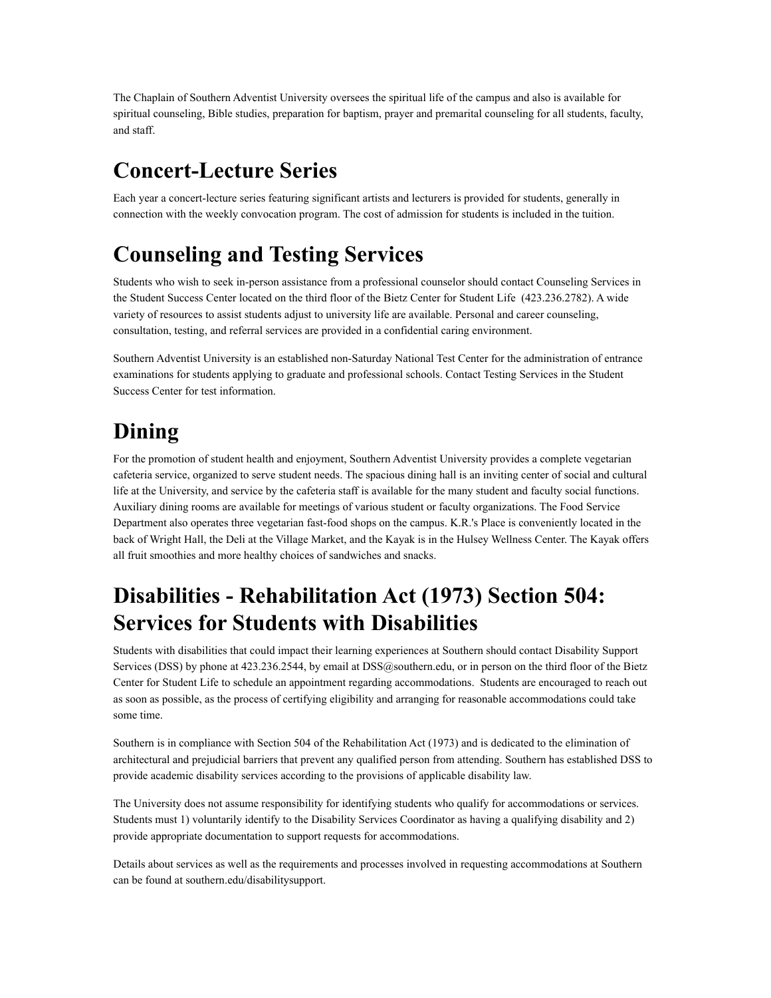The Chaplain of Southern Adventist University oversees the spiritual life of the campus and also is available for spiritual counseling, Bible studies, preparation for baptism, prayer and premarital counseling for all students, faculty, and staff.

### **Concert-Lecture Series**

Each year a concert-lecture series featuring significant artists and lecturers is provided for students, generally in connection with the weekly convocation program. The cost of admission for students is included in the tuition.

### **Counseling and Testing Services**

Students who wish to seek in-person assistance from a professional counselor should contact Counseling Services in the Student Success Center located on the third floor of the Bietz Center for Student Life (423.236.2782). A wide variety of resources to assist students adjust to university life are available. Personal and career counseling, consultation, testing, and referral services are provided in a confidential caring environment.

Southern Adventist University is an established non-Saturday National Test Center for the administration of entrance examinations for students applying to graduate and professional schools. Contact Testing Services in the Student Success Center for test information.

# **Dining**

For the promotion of student health and enjoyment, Southern Adventist University provides a complete vegetarian cafeteria service, organized to serve student needs. The spacious dining hall is an inviting center of social and cultural life at the University, and service by the cafeteria staff is available for the many student and faculty social functions. Auxiliary dining rooms are available for meetings of various student or faculty organizations. The Food Service Department also operates three vegetarian fast-food shops on the campus. K.R.'s Place is conveniently located in the back of Wright Hall, the Deli at the Village Market, and the Kayak is in the Hulsey Wellness Center. The Kayak offers all fruit smoothies and more healthy choices of sandwiches and snacks.

# **Disabilities - Rehabilitation Act (1973) Section 504: Services for Students with Disabilities**

Students with disabilities that could impact their learning experiences at Southern should contact Disability Support Services (DSS) by phone at  $423.236.2544$ , by email at  $DSS@s$  southern.edu, or in person on the third floor of the Bietz Center for Student Life to schedule an appointment regarding accommodations. Students are encouraged to reach out as soon as possible, as the process of certifying eligibility and arranging for reasonable accommodations could take some time.

Southern is in compliance with Section 504 of the Rehabilitation Act (1973) and is dedicated to the elimination of architectural and prejudicial barriers that prevent any qualified person from attending. Southern has established DSS to provide academic disability services according to the provisions of applicable disability law.

The University does not assume responsibility for identifying students who qualify for accommodations or services. Students must 1) voluntarily identify to the Disability Services Coordinator as having a qualifying disability and 2) provide appropriate documentation to support requests for accommodations.

Details about services as well as the requirements and processes involved in requesting accommodations at Southern can be found at southern.edu/disabilitysupport.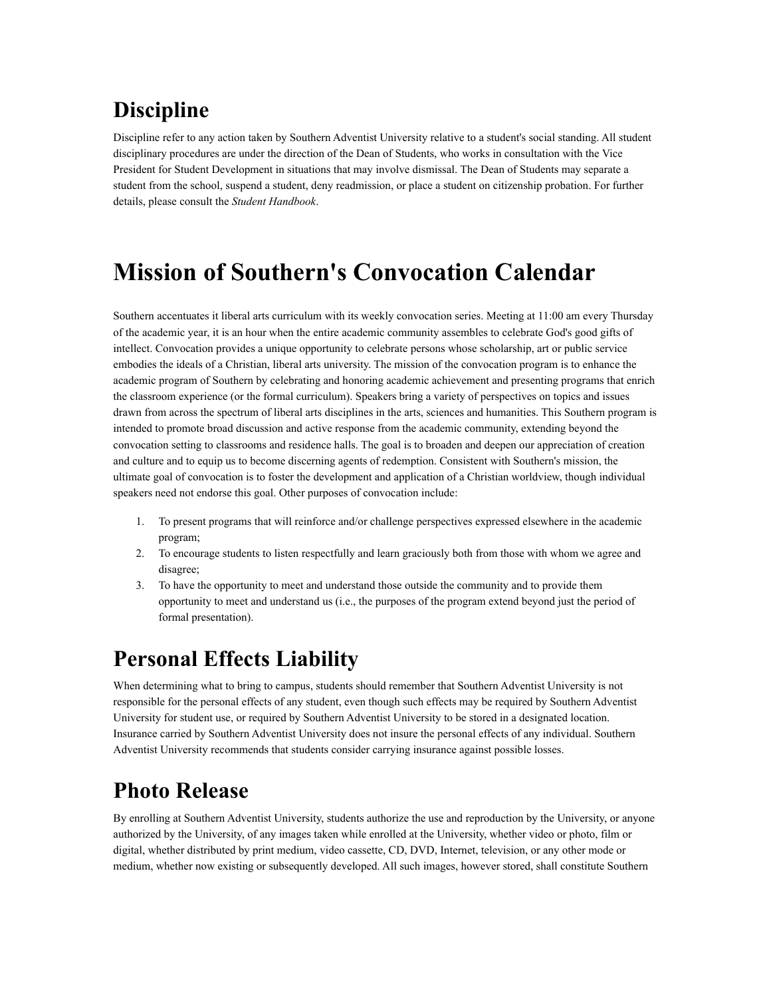# **Discipline**

Discipline refer to any action taken by Southern Adventist University relative to a student's social standing. All student disciplinary procedures are under the direction of the Dean of Students, who works in consultation with the Vice President for Student Development in situations that may involve dismissal. The Dean of Students may separate a student from the school, suspend a student, deny readmission, or place a student on citizenship probation. For further details, please consult the *Student Handbook*.

# **Mission of Southern's Convocation Calendar**

Southern accentuates it liberal arts curriculum with its weekly convocation series. Meeting at 11:00 am every Thursday of the academic year, it is an hour when the entire academic community assembles to celebrate God's good gifts of intellect. Convocation provides a unique opportunity to celebrate persons whose scholarship, art or public service embodies the ideals of a Christian, liberal arts university. The mission of the convocation program is to enhance the academic program of Southern by celebrating and honoring academic achievement and presenting programs that enrich the classroom experience (or the formal curriculum). Speakers bring a variety of perspectives on topics and issues drawn from across the spectrum of liberal arts disciplines in the arts, sciences and humanities. This Southern program is intended to promote broad discussion and active response from the academic community, extending beyond the convocation setting to classrooms and residence halls. The goal is to broaden and deepen our appreciation of creation and culture and to equip us to become discerning agents of redemption. Consistent with Southern's mission, the ultimate goal of convocation is to foster the development and application of a Christian worldview, though individual speakers need not endorse this goal. Other purposes of convocation include:

- 1. To present programs that will reinforce and/or challenge perspectives expressed elsewhere in the academic program;
- 2. To encourage students to listen respectfully and learn graciously both from those with whom we agree and disagree;
- 3. To have the opportunity to meet and understand those outside the community and to provide them opportunity to meet and understand us (i.e., the purposes of the program extend beyond just the period of formal presentation).

### **Personal Effects Liability**

When determining what to bring to campus, students should remember that Southern Adventist University is not responsible for the personal effects of any student, even though such effects may be required by Southern Adventist University for student use, or required by Southern Adventist University to be stored in a designated location. Insurance carried by Southern Adventist University does not insure the personal effects of any individual. Southern Adventist University recommends that students consider carrying insurance against possible losses.

# **Photo Release**

By enrolling at Southern Adventist University, students authorize the use and reproduction by the University, or anyone authorized by the University, of any images taken while enrolled at the University, whether video or photo, film or digital, whether distributed by print medium, video cassette, CD, DVD, Internet, television, or any other mode or medium, whether now existing or subsequently developed. All such images, however stored, shall constitute Southern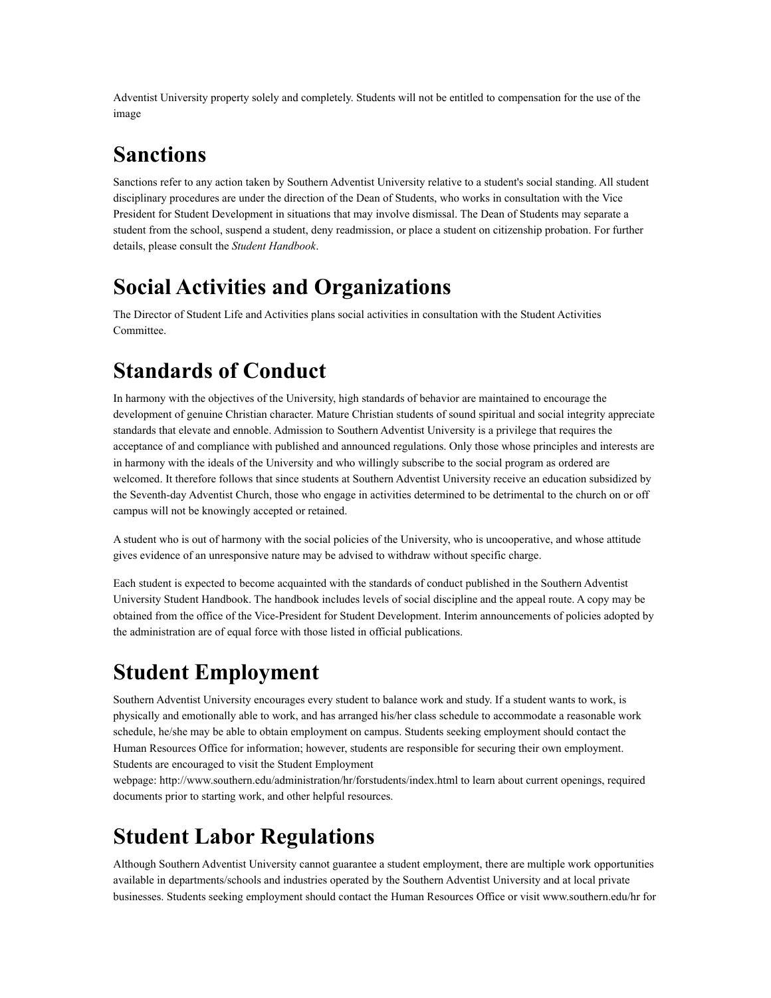Adventist University property solely and completely. Students will not be entitled to compensation for the use of the image

### **Sanctions**

Sanctions refer to any action taken by Southern Adventist University relative to a student's social standing. All student disciplinary procedures are under the direction of the Dean of Students, who works in consultation with the Vice President for Student Development in situations that may involve dismissal. The Dean of Students may separate a student from the school, suspend a student, deny readmission, or place a student on citizenship probation. For further details, please consult the *Student Handbook*.

# **Social Activities and Organizations**

The Director of Student Life and Activities plans social activities in consultation with the Student Activities Committee.

# **Standards of Conduct**

In harmony with the objectives of the University, high standards of behavior are maintained to encourage the development of genuine Christian character. Mature Christian students of sound spiritual and social integrity appreciate standards that elevate and ennoble. Admission to Southern Adventist University is a privilege that requires the acceptance of and compliance with published and announced regulations. Only those whose principles and interests are in harmony with the ideals of the University and who willingly subscribe to the social program as ordered are welcomed. It therefore follows that since students at Southern Adventist University receive an education subsidized by the Seventh-day Adventist Church, those who engage in activities determined to be detrimental to the church on or off campus will not be knowingly accepted or retained.

A student who is out of harmony with the social policies of the University, who is uncooperative, and whose attitude gives evidence of an unresponsive nature may be advised to withdraw without specific charge.

Each student is expected to become acquainted with the standards of conduct published in the Southern Adventist University Student Handbook. The handbook includes levels of social discipline and the appeal route. A copy may be obtained from the office of the Vice-President for Student Development. Interim announcements of policies adopted by the administration are of equal force with those listed in official publications.

# **Student Employment**

Southern Adventist University encourages every student to balance work and study. If a student wants to work, is physically and emotionally able to work, and has arranged his/her class schedule to accommodate a reasonable work schedule, he/she may be able to obtain employment on campus. Students seeking employment should contact the Human Resources Office for information; however, students are responsible for securing their own employment. Students are encouraged to visit the Student Employment

webpage: http://www.southern.edu/administration/hr/forstudents/index.html to learn about current openings, required documents prior to starting work, and other helpful resources.

# **Student Labor Regulations**

Although Southern Adventist University cannot guarantee a student employment, there are multiple work opportunities available in departments/schools and industries operated by the Southern Adventist University and at local private businesses. Students seeking employment should contact the Human Resources Office or visit www.southern.edu/hr for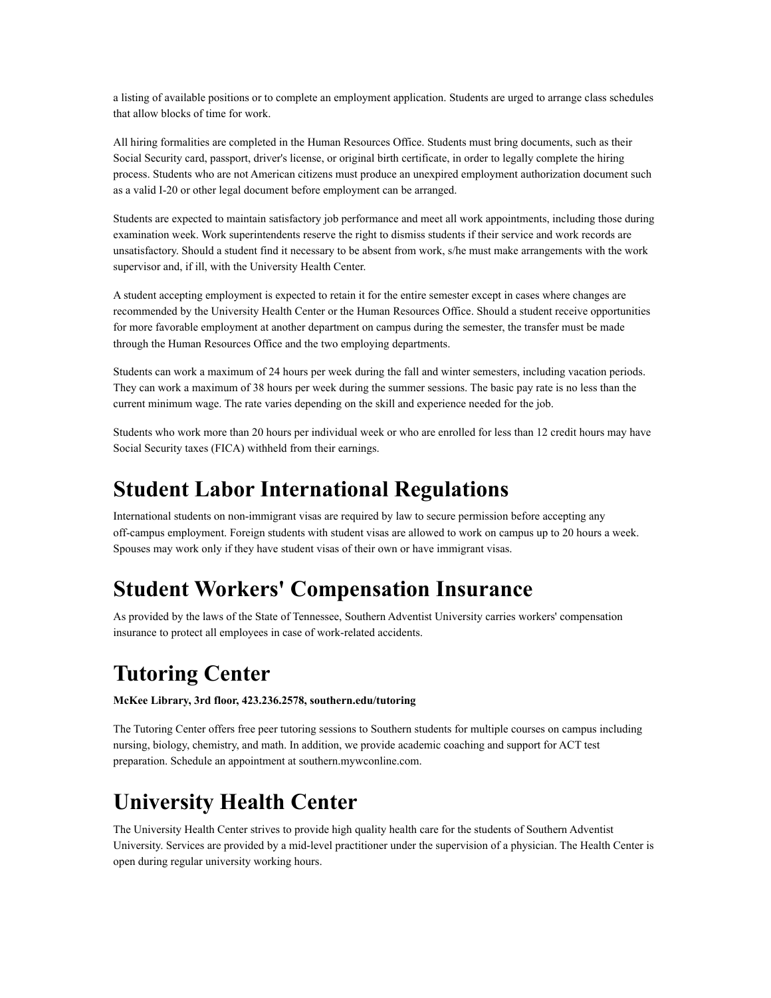a listing of available positions or to complete an employment application. Students are urged to arrange class schedules that allow blocks of time for work.

All hiring formalities are completed in the Human Resources Office. Students must bring documents, such as their Social Security card, passport, driver's license, or original birth certificate, in order to legally complete the hiring process. Students who are not American citizens must produce an unexpired employment authorization document such as a valid I-20 or other legal document before employment can be arranged.

Students are expected to maintain satisfactory job performance and meet all work appointments, including those during examination week. Work superintendents reserve the right to dismiss students if their service and work records are unsatisfactory. Should a student find it necessary to be absent from work, s/he must make arrangements with the work supervisor and, if ill, with the University Health Center.

A student accepting employment is expected to retain it for the entire semester except in cases where changes are recommended by the University Health Center or the Human Resources Office. Should a student receive opportunities for more favorable employment at another department on campus during the semester, the transfer must be made through the Human Resources Office and the two employing departments.

Students can work a maximum of 24 hours per week during the fall and winter semesters, including vacation periods. They can work a maximum of 38 hours per week during the summer sessions. The basic pay rate is no less than the current minimum wage. The rate varies depending on the skill and experience needed for the job.

Students who work more than 20 hours per individual week or who are enrolled for less than 12 credit hours may have Social Security taxes (FICA) withheld from their earnings.

### **Student Labor International Regulations**

International students on non-immigrant visas are required by law to secure permission before accepting any off-campus employment. Foreign students with student visas are allowed to work on campus up to 20 hours a week. Spouses may work only if they have student visas of their own or have immigrant visas.

### **Student Workers' Compensation Insurance**

As provided by the laws of the State of Tennessee, Southern Adventist University carries workers' compensation insurance to protect all employees in case of work-related accidents.

# **Tutoring Center**

**McKee Library, 3rd floor, 423.236.2578, southern.edu/tutoring**

The Tutoring Center offers free peer tutoring sessions to Southern students for multiple courses on campus including nursing, biology, chemistry, and math. In addition, we provide academic coaching and support for ACT test preparation. Schedule an appointment at southern.mywconline.com.

# **University Health Center**

The University Health Center strives to provide high quality health care for the students of Southern Adventist University. Services are provided by a mid-level practitioner under the supervision of a physician. The Health Center is open during regular university working hours.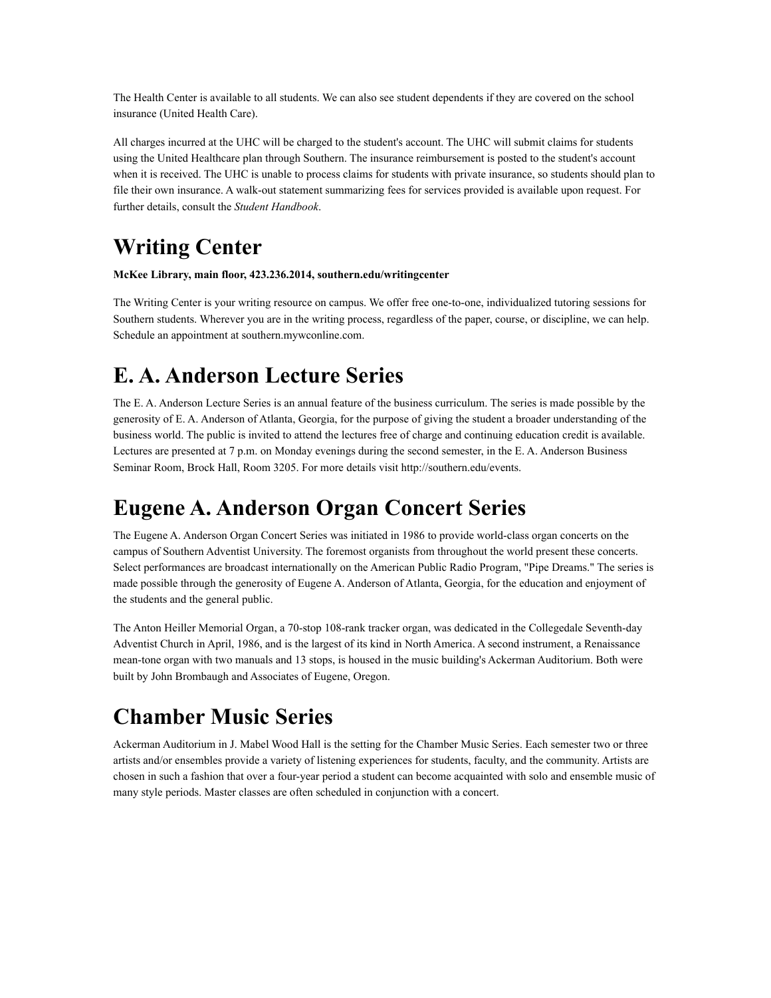The Health Center is available to all students. We can also see student dependents if they are covered on the school insurance (United Health Care).

All charges incurred at the UHC will be charged to the student's account. The UHC will submit claims for students using the United Healthcare plan through Southern. The insurance reimbursement is posted to the student's account when it is received. The UHC is unable to process claims for students with private insurance, so students should plan to file their own insurance. A walk-out statement summarizing fees for services provided is available upon request. For further details, consult the *Student Handbook*.

# **Writing Center**

**McKee Library, main floor, 423.236.2014, southern.edu/writingcenter**

The Writing Center is your writing resource on campus. We offer free one-to-one, individualized tutoring sessions for Southern students. Wherever you are in the writing process, regardless of the paper, course, or discipline, we can help. Schedule an appointment at southern.mywconline.com.

# **E. A. Anderson Lecture Series**

The E. A. Anderson Lecture Series is an annual feature of the business curriculum. The series is made possible by the generosity of E. A. Anderson of Atlanta, Georgia, for the purpose of giving the student a broader understanding of the business world. The public is invited to attend the lectures free of charge and continuing education credit is available. Lectures are presented at 7 p.m. on Monday evenings during the second semester, in the E. A. Anderson Business Seminar Room, Brock Hall, Room 3205. For more details visit http://southern.edu/events.

# **Eugene A. Anderson Organ Concert Series**

The Eugene A. Anderson Organ Concert Series was initiated in 1986 to provide world-class organ concerts on the campus of Southern Adventist University. The foremost organists from throughout the world present these concerts. Select performances are broadcast internationally on the American Public Radio Program, "Pipe Dreams." The series is made possible through the generosity of Eugene A. Anderson of Atlanta, Georgia, for the education and enjoyment of the students and the general public.

The Anton Heiller Memorial Organ, a 70-stop 108-rank tracker organ, was dedicated in the Collegedale Seventh-day Adventist Church in April, 1986, and is the largest of its kind in North America. A second instrument, a Renaissance mean-tone organ with two manuals and 13 stops, is housed in the music building's Ackerman Auditorium. Both were built by John Brombaugh and Associates of Eugene, Oregon.

# **Chamber Music Series**

Ackerman Auditorium in J. Mabel Wood Hall is the setting for the Chamber Music Series. Each semester two or three artists and/or ensembles provide a variety of listening experiences for students, faculty, and the community. Artists are chosen in such a fashion that over a four-year period a student can become acquainted with solo and ensemble music of many style periods. Master classes are often scheduled in conjunction with a concert.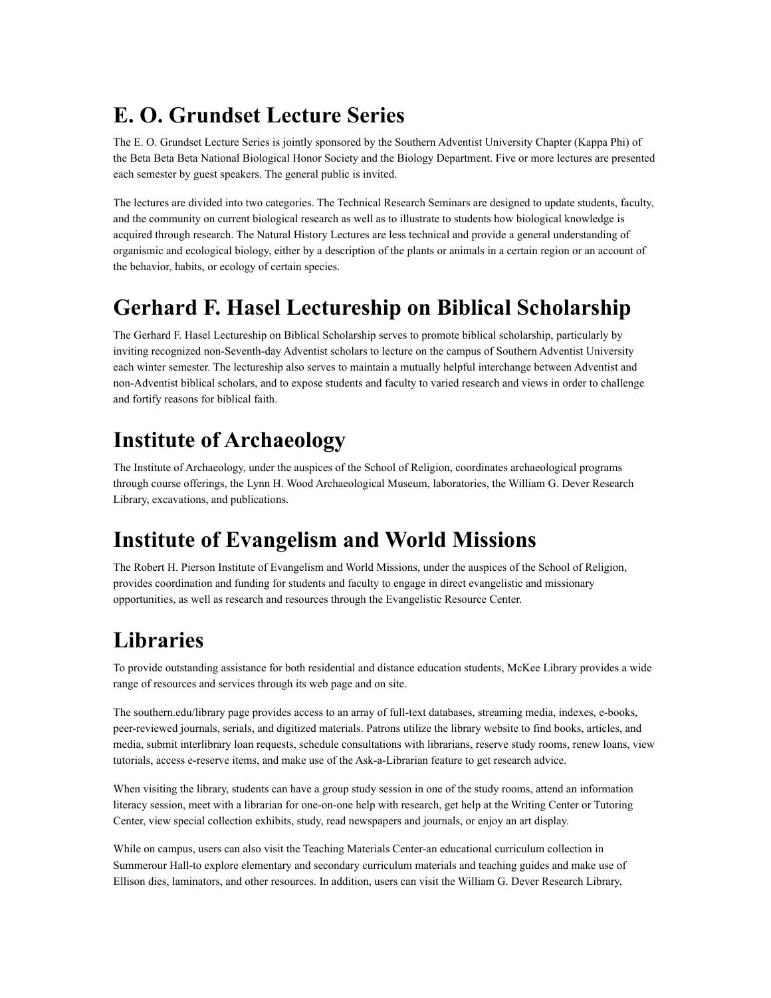# **E. O. Grundset Lecture Series**

The E. O. Grundset Lecture Series is jointly sponsored by the Southern Adventist University Chapter (Kappa Phi) of the Beta Beta Beta National Biological Honor Society and the Biology Department. Five or more lectures are presented each semester by guest speakers. The general public is invited.

The lectures are divided into two categories. The Technical Research Seminars are designed to update students, faculty, and the community on current biological research as well as to illustrate to students how biological knowledge is acquired through research. The Natural History Lectures are less technical and provide a general understanding of organismic and ecological biology, either by a description of the plants or animals in a certain region or an account of the behavior, habits, or ecology of certain species.

# **Gerhard F. Hasel Lectureship on Biblical Scholarship**

The Gerhard F. Hasel Lectureship on Biblical Scholarship serves to promote biblical scholarship, particularly by inviting recognized non-Seventh-day Adventist scholars to lecture on the campus of Southern Adventist University each winter semester. The lectureship also serves to maintain a mutually helpful interchange between Adventist and non-Adventist biblical scholars, and to expose students and faculty to varied research and views in order to challenge and fortify reasons for biblical faith.

# **Institute of Archaeology**

The Institute of Archaeology, under the auspices of the School of Religion, coordinates archaeological programs through course offerings, the Lynn H. Wood Archaeological Museum, laboratories, the William G. Dever Research Library, excavations, and publications.

# **Institute of Evangelism and World Missions**

The Robert H. Pierson Institute of Evangelism and World Missions, under the auspices of the School of Religion, provides coordination and funding for students and faculty to engage in direct evangelistic and missionary opportunities, as well as research and resources through the Evangelistic Resource Center.

# **Libraries**

To provide outstanding assistance for both residential and distance education students, McKee Library provides a wide range of resources and services through its web page and on site.

The southern.edu/library page provides access to an array of full-text databases, streaming media, indexes, e-books, peer-reviewed journals, serials, and digitized materials. Patrons utilize the library website to find books, articles, and media, submit interlibrary loan requests, schedule consultations with librarians, reserve study rooms, renew loans, view tutorials, access e-reserve items, and make use of the Ask-a-Librarian feature to get research advice.

When visiting the library, students can have a group study session in one of the study rooms, attend an information literacy session, meet with a librarian for one-on-one help with research, get help at the Writing Center or Tutoring Center, view special collection exhibits, study, read newspapers and journals, or enjoy an art display.

While on campus, users can also visit the Teaching Materials Center-an educational curriculum collection in Summerour Hall-to explore elementary and secondary curriculum materials and teaching guides and make use of Ellison dies, laminators, and other resources. In addition, users can visit the William G. Dever Research Library,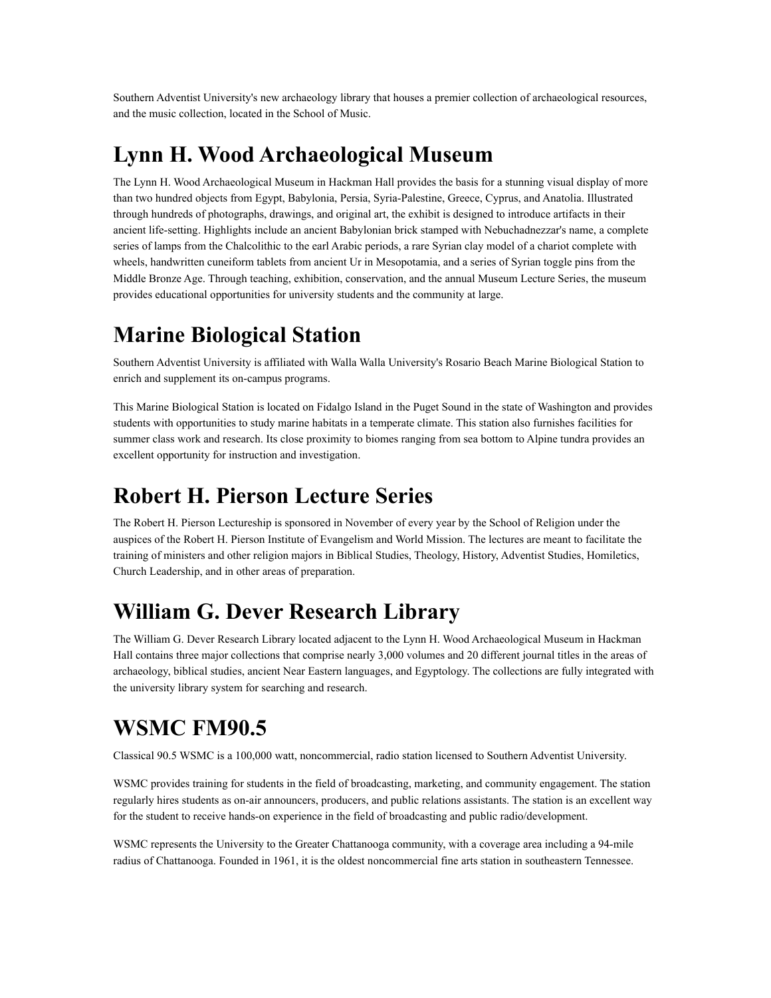Southern Adventist University's new archaeology library that houses a premier collection of archaeological resources, and the music collection, located in the School of Music.

### **Lynn H. Wood Archaeological Museum**

The Lynn H. Wood Archaeological Museum in Hackman Hall provides the basis for a stunning visual display of more than two hundred objects from Egypt, Babylonia, Persia, Syria-Palestine, Greece, Cyprus, and Anatolia. Illustrated through hundreds of photographs, drawings, and original art, the exhibit is designed to introduce artifacts in their ancient life-setting. Highlights include an ancient Babylonian brick stamped with Nebuchadnezzar's name, a complete series of lamps from the Chalcolithic to the earl Arabic periods, a rare Syrian clay model of a chariot complete with wheels, handwritten cuneiform tablets from ancient Ur in Mesopotamia, and a series of Syrian toggle pins from the Middle Bronze Age. Through teaching, exhibition, conservation, and the annual Museum Lecture Series, the museum provides educational opportunities for university students and the community at large.

# **Marine Biological Station**

Southern Adventist University is affiliated with Walla Walla University's Rosario Beach Marine Biological Station to enrich and supplement its on-campus programs.

This Marine Biological Station is located on Fidalgo Island in the Puget Sound in the state of Washington and provides students with opportunities to study marine habitats in a temperate climate. This station also furnishes facilities for summer class work and research. Its close proximity to biomes ranging from sea bottom to Alpine tundra provides an excellent opportunity for instruction and investigation.

# **Robert H. Pierson Lecture Series**

The Robert H. Pierson Lectureship is sponsored in November of every year by the School of Religion under the auspices of the Robert H. Pierson Institute of Evangelism and World Mission. The lectures are meant to facilitate the training of ministers and other religion majors in Biblical Studies, Theology, History, Adventist Studies, Homiletics, Church Leadership, and in other areas of preparation.

### **William G. Dever Research Library**

The William G. Dever Research Library located adjacent to the Lynn H. Wood Archaeological Museum in Hackman Hall contains three major collections that comprise nearly 3,000 volumes and 20 different journal titles in the areas of archaeology, biblical studies, ancient Near Eastern languages, and Egyptology. The collections are fully integrated with the university library system for searching and research.

# **WSMC FM90.5**

Classical 90.5 WSMC is a 100,000 watt, noncommercial, radio station licensed to Southern Adventist University.

WSMC provides training for students in the field of broadcasting, marketing, and community engagement. The station regularly hires students as on-air announcers, producers, and public relations assistants. The station is an excellent way for the student to receive hands-on experience in the field of broadcasting and public radio/development.

WSMC represents the University to the Greater Chattanooga community, with a coverage area including a 94-mile radius of Chattanooga. Founded in 1961, it is the oldest noncommercial fine arts station in southeastern Tennessee.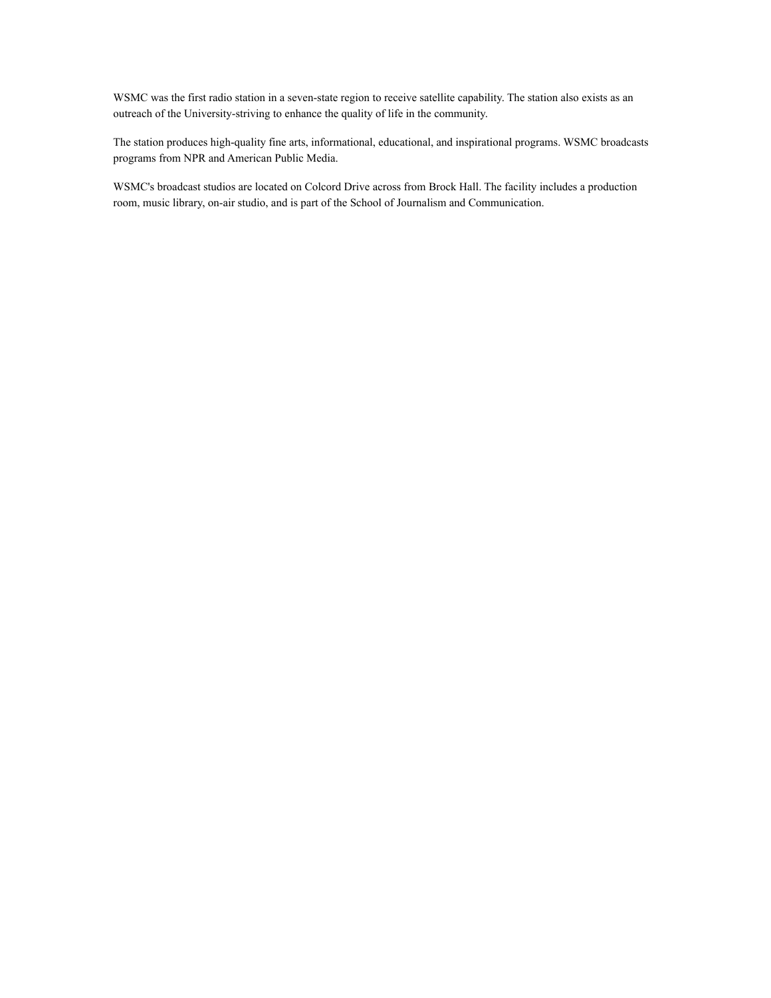WSMC was the first radio station in a seven-state region to receive satellite capability. The station also exists as an outreach of the University-striving to enhance the quality of life in the community.

The station produces high-quality fine arts, informational, educational, and inspirational programs. WSMC broadcasts programs from NPR and American Public Media.

WSMC's broadcast studios are located on Colcord Drive across from Brock Hall. The facility includes a production room, music library, on-air studio, and is part of the School of Journalism and Communication.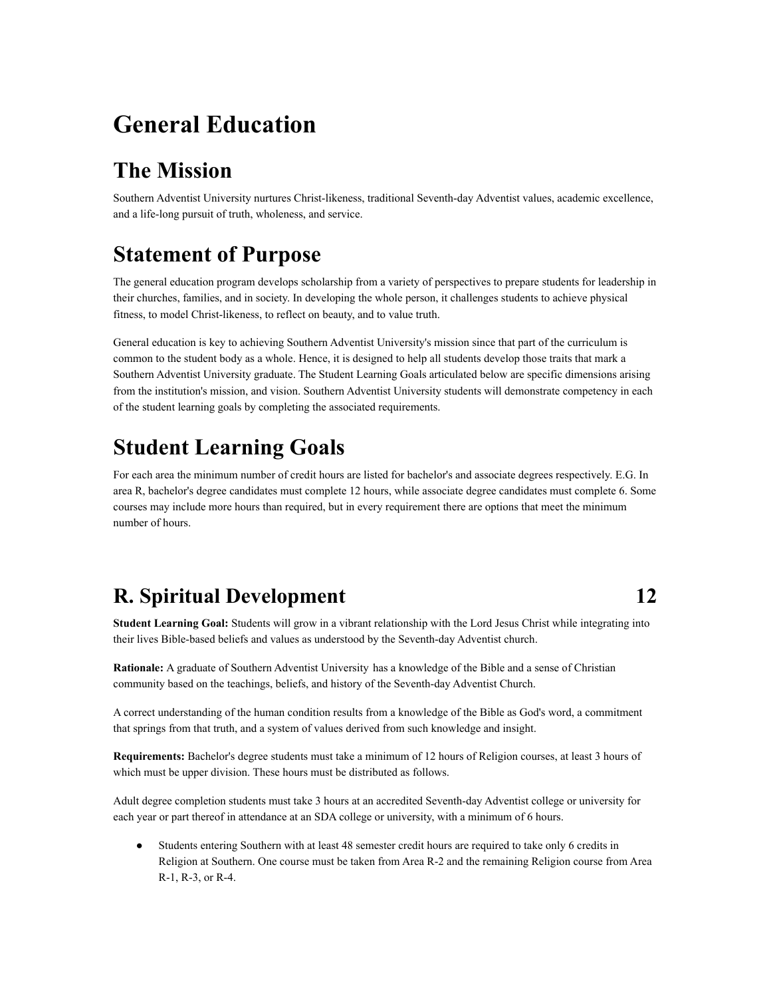# **General Education**

# **The Mission**

Southern Adventist University nurtures Christ-likeness, traditional Seventh-day Adventist values, academic excellence, and a life-long pursuit of truth, wholeness, and service.

### **Statement of Purpose**

The general education program develops scholarship from a variety of perspectives to prepare students for leadership in their churches, families, and in society. In developing the whole person, it challenges students to achieve physical fitness, to model Christ-likeness, to reflect on beauty, and to value truth.

General education is key to achieving Southern Adventist University's mission since that part of the curriculum is common to the student body as a whole. Hence, it is designed to help all students develop those traits that mark a Southern Adventist University graduate. The Student Learning Goals articulated below are specific dimensions arising from the institution's mission, and vision. Southern Adventist University students will demonstrate competency in each of the student learning goals by completing the associated requirements.

### **Student Learning Goals**

For each area the minimum number of credit hours are listed for bachelor's and associate degrees respectively. E.G. In area R, bachelor's degree candidates must complete 12 hours, while associate degree candidates must complete 6. Some courses may include more hours than required, but in every requirement there are options that meet the minimum number of hours.

### **R. Spiritual Development 12**

**Student Learning Goal:** Students will grow in a vibrant relationship with the Lord Jesus Christ while integrating into their lives Bible-based beliefs and values as understood by the Seventh-day Adventist church.

**Rationale:** A graduate of Southern Adventist University has a knowledge of the Bible and a sense of Christian community based on the teachings, beliefs, and history of the Seventh-day Adventist Church.

A correct understanding of the human condition results from a knowledge of the Bible as God's word, a commitment that springs from that truth, and a system of values derived from such knowledge and insight.

**Requirements:** Bachelor's degree students must take a minimum of 12 hours of Religion courses, at least 3 hours of which must be upper division. These hours must be distributed as follows.

Adult degree completion students must take 3 hours at an accredited Seventh-day Adventist college or university for each year or part thereof in attendance at an SDA college or university, with a minimum of 6 hours.

● Students entering Southern with at least 48 semester credit hours are required to take only 6 credits in Religion at Southern. One course must be taken from Area R-2 and the remaining Religion course from Area R-1, R-3, or R-4.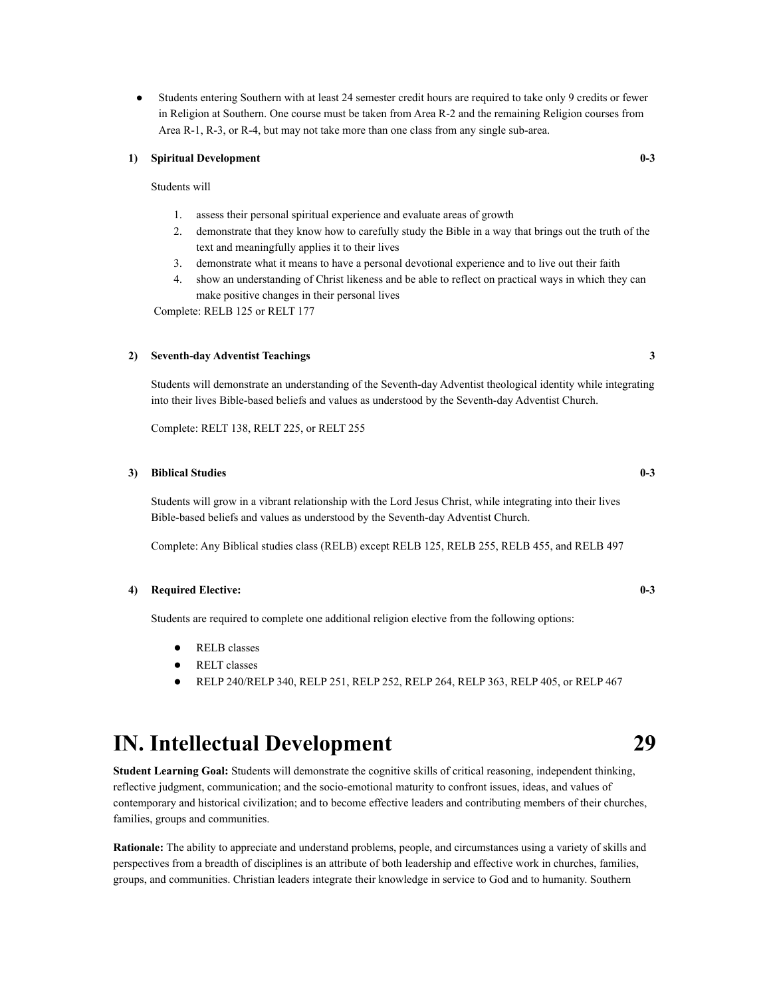● Students entering Southern with at least 24 semester credit hours are required to take only 9 credits or fewer in Religion at Southern. One course must be taken from Area R-2 and the remaining Religion courses from Area R-1, R-3, or R-4, but may not take more than one class from any single sub-area.

#### **1) Spiritual Development 0-3**

#### Students will

- 1. assess their personal spiritual experience and evaluate areas of growth
- 2. demonstrate that they know how to carefully study the Bible in a way that brings out the truth of the text and meaningfully applies it to their lives
- 3. demonstrate what it means to have a personal devotional experience and to live out their faith
- 4. show an understanding of Christ likeness and be able to reflect on practical ways in which they can make positive changes in their personal lives

Complete: RELB 125 or RELT 177

#### **2) Seventh-day Adventist Teachings 3**

Students will demonstrate an understanding of the Seventh-day Adventist theological identity while integrating into their lives Bible-based beliefs and values as understood by the Seventh-day Adventist Church.

Complete: RELT 138, RELT 225, or RELT 255

#### **3) Biblical Studies 0-3**

Students will grow in a vibrant relationship with the Lord Jesus Christ, while integrating into their lives Bible-based beliefs and values as understood by the Seventh-day Adventist Church.

Complete: Any Biblical studies class (RELB) except RELB 125, RELB 255, RELB 455, and RELB 497

#### **4) Required Elective: 0-3**

Students are required to complete one additional religion elective from the following options:

- RELB classes
- RELT classes
- RELP 240/RELP 340, RELP 251, RELP 252, RELP 264, RELP 363, RELP 405, or RELP 467

### **IN. Intellectual Development 29**

**Student Learning Goal:** Students will demonstrate the cognitive skills of critical reasoning, independent thinking, reflective judgment, communication; and the socio-emotional maturity to confront issues, ideas, and values of contemporary and historical civilization; and to become effective leaders and contributing members of their churches, families, groups and communities.

**Rationale:** The ability to appreciate and understand problems, people, and circumstances using a variety of skills and perspectives from a breadth of disciplines is an attribute of both leadership and effective work in churches, families, groups, and communities. Christian leaders integrate their knowledge in service to God and to humanity. Southern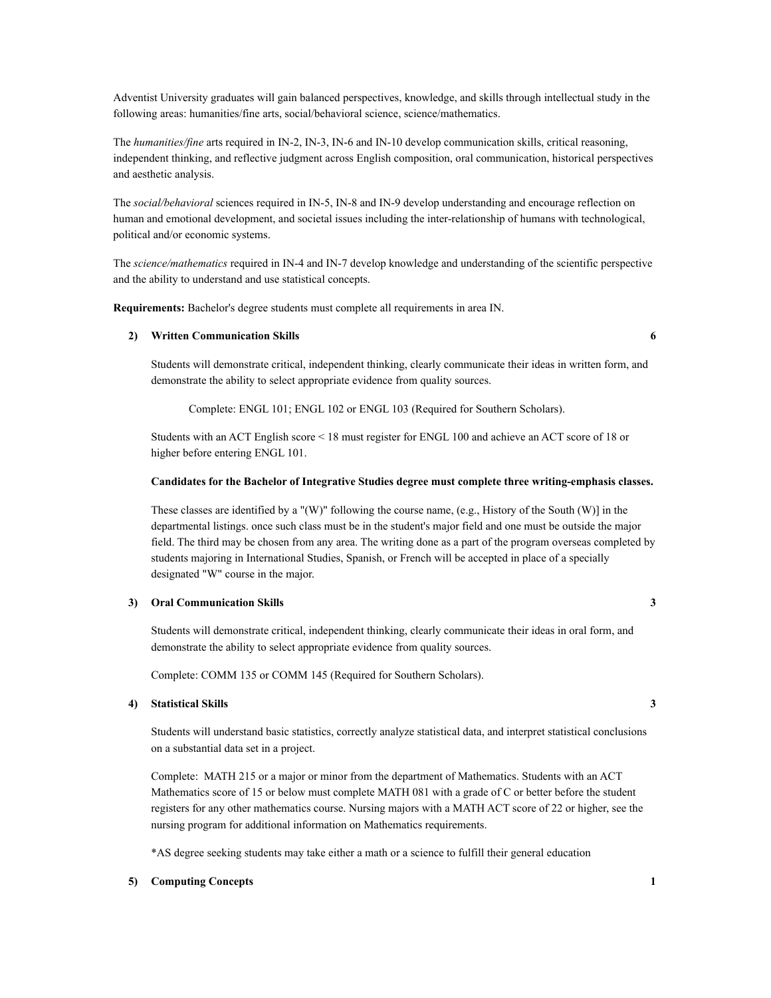Adventist University graduates will gain balanced perspectives, knowledge, and skills through intellectual study in the following areas: humanities/fine arts, social/behavioral science, science/mathematics.

The *humanities/fine* arts required in IN-2, IN-3, IN-6 and IN-10 develop communication skills, critical reasoning, independent thinking, and reflective judgment across English composition, oral communication, historical perspectives and aesthetic analysis.

The *social/behavioral* sciences required in IN-5, IN-8 and IN-9 develop understanding and encourage reflection on human and emotional development, and societal issues including the inter-relationship of humans with technological, political and/or economic systems.

The *science/mathematics* required in IN-4 and IN-7 develop knowledge and understanding of the scientific perspective and the ability to understand and use statistical concepts.

**Requirements:** Bachelor's degree students must complete all requirements in area IN.

#### **2) Written Communication Skills 6**

Students will demonstrate critical, independent thinking, clearly communicate their ideas in written form, and demonstrate the ability to select appropriate evidence from quality sources.

Complete: ENGL 101; ENGL 102 or ENGL 103 (Required for Southern Scholars).

Students with an ACT English score < 18 must register for ENGL 100 and achieve an ACT score of 18 or higher before entering ENGL 101.

#### **Candidates for the Bachelor of Integrative Studies degree must complete three writing-emphasis classes.**

These classes are identified by a "(W)" following the course name, (e.g., History of the South (W)] in the departmental listings. once such class must be in the student's major field and one must be outside the major field. The third may be chosen from any area. The writing done as a part of the program overseas completed by students majoring in International Studies, Spanish, or French will be accepted in place of a specially designated "W" course in the major.

#### **3) Oral Communication Skills 3**

Students will demonstrate critical, independent thinking, clearly communicate their ideas in oral form, and demonstrate the ability to select appropriate evidence from quality sources.

Complete: COMM 135 or COMM 145 (Required for Southern Scholars).

#### **4) Statistical Skills 3**

Students will understand basic statistics, correctly analyze statistical data, and interpret statistical conclusions on a substantial data set in a project.

Complete: MATH 215 or a major or minor from the department of Mathematics. Students with an ACT Mathematics score of 15 or below must complete MATH 081 with a grade of C or better before the student registers for any other mathematics course. Nursing majors with a MATH ACT score of 22 or higher, see the nursing program for additional information on Mathematics requirements.

\*AS degree seeking students may take either a math or a science to fulfill their general education

#### **5) Computing Concepts 1**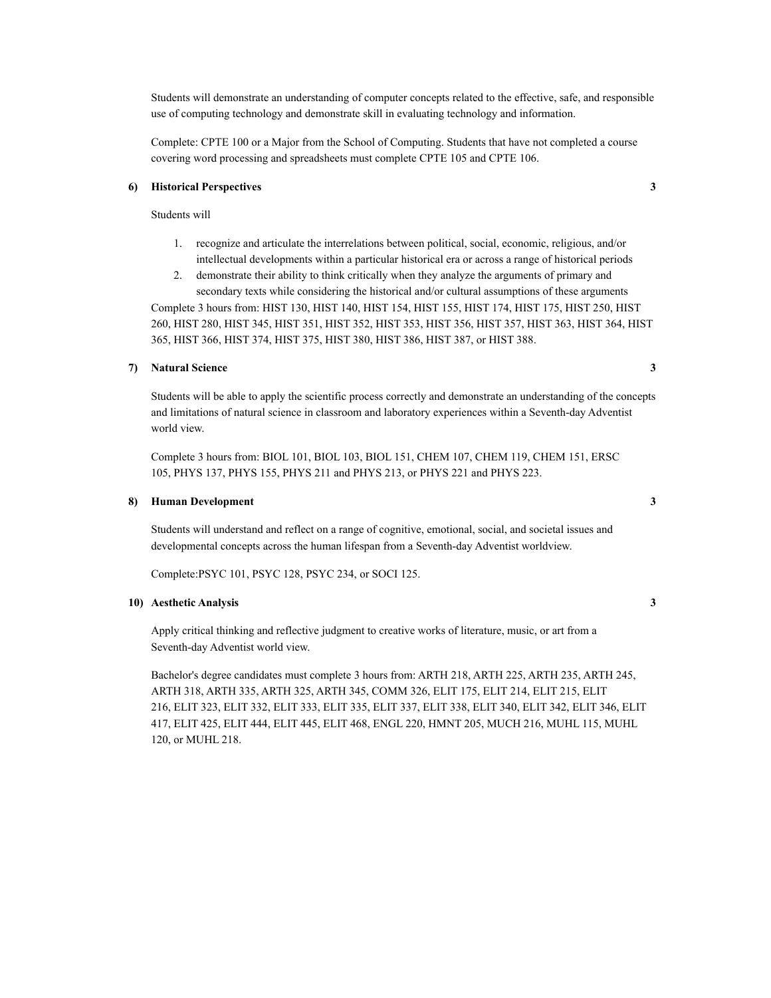Students will demonstrate an understanding of computer concepts related to the effective, safe, and responsible use of computing technology and demonstrate skill in evaluating technology and information.

Complete: CPTE 100 or a Major from the School of Computing. Students that have not completed a course covering word processing and spreadsheets must complete CPTE 105 and CPTE 106.

#### **6) Historical Perspectives 3**

Students will

- 1. recognize and articulate the interrelations between political, social, economic, religious, and/or intellectual developments within a particular historical era or across a range of historical periods
- 2. demonstrate their ability to think critically when they analyze the arguments of primary and secondary texts while considering the historical and/or cultural assumptions of these arguments

Complete 3 hours from: HIST 130, HIST 140, HIST 154, HIST 155, HIST 174, HIST 175, HIST 250, HIST 260, HIST 280, HIST 345, HIST 351, HIST 352, HIST 353, HIST 356, HIST 357, HIST 363, HIST 364, HIST 365, HIST 366, HIST 374, HIST 375, HIST 380, HIST 386, HIST 387, or HIST 388.

#### **7) Natural Science 3**

Students will be able to apply the scientific process correctly and demonstrate an understanding of the concepts and limitations of natural science in classroom and laboratory experiences within a Seventh-day Adventist world view.

Complete 3 hours from: BIOL 101, BIOL 103, BIOL 151, CHEM 107, CHEM 119, CHEM 151, ERSC 105, PHYS 137, PHYS 155, PHYS 211 and PHYS 213, or PHYS 221 and PHYS 223.

#### **8) Human Development 3**

Students will understand and reflect on a range of cognitive, emotional, social, and societal issues and developmental concepts across the human lifespan from a Seventh-day Adventist worldview.

Complete:PSYC 101, PSYC 128, PSYC 234, or SOCI 125.

#### **10) Aesthetic Analysis 3**

Apply critical thinking and reflective judgment to creative works of literature, music, or art from a Seventh-day Adventist world view.

Bachelor's degree candidates must complete 3 hours from: ARTH 218, ARTH 225, ARTH 235, ARTH 245, ARTH 318, ARTH 335, ARTH 325, ARTH 345, COMM 326, ELIT 175, ELIT 214, ELIT 215, ELIT 216, ELIT 323, ELIT 332, ELIT 333, ELIT 335, ELIT 337, ELIT 338, ELIT 340, ELIT 342, ELIT 346, ELIT 417, ELIT 425, ELIT 444, ELIT 445, ELIT 468, ENGL 220, HMNT 205, MUCH 216, MUHL 115, MUHL 120, or MUHL 218.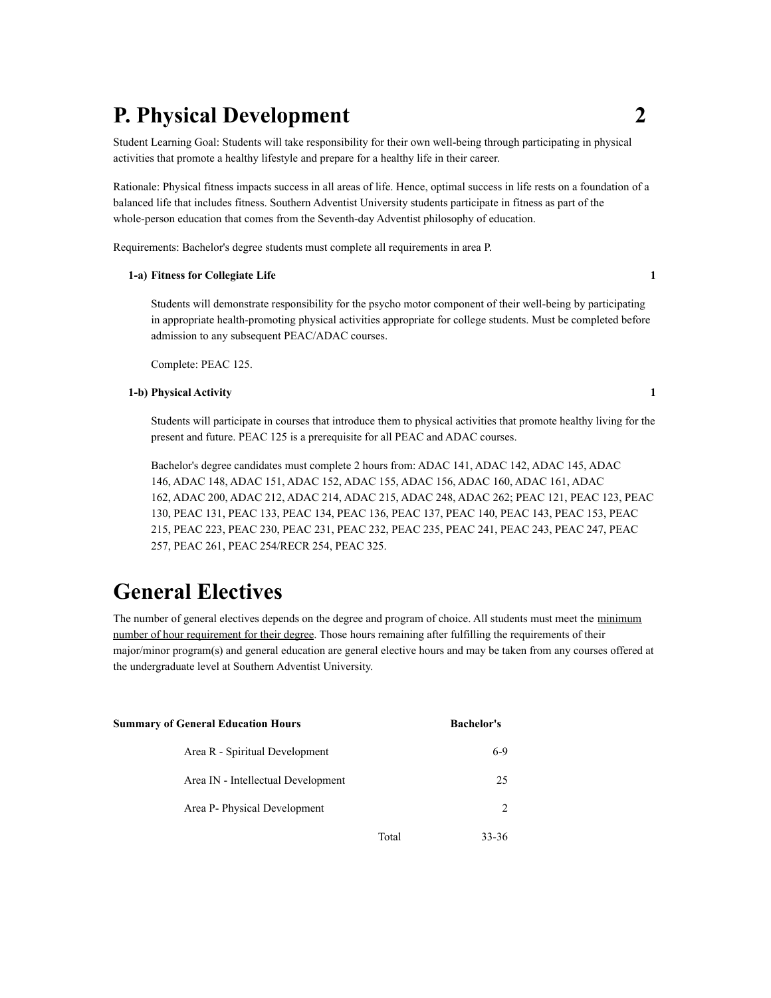### **P. Physical Development 2**

Student Learning Goal: Students will take responsibility for their own well-being through participating in physical activities that promote a healthy lifestyle and prepare for a healthy life in their career.

Rationale: Physical fitness impacts success in all areas of life. Hence, optimal success in life rests on a foundation of a balanced life that includes fitness. Southern Adventist University students participate in fitness as part of the whole-person education that comes from the Seventh-day Adventist philosophy of education.

Requirements: Bachelor's degree students must complete all requirements in area P.

#### **1-a) Fitness for Collegiate Life 1**

Students will demonstrate responsibility for the psycho motor component of their well-being by participating in appropriate health-promoting physical activities appropriate for college students. Must be completed before admission to any subsequent PEAC/ADAC courses.

Complete: PEAC 125.

#### **1-b) Physical Activity 1**

Students will participate in courses that introduce them to physical activities that promote healthy living for the present and future. PEAC 125 is a prerequisite for all PEAC and ADAC courses.

Bachelor's degree candidates must complete 2 hours from: ADAC 141, ADAC 142, ADAC 145, ADAC 146, ADAC 148, ADAC 151, ADAC 152, ADAC 155, ADAC 156, ADAC 160, ADAC 161, ADAC 162, ADAC 200, ADAC 212, ADAC 214, ADAC 215, ADAC 248, ADAC 262; PEAC 121, PEAC 123, PEAC 130, PEAC 131, PEAC 133, PEAC 134, PEAC 136, PEAC 137, PEAC 140, PEAC 143, PEAC 153, PEAC 215, PEAC 223, PEAC 230, PEAC 231, PEAC 232, PEAC 235, PEAC 241, PEAC 243, PEAC 247, PEAC 257, PEAC 261, PEAC 254/RECR 254, PEAC 325.

### **General Electives**

The number of general electives depends on the degree and program of choice. All students must meet the minimum number of hour requirement for their degree. Those hours remaining after fulfilling the requirements of their major/minor program(s) and general education are general elective hours and may be taken from any courses offered at the undergraduate level at Southern Adventist University.

| <b>Summary of General Education Hours</b> |       | <b>Bachelor's</b> |
|-------------------------------------------|-------|-------------------|
| Area R - Spiritual Development            |       | $6-9$             |
| Area IN - Intellectual Development        |       | 25                |
| Area P- Physical Development              |       | 2                 |
|                                           | Total | 33-36             |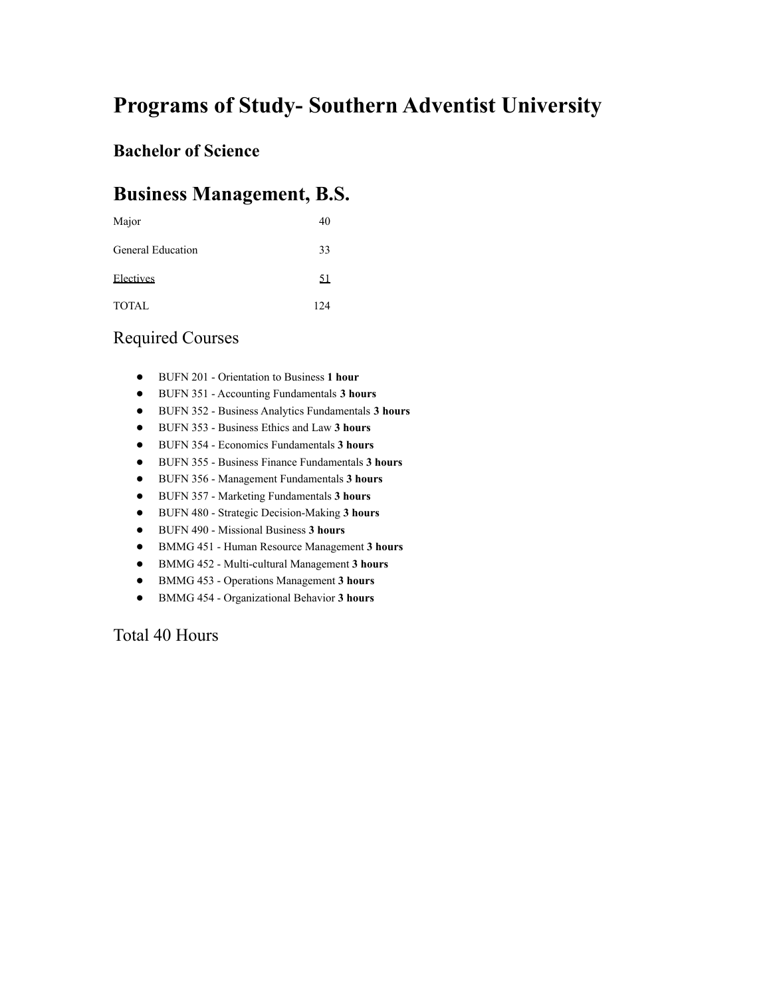# **Programs of Study- Southern Adventist University**

### **Bachelor of Science**

### **Business Management, B.S.**

| Major             | 40   |
|-------------------|------|
| General Education | 33   |
| Electives         | 51   |
| <b>TOTAL</b>      | 12.4 |

### Required Courses

- BUFN 201 Orientation to Business **1 hour**
- BUFN 351 Accounting Fundamentals **3 hours**
- BUFN 352 Business Analytics Fundamentals **3 hours**
- BUFN 353 Business Ethics and Law **3 hours**
- BUFN 354 Economics Fundamentals **3 hours**
- BUFN 355 Business Finance Fundamentals **3 hours**
- BUFN 356 Management Fundamentals **3 hours**
- BUFN 357 Marketing Fundamentals **3 hours**
- BUFN 480 Strategic Decision-Making **3 hours**
- BUFN 490 Missional Business **3 hours**
- BMMG 451 Human Resource Management **3 hours**
- BMMG 452 Multi-cultural Management **3 hours**
- BMMG 453 Operations Management **3 hours**
- BMMG 454 Organizational Behavior **3 hours**

Total 40 Hours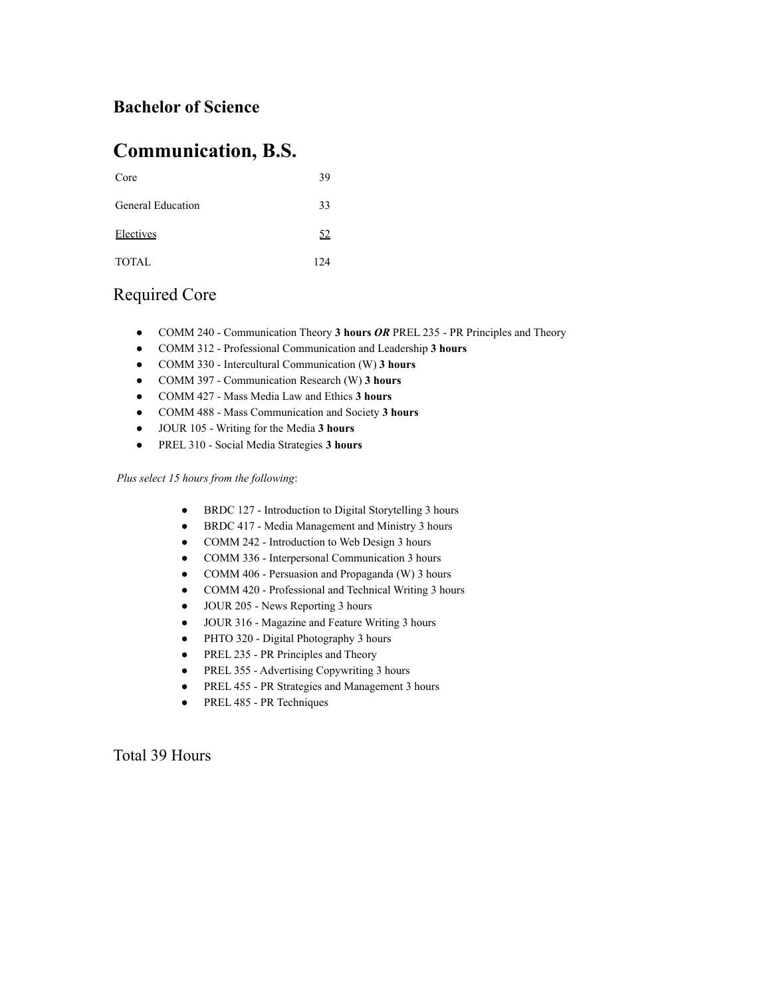### **Bachelor of Science**

### **Communication, B.S.**

| Core                     | 39   |
|--------------------------|------|
| <b>General Education</b> | 33   |
| Electives                | 52   |
| <b>TOTAL</b>             | 12.4 |

### Required Core

- COMM 240 Communication Theory **3 hours** *OR* PREL 235 PR Principles and Theory
- COMM 312 Professional Communication and Leadership **3 hours**
- COMM 330 Intercultural Communication (W) **3 hours**
- COMM 397 Communication Research (W) **3 hours**
- COMM 427 Mass Media Law and Ethics **3 hours**
- COMM 488 Mass Communication and Society **3 hours**
- JOUR 105 Writing for the Media **3 hours**
- PREL 310 Social Media Strategies **3 hours**

#### *Plus select 15 hours from the following*:

- BRDC 127 Introduction to Digital Storytelling 3 hours
- BRDC 417 Media Management and Ministry 3 hours
- COMM 242 Introduction to Web Design 3 hours
- COMM 336 Interpersonal Communication 3 hours
- COMM 406 Persuasion and Propaganda (W) 3 hours
- COMM 420 Professional and Technical Writing 3 hours
- JOUR 205 News Reporting 3 hours
- JOUR 316 Magazine and Feature Writing 3 hours
- PHTO 320 Digital Photography 3 hours
- PREL 235 PR Principles and Theory
- PREL 355 Advertising Copywriting 3 hours
- PREL 455 PR Strategies and Management 3 hours
- PREL 485 PR Techniques

Total 39 Hours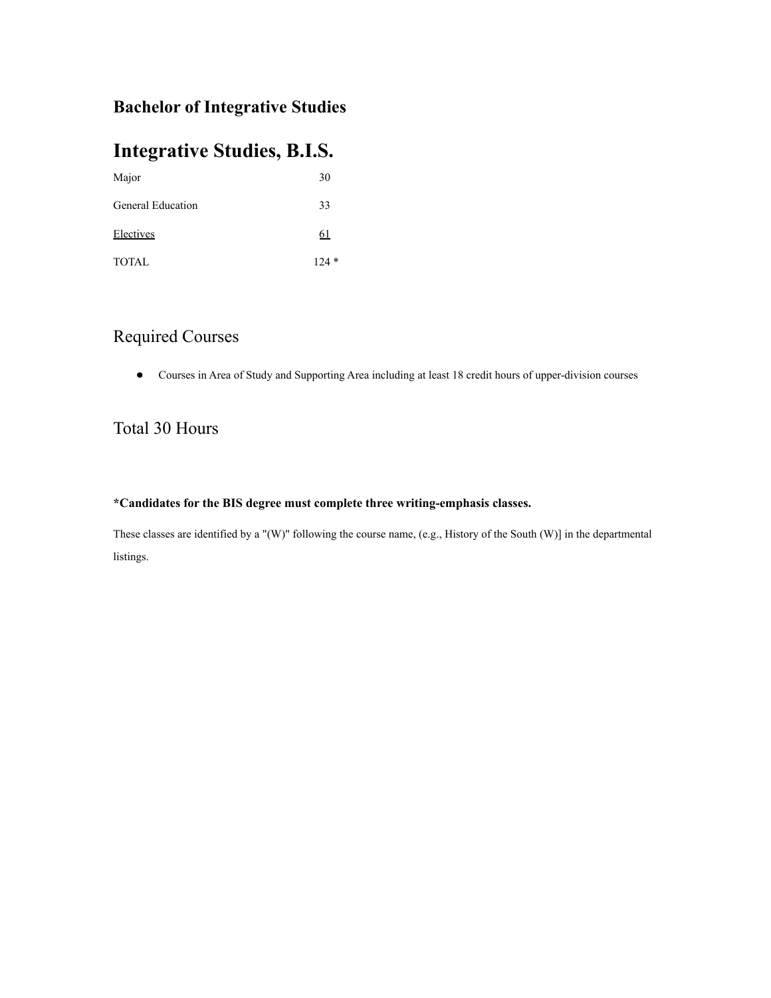### **Bachelor of Integrative Studies**

### **Integrative Studies, B.I.S.**

| Major                    | 30            |
|--------------------------|---------------|
| <b>General Education</b> | 33            |
| Electives                | <u>61</u>     |
| TOTAL                    | $\ast$<br>124 |

### Required Courses

● Courses in Area of Study and Supporting Area including at least 18 credit hours of upper-division courses

### Total 30 Hours

#### **\*Candidates for the BIS degree must complete three writing-emphasis classes.**

These classes are identified by a "(W)" following the course name, (e.g., History of the South (W)] in the departmental listings.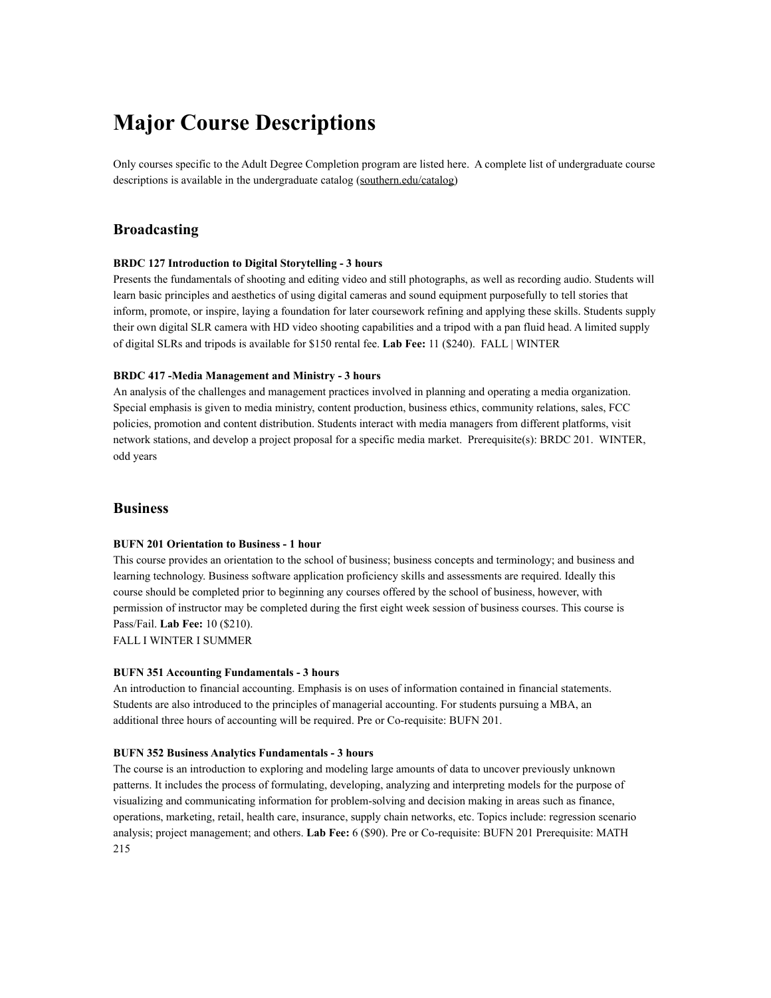### **Major Course Descriptions**

Only courses specific to the Adult Degree Completion program are listed here. A complete list of undergraduate course descriptions is available in the undergraduate catalog ([southern.edu/catalog\)](http://southern.edu/catalog)

#### **Broadcasting**

#### **BRDC 127 Introduction to Digital Storytelling - 3 hours**

Presents the fundamentals of shooting and editing video and still photographs, as well as recording audio. Students will learn basic principles and aesthetics of using digital cameras and sound equipment purposefully to tell stories that inform, promote, or inspire, laying a foundation for later coursework refining and applying these skills. Students supply their own digital SLR camera with HD video shooting capabilities and a tripod with a pan fluid head. A limited supply of digital SLRs and tripods is available for \$150 rental fee. **Lab Fee:** 11 (\$240). FALL | WINTER

#### **BRDC 417 -Media Management and Ministry - 3 hours**

An analysis of the challenges and management practices involved in planning and operating a media organization. Special emphasis is given to media ministry, content production, business ethics, community relations, sales, FCC policies, promotion and content distribution. Students interact with media managers from different platforms, visit network stations, and develop a project proposal for a specific media market. Prerequisite(s): BRDC 201. WINTER, odd years

#### **Business**

#### **BUFN 201 Orientation to Business - 1 hour**

This course provides an orientation to the school of business; business concepts and terminology; and business and learning technology. Business software application proficiency skills and assessments are required. Ideally this course should be completed prior to beginning any courses offered by the school of business, however, with permission of instructor may be completed during the first eight week session of business courses. This course is Pass/Fail. **Lab Fee:** 10 (\$210).

FALL I WINTER I SUMMER

#### **BUFN 351 Accounting Fundamentals - 3 hours**

An introduction to financial accounting. Emphasis is on uses of information contained in financial statements. Students are also introduced to the principles of managerial accounting. For students pursuing a MBA, an additional three hours of accounting will be required. Pre or Co-requisite: BUFN 201.

#### **BUFN 352 Business Analytics Fundamentals - 3 hours**

The course is an introduction to exploring and modeling large amounts of data to uncover previously unknown patterns. It includes the process of formulating, developing, analyzing and interpreting models for the purpose of visualizing and communicating information for problem-solving and decision making in areas such as finance, operations, marketing, retail, health care, insurance, supply chain networks, etc. Topics include: regression scenario analysis; project management; and others. **Lab Fee:** 6 (\$90). Pre or Co-requisite: BUFN 201 Prerequisite: MATH 215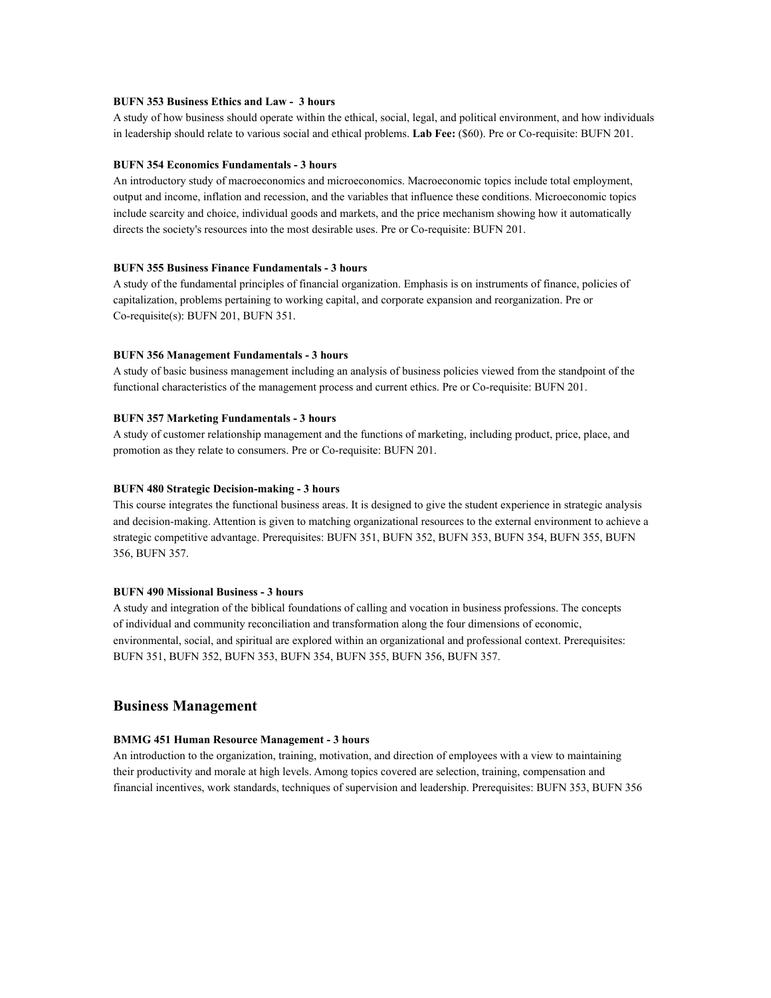#### **BUFN 353 Business Ethics and Law - 3 hours**

A study of how business should operate within the ethical, social, legal, and political environment, and how individuals in leadership should relate to various social and ethical problems. **Lab Fee:** (\$60). Pre or Co-requisite: BUFN 201.

#### **BUFN 354 Economics Fundamentals - 3 hours**

An introductory study of macroeconomics and microeconomics. Macroeconomic topics include total employment, output and income, inflation and recession, and the variables that influence these conditions. Microeconomic topics include scarcity and choice, individual goods and markets, and the price mechanism showing how it automatically directs the society's resources into the most desirable uses. Pre or Co-requisite: BUFN 201.

#### **BUFN 355 Business Finance Fundamentals - 3 hours**

A study of the fundamental principles of financial organization. Emphasis is on instruments of finance, policies of capitalization, problems pertaining to working capital, and corporate expansion and reorganization. Pre or Co-requisite(s): BUFN 201, BUFN 351.

#### **BUFN 356 Management Fundamentals - 3 hours**

A study of basic business management including an analysis of business policies viewed from the standpoint of the functional characteristics of the management process and current ethics. Pre or Co-requisite: BUFN 201.

#### **BUFN 357 Marketing Fundamentals - 3 hours**

A study of customer relationship management and the functions of marketing, including product, price, place, and promotion as they relate to consumers. Pre or Co-requisite: BUFN 201.

#### **BUFN 480 Strategic Decision-making - 3 hours**

This course integrates the functional business areas. It is designed to give the student experience in strategic analysis and decision-making. Attention is given to matching organizational resources to the external environment to achieve a strategic competitive advantage. Prerequisites: BUFN 351, BUFN 352, BUFN 353, BUFN 354, BUFN 355, BUFN 356, BUFN 357.

#### **BUFN 490 Missional Business - 3 hours**

A study and integration of the biblical foundations of calling and vocation in business professions. The concepts of individual and community reconciliation and transformation along the four dimensions of economic, environmental, social, and spiritual are explored within an organizational and professional context. Prerequisites: BUFN 351, BUFN 352, BUFN 353, BUFN 354, BUFN 355, BUFN 356, BUFN 357.

#### **Business Management**

#### **BMMG 451 Human Resource Management - 3 hours**

An introduction to the organization, training, motivation, and direction of employees with a view to maintaining their productivity and morale at high levels. Among topics covered are selection, training, compensation and financial incentives, work standards, techniques of supervision and leadership. Prerequisites: BUFN 353, BUFN 356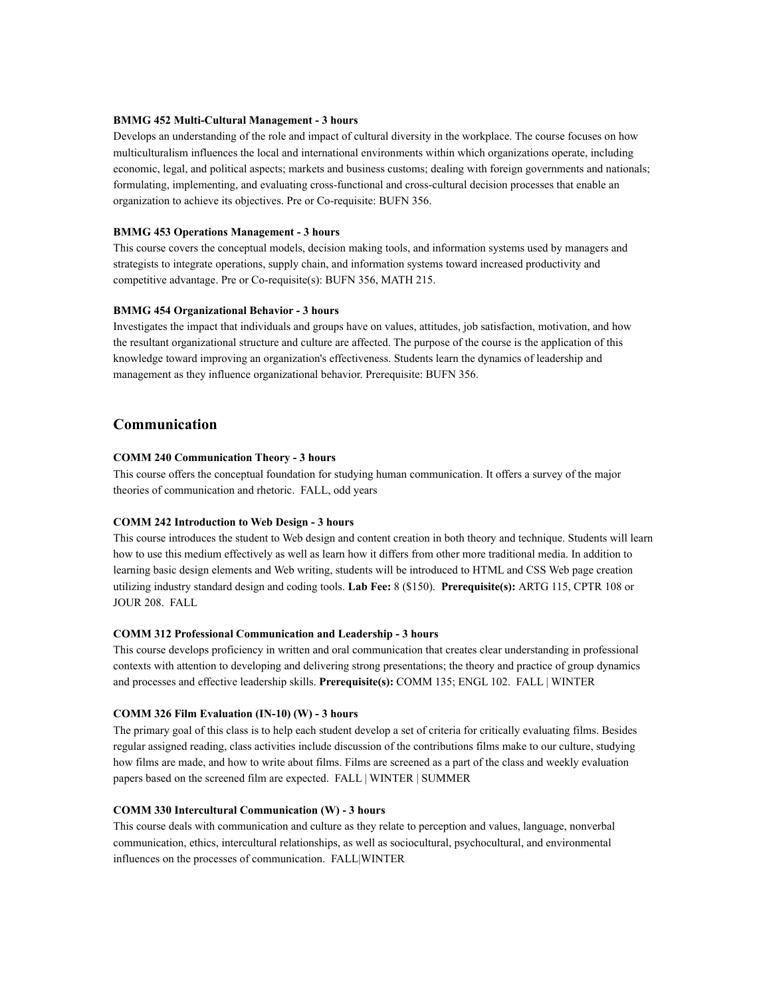#### **BMMG 452 Multi-Cultural Management - 3 hours**

Develops an understanding of the role and impact of cultural diversity in the workplace. The course focuses on how multiculturalism influences the local and international environments within which organizations operate, including economic, legal, and political aspects; markets and business customs; dealing with foreign governments and nationals; formulating, implementing, and evaluating cross-functional and cross-cultural decision processes that enable an organization to achieve its objectives. Pre or Co-requisite: BUFN 356.

#### **BMMG 453 Operations Management - 3 hours**

This course covers the conceptual models, decision making tools, and information systems used by managers and strategists to integrate operations, supply chain, and information systems toward increased productivity and competitive advantage. Pre or Co-requisite(s): BUFN 356, MATH 215.

#### **BMMG 454 Organizational Behavior - 3 hours**

Investigates the impact that individuals and groups have on values, attitudes, job satisfaction, motivation, and how the resultant organizational structure and culture are affected. The purpose of the course is the application of this knowledge toward improving an organization's effectiveness. Students learn the dynamics of leadership and management as they influence organizational behavior. Prerequisite: BUFN 356.

#### **Communication**

#### **COMM 240 Communication Theory - 3 hours**

This course offers the conceptual foundation for studying human communication. It offers a survey of the major theories of communication and rhetoric. FALL, odd years

#### **COMM 242 Introduction to Web Design - 3 hours**

This course introduces the student to Web design and content creation in both theory and technique. Students will learn how to use this medium effectively as well as learn how it differs from other more traditional media. In addition to learning basic design elements and Web writing, students will be introduced to HTML and CSS Web page creation utilizing industry standard design and coding tools. **Lab Fee:** 8 (\$150). **Prerequisite(s):** ARTG 115, CPTR 108 or JOUR 208. FALL

#### **COMM 312 Professional Communication and Leadership - 3 hours**

This course develops proficiency in written and oral communication that creates clear understanding in professional contexts with attention to developing and delivering strong presentations; the theory and practice of group dynamics and processes and effective leadership skills. **Prerequisite(s):** COMM 135; ENGL 102. FALL | WINTER

#### **COMM 326 Film Evaluation (IN-10) (W) - 3 hours**

The primary goal of this class is to help each student develop a set of criteria for critically evaluating films. Besides regular assigned reading, class activities include discussion of the contributions films make to our culture, studying how films are made, and how to write about films. Films are screened as a part of the class and weekly evaluation papers based on the screened film are expected. FALL | WINTER | SUMMER

#### **COMM 330 Intercultural Communication (W) - 3 hours**

This course deals with communication and culture as they relate to perception and values, language, nonverbal communication, ethics, intercultural relationships, as well as sociocultural, psychocultural, and environmental influences on the processes of communication. FALL|WINTER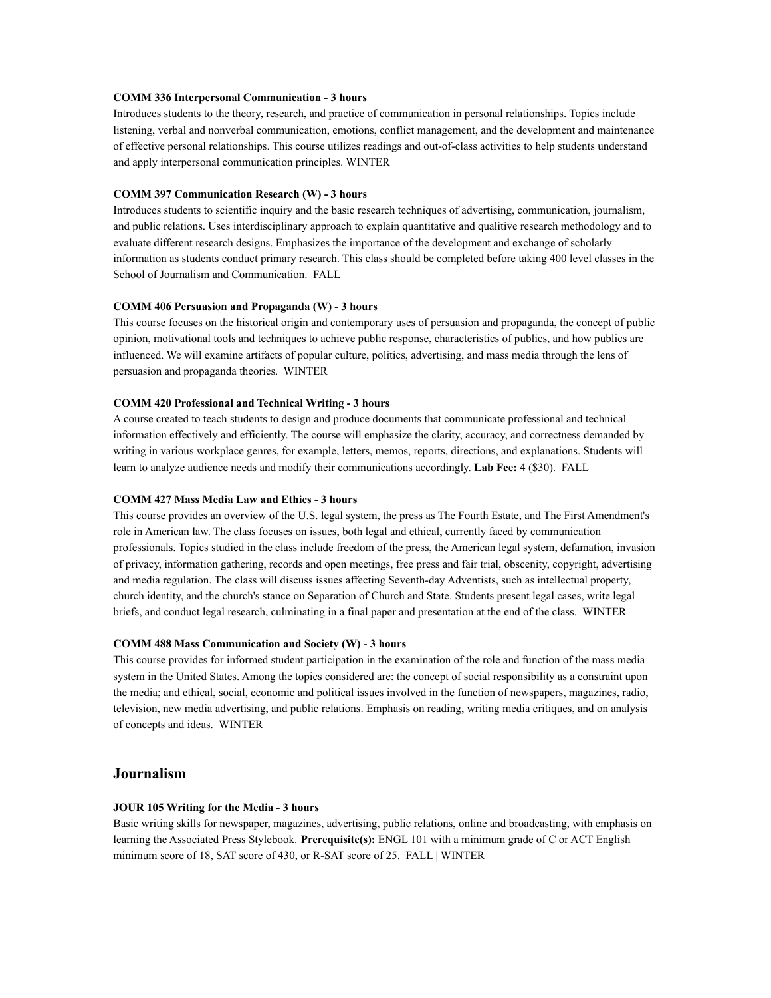#### **COMM 336 Interpersonal Communication - 3 hours**

Introduces students to the theory, research, and practice of communication in personal relationships. Topics include listening, verbal and nonverbal communication, emotions, conflict management, and the development and maintenance of effective personal relationships. This course utilizes readings and out-of-class activities to help students understand and apply interpersonal communication principles. WINTER

#### **COMM 397 Communication Research (W) - 3 hours**

Introduces students to scientific inquiry and the basic research techniques of advertising, communication, journalism, and public relations. Uses interdisciplinary approach to explain quantitative and qualitive research methodology and to evaluate different research designs. Emphasizes the importance of the development and exchange of scholarly information as students conduct primary research. This class should be completed before taking 400 level classes in the School of Journalism and Communication. FALL

#### **COMM 406 Persuasion and Propaganda (W) - 3 hours**

This course focuses on the historical origin and contemporary uses of persuasion and propaganda, the concept of public opinion, motivational tools and techniques to achieve public response, characteristics of publics, and how publics are influenced. We will examine artifacts of popular culture, politics, advertising, and mass media through the lens of persuasion and propaganda theories. WINTER

#### **COMM 420 Professional and Technical Writing - 3 hours**

A course created to teach students to design and produce documents that communicate professional and technical information effectively and efficiently. The course will emphasize the clarity, accuracy, and correctness demanded by writing in various workplace genres, for example, letters, memos, reports, directions, and explanations. Students will learn to analyze audience needs and modify their communications accordingly. **Lab Fee:** 4 (\$30). FALL

#### **COMM 427 Mass Media Law and Ethics - 3 hours**

This course provides an overview of the U.S. legal system, the press as The Fourth Estate, and The First Amendment's role in American law. The class focuses on issues, both legal and ethical, currently faced by communication professionals. Topics studied in the class include freedom of the press, the American legal system, defamation, invasion of privacy, information gathering, records and open meetings, free press and fair trial, obscenity, copyright, advertising and media regulation. The class will discuss issues affecting Seventh-day Adventists, such as intellectual property, church identity, and the church's stance on Separation of Church and State. Students present legal cases, write legal briefs, and conduct legal research, culminating in a final paper and presentation at the end of the class. WINTER

#### **COMM 488 Mass Communication and Society (W) - 3 hours**

This course provides for informed student participation in the examination of the role and function of the mass media system in the United States. Among the topics considered are: the concept of social responsibility as a constraint upon the media; and ethical, social, economic and political issues involved in the function of newspapers, magazines, radio, television, new media advertising, and public relations. Emphasis on reading, writing media critiques, and on analysis of concepts and ideas. WINTER

#### **Journalism**

#### **JOUR 105 Writing for the Media - 3 hours**

Basic writing skills for newspaper, magazines, advertising, public relations, online and broadcasting, with emphasis on learning the Associated Press Stylebook. **Prerequisite(s):** ENGL 101 with a minimum grade of C or ACT English minimum score of 18, SAT score of 430, or R-SAT score of 25. FALL | WINTER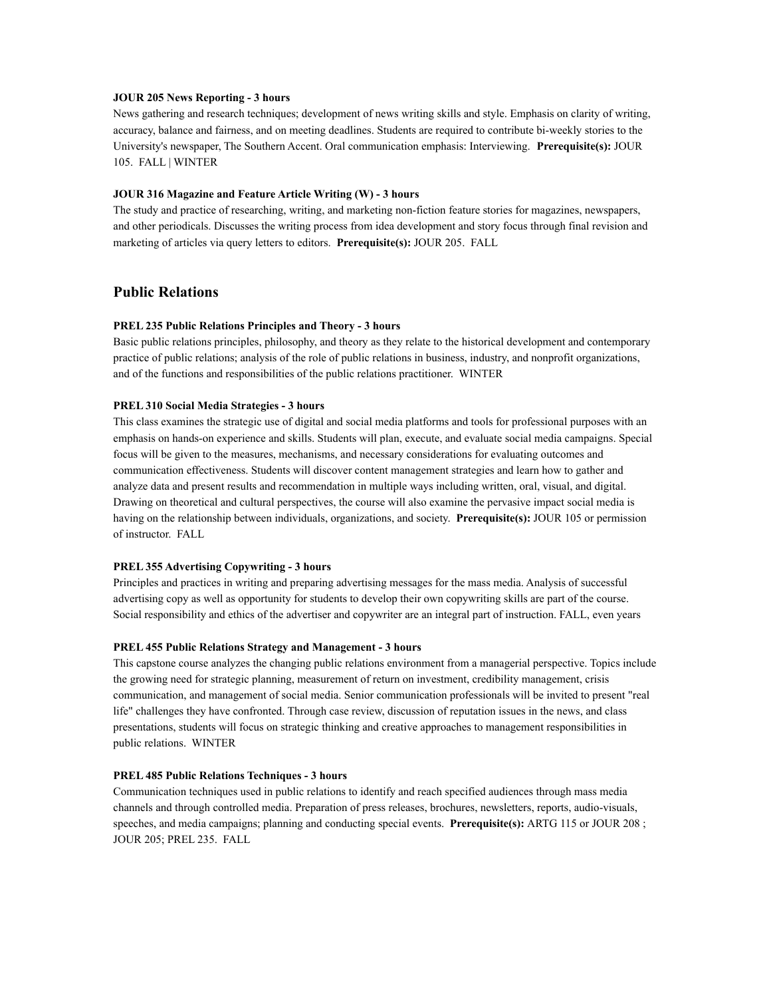#### **JOUR 205 News Reporting - 3 hours**

News gathering and research techniques; development of news writing skills and style. Emphasis on clarity of writing, accuracy, balance and fairness, and on meeting deadlines. Students are required to contribute bi-weekly stories to the University's newspaper, The Southern Accent. Oral communication emphasis: Interviewing. **Prerequisite(s):** JOUR 105. FALL | WINTER

#### **JOUR 316 Magazine and Feature Article Writing (W) - 3 hours**

The study and practice of researching, writing, and marketing non-fiction feature stories for magazines, newspapers, and other periodicals. Discusses the writing process from idea development and story focus through final revision and marketing of articles via query letters to editors. **Prerequisite(s):** JOUR 205. FALL

#### **Public Relations**

#### **PREL 235 Public Relations Principles and Theory - 3 hours**

Basic public relations principles, philosophy, and theory as they relate to the historical development and contemporary practice of public relations; analysis of the role of public relations in business, industry, and nonprofit organizations, and of the functions and responsibilities of the public relations practitioner. WINTER

#### **PREL 310 Social Media Strategies - 3 hours**

This class examines the strategic use of digital and social media platforms and tools for professional purposes with an emphasis on hands-on experience and skills. Students will plan, execute, and evaluate social media campaigns. Special focus will be given to the measures, mechanisms, and necessary considerations for evaluating outcomes and communication effectiveness. Students will discover content management strategies and learn how to gather and analyze data and present results and recommendation in multiple ways including written, oral, visual, and digital. Drawing on theoretical and cultural perspectives, the course will also examine the pervasive impact social media is having on the relationship between individuals, organizations, and society. **Prerequisite(s):** JOUR 105 or permission of instructor. FALL

#### **PREL 355 Advertising Copywriting - 3 hours**

Principles and practices in writing and preparing advertising messages for the mass media. Analysis of successful advertising copy as well as opportunity for students to develop their own copywriting skills are part of the course. Social responsibility and ethics of the advertiser and copywriter are an integral part of instruction. FALL, even years

#### **PREL 455 Public Relations Strategy and Management - 3 hours**

This capstone course analyzes the changing public relations environment from a managerial perspective. Topics include the growing need for strategic planning, measurement of return on investment, credibility management, crisis communication, and management of social media. Senior communication professionals will be invited to present "real life" challenges they have confronted. Through case review, discussion of reputation issues in the news, and class presentations, students will focus on strategic thinking and creative approaches to management responsibilities in public relations. WINTER

#### **PREL 485 Public Relations Techniques - 3 hours**

Communication techniques used in public relations to identify and reach specified audiences through mass media channels and through controlled media. Preparation of press releases, brochures, newsletters, reports, audio-visuals, speeches, and media campaigns; planning and conducting special events. **Prerequisite(s):** ARTG 115 or JOUR 208 ; JOUR 205; PREL 235. FALL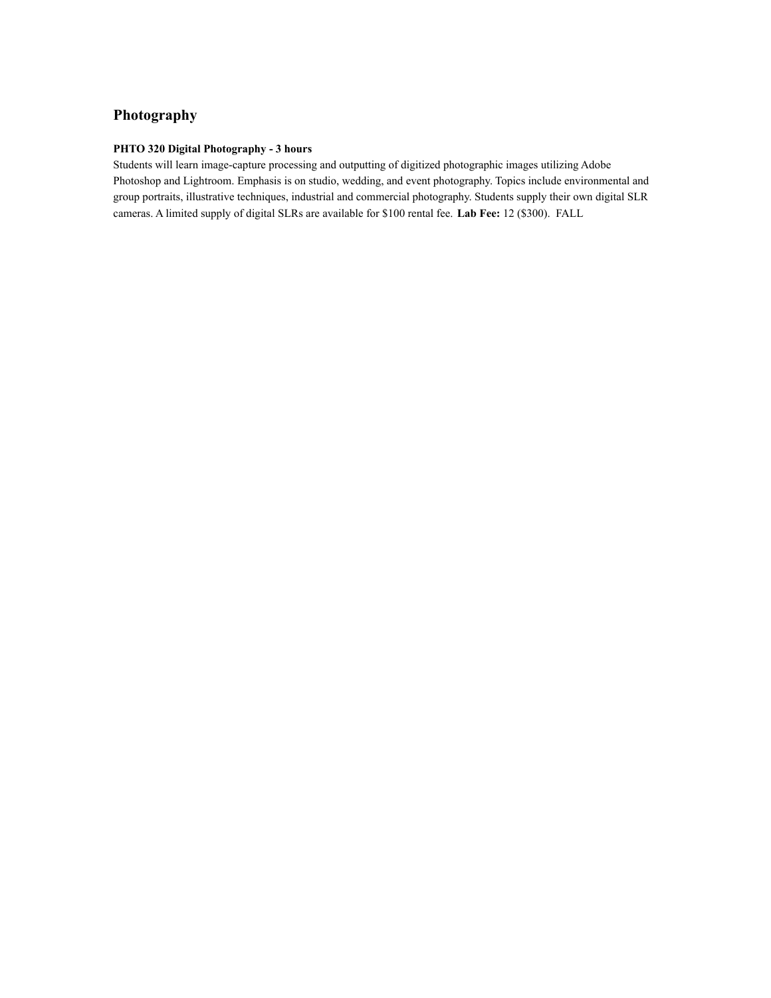### **Photography**

#### **PHTO 320 Digital Photography - 3 hours**

Students will learn image-capture processing and outputting of digitized photographic images utilizing Adobe Photoshop and Lightroom. Emphasis is on studio, wedding, and event photography. Topics include environmental and group portraits, illustrative techniques, industrial and commercial photography. Students supply their own digital SLR cameras. A limited supply of digital SLRs are available for \$100 rental fee. **Lab Fee:** 12 (\$300). FALL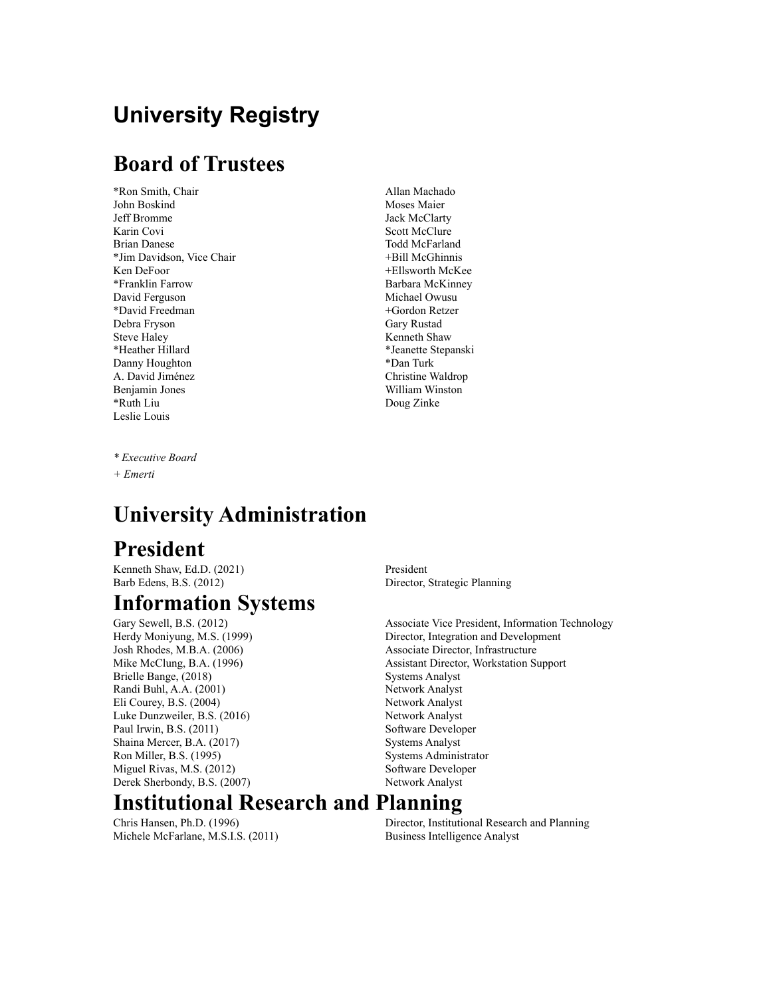# **University Registry**

### **Board of Trustees**

\*Ron Smith, Chair Allan Machado John Boskind Moses Maier Jeff Bromme Jack McClarty Karin Covi Scott McClure Brian Danese Todd McFarland \*Jim Davidson, Vice Chair +Bill McGhinnis Ken DeFoor +Ellsworth McKee \*Franklin Farrow Barbara McKinney David Ferguson Michael Owusu \*David Freedman +Gordon Retzer Debra Fryson Gary Rustad Steve Haley Kenneth Shaw \*Heather Hillard \*Jeanette Stepanski Danny Houghton \*Dan Turk A. David Jiménez Christine Waldrop Benjamin Jones William Winston \*Ruth Liu Doug Zinke Leslie Louis

*\* Executive Board*

### *+ Emerti*

### **University Administration**

### **President**

Kenneth Shaw, Ed.D. (2021) President Barb Edens, B.S. (2012) Director, Strategic Planning

### **Information Systems**

Brielle Bange, (2018) Systems Analyst Randi Buhl, A.A. (2001) Network Analyst Eli Courey, B.S. (2004) Network Analyst Luke Dunzweiler, B.S. (2016) Network Analyst Paul Irwin, B.S. (2011) Software Developer Shaina Mercer, B.A. (2017) Systems Analyst Ron Miller, B.S. (1995) Systems Administrator Miguel Rivas, M.S. (2012) Software Developer Derek Sherbondy, B.S. (2007) Network Analyst

Gary Sewell, B.S. (2012) **Associate Vice President**, Information Technology Herdy Moniyung, M.S. (1999) Director, Integration and Development Josh Rhodes, M.B.A. (2006) Associate Director, Infrastructure Mike McClung, B.A. (1996) Assistant Director, Workstation Support

### **Institutional Research and Planning**

Michele McFarlane, M.S.I.S. (2011) Business Intelligence Analyst

Chris Hansen, Ph.D. (1996) Director, Institutional Research and Planning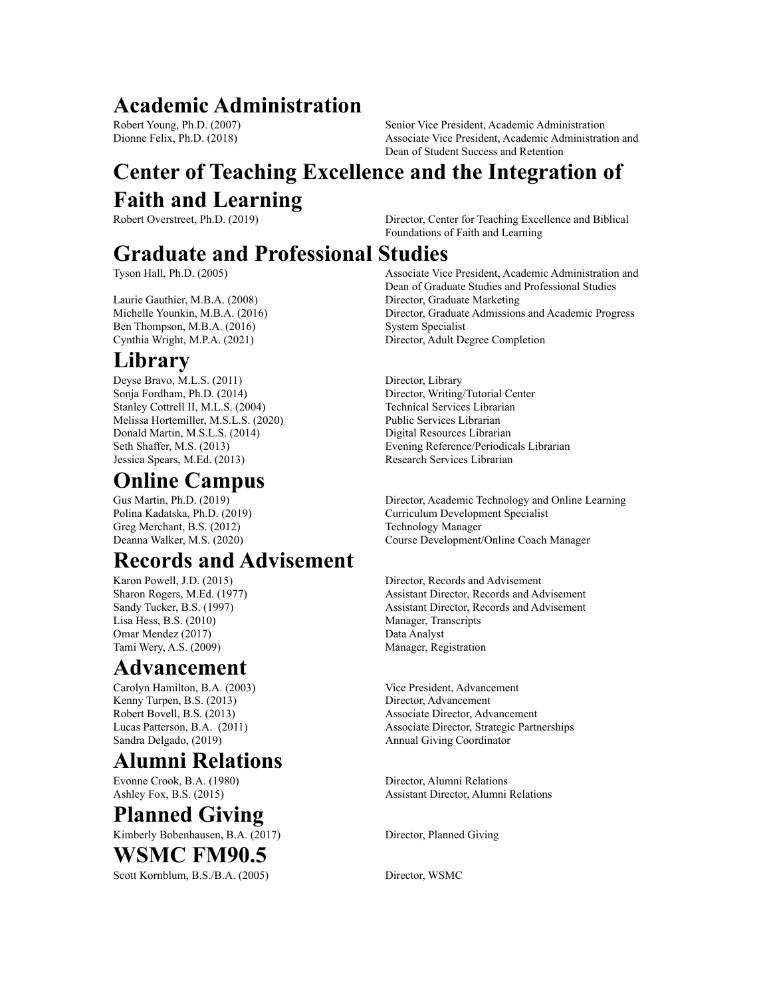### **Academic Administration**

Robert Young, Ph.D. (2007) Senior Vice President, Academic Administration Dionne Felix, Ph.D. (2018) Associate Vice President, Academic Administration and Dean of Student Success and Retention

# **Center of Teaching Excellence and the Integration of Faith and Learning**

Robert Overstreet, Ph.D. (2019) Director, Center for Teaching Excellence and Biblical Foundations of Faith and Learning

### **Graduate and Professional Studies**

Laurie Gauthier, M.B.A. (2008) Director, Graduate Marketing Ben Thompson, M.B.A. (2016) System Specialist

### **Library**

Deyse Bravo, M.L.S. (2011) Director, Library Sonja Fordham, Ph.D. (2014) Director, Writing/Tutorial Center Stanley Cottrell II, M.L.S. (2004) Technical Services Librarian Melissa Hortemiller, M.S.L.S. (2020) Public Services Librarian Donald Martin, M.S.L.S. (2014) Digital Resources Librarian Jessica Spears, M.Ed. (2013) Research Services Librarian

# **Online Campus**

Greg Merchant, B.S. (2012) Technology Manager

### **Records and Advisement**

Lisa Hess, B.S. (2010) Manager, Transcripts Omar Mendez (2017) Data Analyst Tami Wery, A.S. (2009) Manager, Registration

### **Advancement**

Carolyn Hamilton, B.A. (2003) Vice President, Advancement Kenny Turpen, B.S. (2013) Director, Advancement Sandra Delgado, (2019) Annual Giving Coordinator

# **Alumni Relations**

Evonne Crook, B.A. (1980) Director, Alumni Relations

# **Planned Giving**

Kimberly Bobenhausen, B.A. (2017) Director, Planned Giving

### **WSMC FM90.5**

Scott Kornblum, B.S./B.A. (2005) Director, WSMC

Tyson Hall, Ph.D. (2005) Associate Vice President, Academic Administration and Dean of Graduate Studies and Professional Studies Michelle Younkin, M.B.A. (2016) Director, Graduate Admissions and Academic Progress Cynthia Wright, M.P.A. (2021) Director, Adult Degree Completion

Seth Shaffer, M.S. (2013) Evening Reference/Periodicals Librarian

Gus Martin, Ph.D. (2019) Director, Academic Technology and Online Learning Polina Kadatska, Ph.D. (2019) Curriculum Development Specialist Deanna Walker, M.S. (2020) Course Development/Online Coach Manager

Karon Powell, J.D. (2015) Director, Records and Advisement Sharon Rogers, M.Ed. (1977) Assistant Director, Records and Advisement Sandy Tucker, B.S. (1997) Assistant Director, Records and Advisement

Robert Bovell, B.S. (2013) Associate Director, Advancement Lucas Patterson, B.A. (2011) Associate Director, Strategic Partnerships

Ashley Fox, B.S. (2015) Assistant Director, Alumni Relations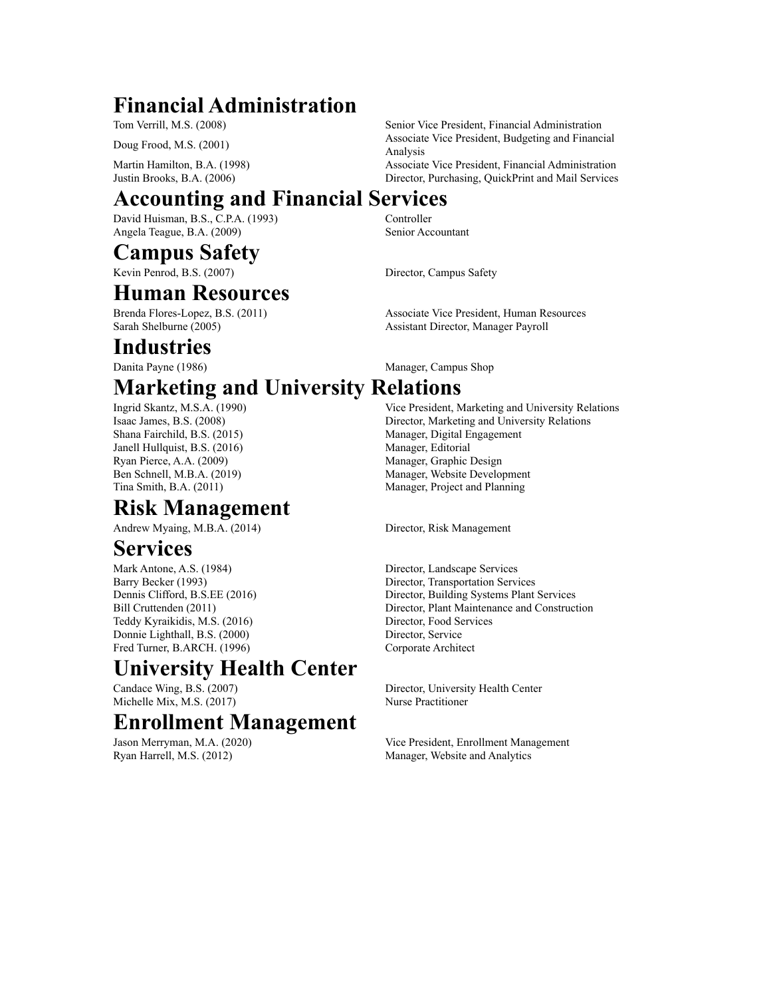# **Financial Administration**

Tom Verrill, M.S. (2008) Senior Vice President, Financial Administration

Martin Hamilton, B.A. (1998) Associate Vice President, Financial Administration

Doug Frood, M.S. (2001) Associate Vice President, Budgeting and Financial<br>Analysis Analysis

Justin Brooks, B.A. (2006) Director, Purchasing, QuickPrint and Mail Services

# **Accounting and Financial Services**

David Huisman, B.S., C.P.A. (1993) Controller Angela Teague, B.A. (2009) Senior Accountant

### **Campus Safety**

Kevin Penrod, B.S. (2007) Director, Campus Safety

### **Human Resources**

### **Industries**

# **Marketing and University Relations**

Janell Hullquist, B.S. (2016) Manager, Editorial Ryan Pierce, A.A. (2009) Manager, Graphic Design

# **Risk Management**

Andrew Myaing, M.B.A. (2014) Director, Risk Management

### **Services**

Mark Antone, A.S. (1984) Director, Landscape Services Teddy Kyraikidis, M.S. (2016) Director, Food Services Donnie Lighthall, B.S. (2000) Director, Service Fred Turner, B.ARCH. (1996) Corporate Architect

### **University Health Center**

Michelle Mix, M.S. (2017) Nurse Practitioner

### **Enrollment Management**

Brenda Flores-Lopez, B.S. (2011) Associate Vice President, Human Resources Sarah Shelburne (2005) Assistant Director, Manager Payroll

Danita Payne (1986) Manager, Campus Shop

Ingrid Skantz, M.S.A. (1990) Vice President, Marketing and University Relations Isaac James, B.S. (2008) Director, Marketing and University Relations Shana Fairchild, B.S. (2015) Manager, Digital Engagement Ben Schnell, M.B.A. (2019) Manager, Website Development Tina Smith, B.A. (2011) Manager, Project and Planning

Barry Becker (1993) Director, Transportation Services Dennis Clifford, B.S.EE (2016) Director, Building Systems Plant Services Bill Cruttenden (2011) Director, Plant Maintenance and Construction

Candace Wing, B.S. (2007) Director, University Health Center

Jason Merryman, M.A. (2020) Vice President, Enrollment Management Ryan Harrell, M.S. (2012) Manager, Website and Analytics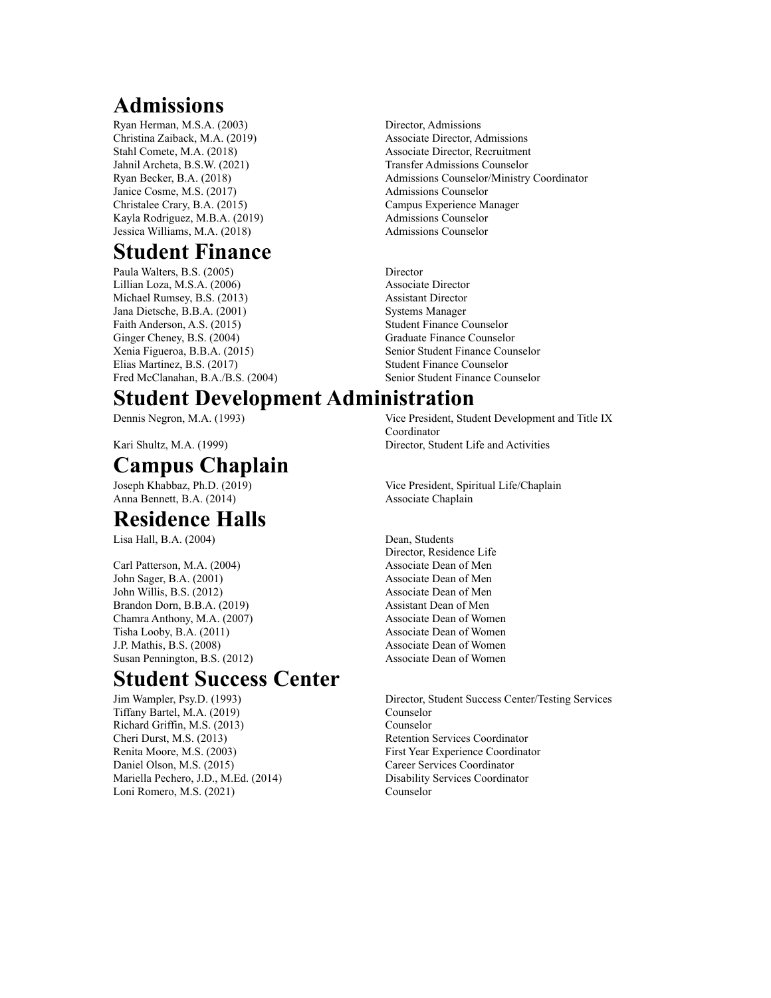# **Admissions**

Ryan Herman, M.S.A. (2003) Director, Admissions Christina Zaiback, M.A. (2019) Associate Director, Admissions Stahl Comete, M.A. (2018) Associate Director, Recruitment Jahnil Archeta, B.S.W. (2021) Transfer Admissions Counselor Janice Cosme, M.S. (2017) Admissions Counselor Christalee Crary, B.A. (2015) Campus Experience Manager Kayla Rodriguez, M.B.A. (2019) Admissions Counselor Jessica Williams, M.A. (2018) Admissions Counselor

### **Student Finance**

Paula Walters, B.S. (2005) Director Lillian Loza, M.S.A. (2006) Associate Director Michael Rumsey, B.S. (2013) Assistant Director Jana Dietsche, B.B.A. (2001) Systems Manager Faith Anderson, A.S. (2015) Student Finance Counselor Ginger Cheney, B.S. (2004) Graduate Finance Counselor Elias Martinez, B.S. (2017) Student Finance Counselor

### Fred McClanahan, B.A./B.S. (2004) Senior Student Finance Counselor **Student Development Administration**

# **Campus Chaplain**

Anna Bennett, B.A. (2014) Associate Chaplain

### **Residence Halls**

Lisa Hall, B.A. (2004) Dean, Students

Carl Patterson, M.A. (2004) Associate Dean of Men John Sager, B.A. (2001) Associate Dean of Men John Willis, B.S. (2012) Associate Dean of Men Brandon Dorn, B.B.A. (2019) Assistant Dean of Men Chamra Anthony, M.A. (2007) Associate Dean of Women Tisha Looby, B.A. (2011) Associate Dean of Women J.P. Mathis, B.S. (2008) Associate Dean of Women Susan Pennington, B.S. (2012) Associate Dean of Women

### **Student Success Center**

Tiffany Bartel, M.A. (2019) Counselor Richard Griffin, M.S. (2013) Counselor Cheri Durst, M.S. (2013) Retention Services Coordinator Renita Moore, M.S. (2003) First Year Experience Coordinator Daniel Olson, M.S. (2015) Career Services Coordinator Mariella Pechero, J.D., M.Ed. (2014) Disability Services Coordinator Loni Romero, M.S. (2021) Counselor

Ryan Becker, B.A. (2018) Admissions Counselor/Ministry Coordinator

Xenia Figueroa, B.B.A. (2015) Senior Student Finance Counselor

Dennis Negron, M.A. (1993) Vice President, Student Development and Title IX Coordinator Kari Shultz, M.A. (1999) Director, Student Life and Activities

Joseph Khabbaz, Ph.D. (2019) Vice President, Spiritual Life/Chaplain

Director, Residence Life

Jim Wampler, Psy.D. (1993) Director, Student Success Center/Testing Services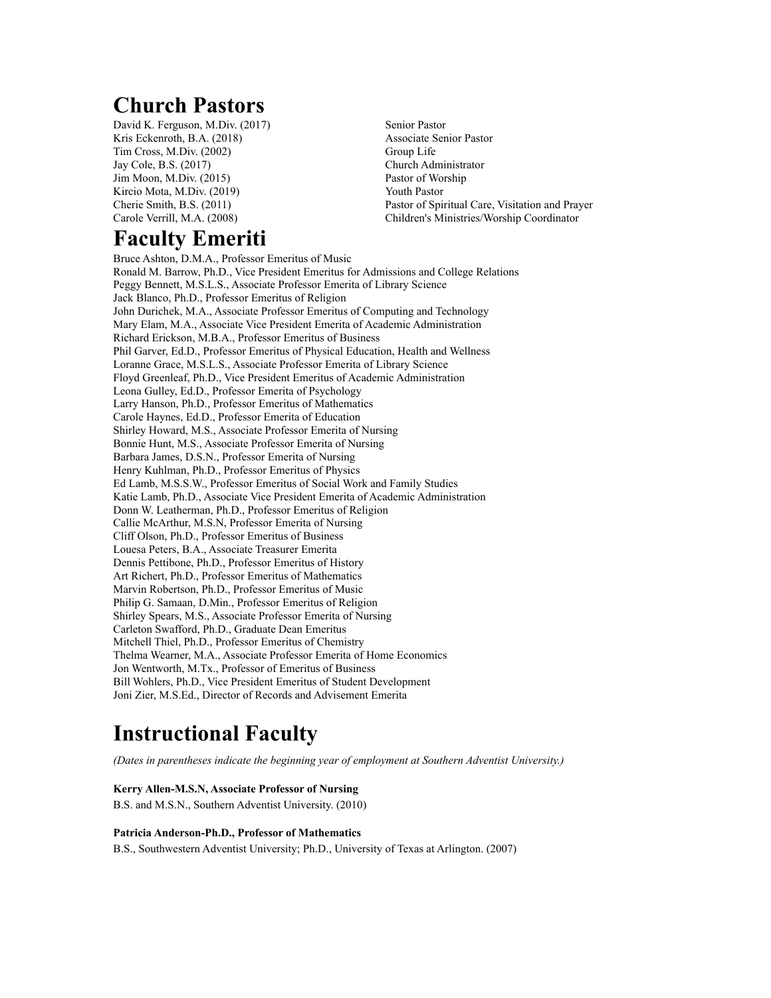# **Church Pastors**

David K. Ferguson, M.Div. (2017) Senior Pastor Kris Eckenroth, B.A. (2018) Associate Senior Pastor Tim Cross, M.Div. (2002) Group Life Jay Cole, B.S. (2017) Church Administrator Jim Moon, M.Div. (2015) Pastor of Worship Kircio Mota, M.Div. (2019) Youth Pastor

# **Faculty Emeriti**

Cherie Smith, B.S. (2011) Pastor of Spiritual Care, Visitation and Prayer Carole Verrill, M.A. (2008) Children's Ministries/Worship Coordinator

Bruce Ashton, D.M.A., Professor Emeritus of Music Ronald M. Barrow, Ph.D., Vice President Emeritus for Admissions and College Relations Peggy Bennett, M.S.L.S., Associate Professor Emerita of Library Science Jack Blanco, Ph.D., Professor Emeritus of Religion John Durichek, M.A., Associate Professor Emeritus of Computing and Technology Mary Elam, M.A., Associate Vice President Emerita of Academic Administration Richard Erickson, M.B.A., Professor Emeritus of Business Phil Garver, Ed.D., Professor Emeritus of Physical Education, Health and Wellness Loranne Grace, M.S.L.S., Associate Professor Emerita of Library Science Floyd Greenleaf, Ph.D., Vice President Emeritus of Academic Administration Leona Gulley, Ed.D., Professor Emerita of Psychology Larry Hanson, Ph.D., Professor Emeritus of Mathematics Carole Haynes, Ed.D., Professor Emerita of Education Shirley Howard, M.S., Associate Professor Emerita of Nursing Bonnie Hunt, M.S., Associate Professor Emerita of Nursing Barbara James, D.S.N., Professor Emerita of Nursing Henry Kuhlman, Ph.D., Professor Emeritus of Physics Ed Lamb, M.S.S.W., Professor Emeritus of Social Work and Family Studies Katie Lamb, Ph.D., Associate Vice President Emerita of Academic Administration Donn W. Leatherman, Ph.D., Professor Emeritus of Religion Callie McArthur, M.S.N, Professor Emerita of Nursing Cliff Olson, Ph.D., Professor Emeritus of Business Louesa Peters, B.A., Associate Treasurer Emerita Dennis Pettibone, Ph.D., Professor Emeritus of History Art Richert, Ph.D., Professor Emeritus of Mathematics Marvin Robertson, Ph.D., Professor Emeritus of Music Philip G. Samaan, D.Min., Professor Emeritus of Religion Shirley Spears, M.S., Associate Professor Emerita of Nursing Carleton Swafford, Ph.D., Graduate Dean Emeritus Mitchell Thiel, Ph.D., Professor Emeritus of Chemistry Thelma Wearner, M.A., Associate Professor Emerita of Home Economics Jon Wentworth, M.Tx., Professor of Emeritus of Business Bill Wohlers, Ph.D., Vice President Emeritus of Student Development Joni Zier, M.S.Ed., Director of Records and Advisement Emerita

# **Instructional Faculty**

*(Dates in parentheses indicate the beginning year of employment at Southern Adventist University.)*

#### **Kerry Allen-M.S.N, Associate Professor of Nursing**

B.S. and M.S.N., Southern Adventist University. (2010)

#### **Patricia Anderson-Ph.D., Professor of Mathematics**

B.S., Southwestern Adventist University; Ph.D., University of Texas at Arlington. (2007)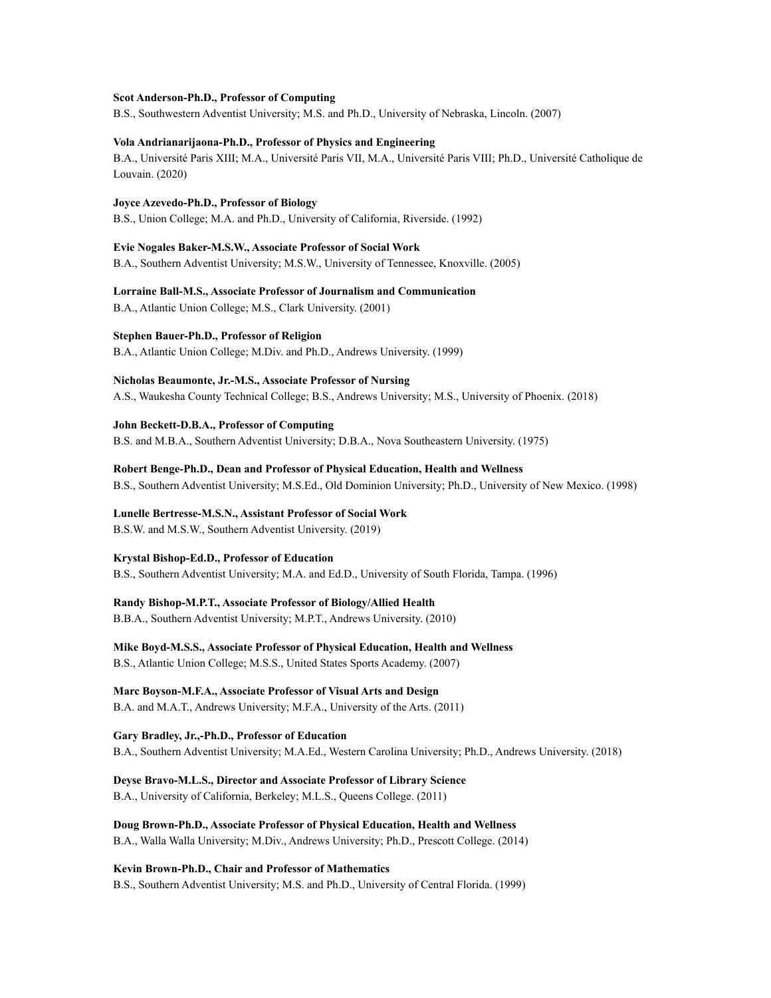#### **Scot Anderson-Ph.D., Professor of Computing**

B.S., Southwestern Adventist University; M.S. and Ph.D., University of Nebraska, Lincoln. (2007)

#### **Vola Andrianarijaona-Ph.D., Professor of Physics and Engineering**

B.A., Université Paris XIII; M.A., Université Paris VII, M.A., Université Paris VIII; Ph.D., Université Catholique de Louvain. (2020)

**Joyce Azevedo-Ph.D., Professor of Biology** B.S., Union College; M.A. and Ph.D., University of California, Riverside. (1992)

**Evie Nogales Baker-M.S.W., Associate Professor of Social Work** B.A., Southern Adventist University; M.S.W., University of Tennessee, Knoxville. (2005)

**Lorraine Ball-M.S., Associate Professor of Journalism and Communication** B.A., Atlantic Union College; M.S., Clark University. (2001)

**Stephen Bauer-Ph.D., Professor of Religion** B.A., Atlantic Union College; M.Div. and Ph.D., Andrews University. (1999)

**Nicholas Beaumonte, Jr.-M.S., Associate Professor of Nursing** A.S., Waukesha County Technical College; B.S., Andrews University; M.S., University of Phoenix. (2018)

**John Beckett-D.B.A., Professor of Computing** B.S. and M.B.A., Southern Adventist University; D.B.A., Nova Southeastern University. (1975)

**Robert Benge-Ph.D., Dean and Professor of Physical Education, Health and Wellness** B.S., Southern Adventist University; M.S.Ed., Old Dominion University; Ph.D., University of New Mexico. (1998)

**Lunelle Bertresse-M.S.N., Assistant Professor of Social Work** B.S.W. and M.S.W., Southern Adventist University. (2019)

**Krystal Bishop-Ed.D., Professor of Education**

B.S., Southern Adventist University; M.A. and Ed.D., University of South Florida, Tampa. (1996)

#### **Randy Bishop-M.P.T., Associate Professor of Biology/Allied Health**

B.B.A., Southern Adventist University; M.P.T., Andrews University. (2010)

**Mike Boyd-M.S.S., Associate Professor of Physical Education, Health and Wellness** B.S., Atlantic Union College; M.S.S., United States Sports Academy. (2007)

**Marc Boyson-M.F.A., Associate Professor of Visual Arts and Design** B.A. and M.A.T., Andrews University; M.F.A., University of the Arts. (2011)

**Gary Bradley, Jr.,-Ph.D., Professor of Education** B.A., Southern Adventist University; M.A.Ed., Western Carolina University; Ph.D., Andrews University. (2018)

**Deyse Bravo-M.L.S., Director and Associate Professor of Library Science** B.A., University of California, Berkeley; M.L.S., Queens College. (2011)

**Doug Brown-Ph.D., Associate Professor of Physical Education, Health and Wellness** B.A., Walla Walla University; M.Div., Andrews University; Ph.D., Prescott College. (2014)

**Kevin Brown-Ph.D., Chair and Professor of Mathematics**

B.S., Southern Adventist University; M.S. and Ph.D., University of Central Florida. (1999)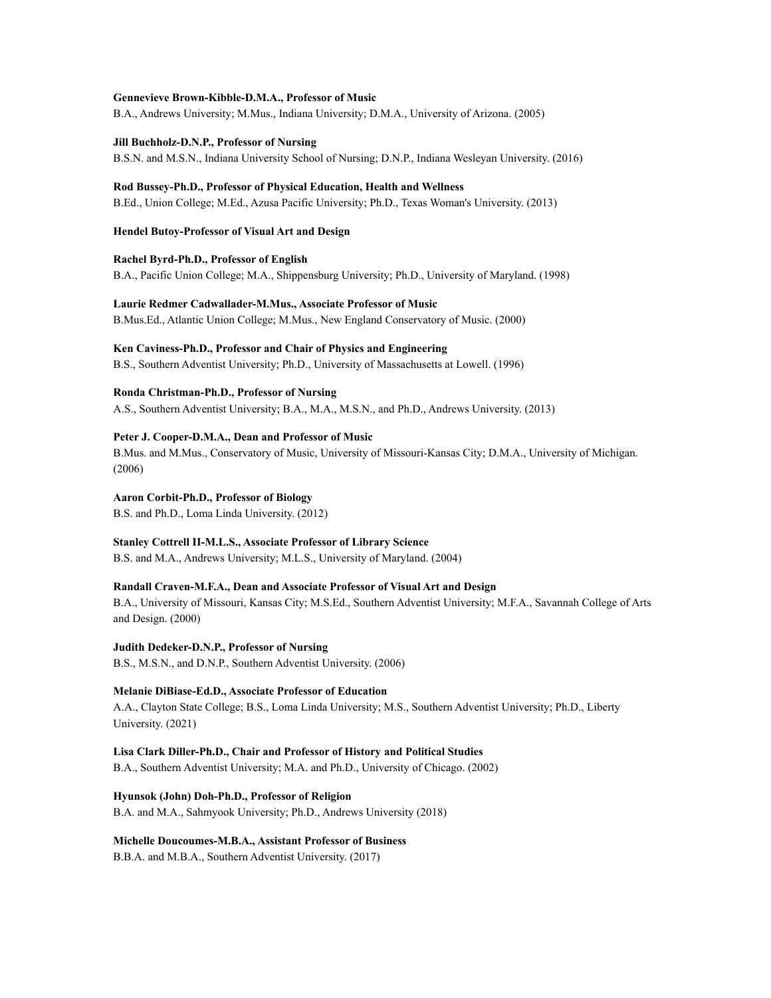#### **Gennevieve Brown-Kibble-D.M.A., Professor of Music**

B.A., Andrews University; M.Mus., Indiana University; D.M.A., University of Arizona. (2005)

**Jill Buchholz-D.N.P., Professor of Nursing** B.S.N. and M.S.N., Indiana University School of Nursing; D.N.P., Indiana Wesleyan University. (2016)

**Rod Bussey-Ph.D., Professor of Physical Education, Health and Wellness** B.Ed., Union College; M.Ed., Azusa Pacific University; Ph.D., Texas Woman's University. (2013)

**Hendel Butoy-Professor of Visual Art and Design**

**Rachel Byrd-Ph.D., Professor of English** B.A., Pacific Union College; M.A., Shippensburg University; Ph.D., University of Maryland. (1998)

**Laurie Redmer Cadwallader-M.Mus., Associate Professor of Music** B.Mus.Ed., Atlantic Union College; M.Mus., New England Conservatory of Music. (2000)

**Ken Caviness-Ph.D., Professor and Chair of Physics and Engineering** B.S., Southern Adventist University; Ph.D., University of Massachusetts at Lowell. (1996)

**Ronda Christman-Ph.D., Professor of Nursing** A.S., Southern Adventist University; B.A., M.A., M.S.N., and Ph.D., Andrews University. (2013)

**Peter J. Cooper-D.M.A., Dean and Professor of Music** B.Mus. and M.Mus., Conservatory of Music, University of Missouri-Kansas City; D.M.A., University of Michigan. (2006)

**Aaron Corbit-Ph.D., Professor of Biology** B.S. and Ph.D., Loma Linda University. (2012)

**Stanley Cottrell II-M.L.S., Associate Professor of Library Science** B.S. and M.A., Andrews University; M.L.S., University of Maryland. (2004)

**Randall Craven-M.F.A., Dean and Associate Professor of Visual Art and Design** B.A., University of Missouri, Kansas City; M.S.Ed., Southern Adventist University; M.F.A., Savannah College of Arts

and Design. (2000)

**Judith Dedeker-D.N.P., Professor of Nursing** B.S., M.S.N., and D.N.P., Southern Adventist University. (2006)

**Melanie DiBiase-Ed.D., Associate Professor of Education** A.A., Clayton State College; B.S., Loma Linda University; M.S., Southern Adventist University; Ph.D., Liberty University. (2021)

**Lisa Clark Diller-Ph.D., Chair and Professor of History and Political Studies** B.A., Southern Adventist University; M.A. and Ph.D., University of Chicago. (2002)

**Hyunsok (John) Doh-Ph.D., Professor of Religion** B.A. and M.A., Sahmyook University; Ph.D., Andrews University (2018)

**Michelle Doucoumes-M.B.A., Assistant Professor of Business** B.B.A. and M.B.A., Southern Adventist University. (2017)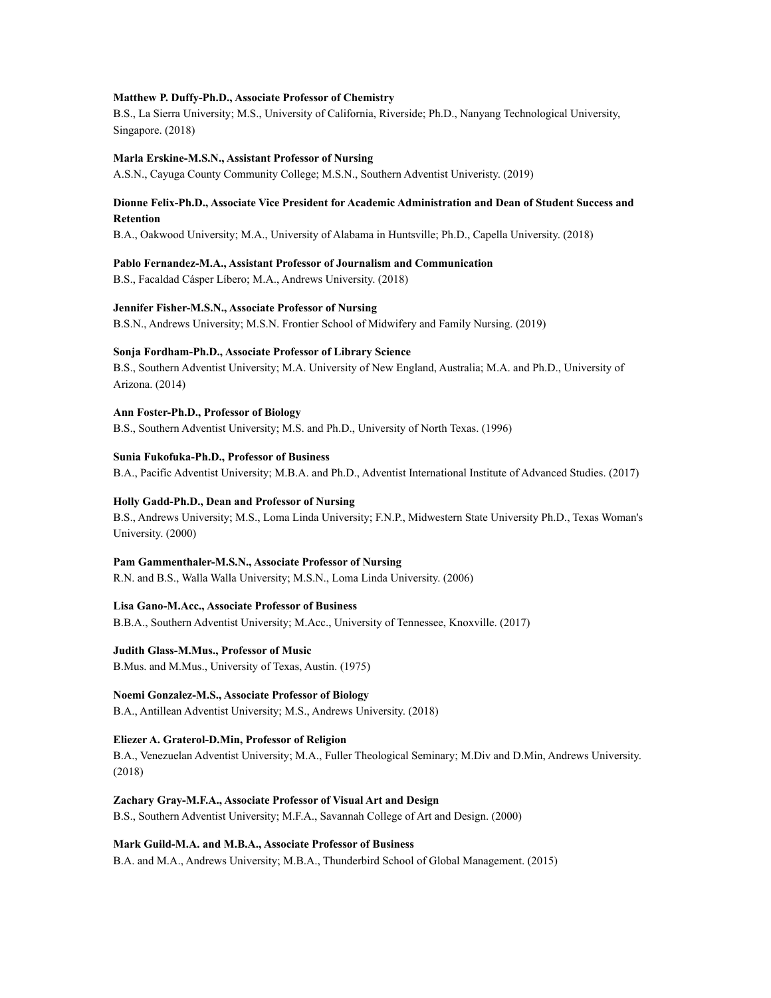#### **Matthew P. Duffy-Ph.D., Associate Professor of Chemistry**

B.S., La Sierra University; M.S., University of California, Riverside; Ph.D., Nanyang Technological University, Singapore. (2018)

#### **Marla Erskine-M.S.N., Assistant Professor of Nursing**

A.S.N., Cayuga County Community College; M.S.N., Southern Adventist Univeristy. (2019)

#### **Dionne Felix-Ph.D., Associate Vice President for Academic Administration and Dean of Student Success and Retention**

B.A., Oakwood University; M.A., University of Alabama in Huntsville; Ph.D., Capella University. (2018)

#### **Pablo Fernandez-M.A., Assistant Professor of Journalism and Communication**

B.S., Facaldad Cásper Líbero; M.A., Andrews University. (2018)

#### **Jennifer Fisher-M.S.N., Associate Professor of Nursing**

B.S.N., Andrews University; M.S.N. Frontier School of Midwifery and Family Nursing. (2019)

#### **Sonja Fordham-Ph.D., Associate Professor of Library Science**

B.S., Southern Adventist University; M.A. University of New England, Australia; M.A. and Ph.D., University of Arizona. (2014)

**Ann Foster-Ph.D., Professor of Biology** B.S., Southern Adventist University; M.S. and Ph.D., University of North Texas. (1996)

#### **Sunia Fukofuka-Ph.D., Professor of Business**

B.A., Pacific Adventist University; M.B.A. and Ph.D., Adventist International Institute of Advanced Studies. (2017)

#### **Holly Gadd-Ph.D., Dean and Professor of Nursing**

B.S., Andrews University; M.S., Loma Linda University; F.N.P., Midwestern State University Ph.D., Texas Woman's University. (2000)

#### **Pam Gammenthaler-M.S.N., Associate Professor of Nursing**

R.N. and B.S., Walla Walla University; M.S.N., Loma Linda University. (2006)

#### **Lisa Gano-M.Acc., Associate Professor of Business**

B.B.A., Southern Adventist University; M.Acc., University of Tennessee, Knoxville. (2017)

**Judith Glass-M.Mus., Professor of Music**

B.Mus. and M.Mus., University of Texas, Austin. (1975)

#### **Noemi Gonzalez-M.S., Associate Professor of Biology**

B.A., Antillean Adventist University; M.S., Andrews University. (2018)

#### **Eliezer A. Graterol-D.Min, Professor of Religion**

B.A., Venezuelan Adventist University; M.A., Fuller Theological Seminary; M.Div and D.Min, Andrews University. (2018)

#### **Zachary Gray-M.F.A., Associate Professor of Visual Art and Design**

B.S., Southern Adventist University; M.F.A., Savannah College of Art and Design. (2000)

#### **Mark Guild-M.A. and M.B.A., Associate Professor of Business**

B.A. and M.A., Andrews University; M.B.A., Thunderbird School of Global Management. (2015)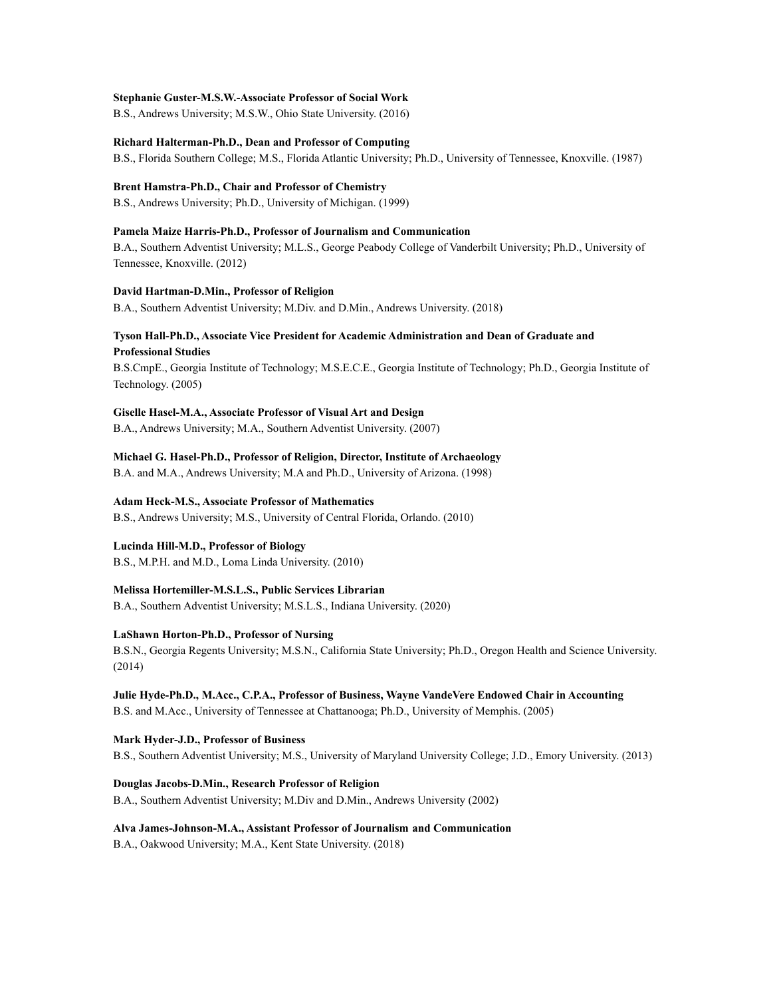#### **Stephanie Guster-M.S.W.-Associate Professor of Social Work**

B.S., Andrews University; M.S.W., Ohio State University. (2016)

#### **Richard Halterman-Ph.D., Dean and Professor of Computing**

B.S., Florida Southern College; M.S., Florida Atlantic University; Ph.D., University of Tennessee, Knoxville. (1987)

#### **Brent Hamstra-Ph.D., Chair and Professor of Chemistry**

B.S., Andrews University; Ph.D., University of Michigan. (1999)

#### **Pamela Maize Harris-Ph.D., Professor of Journalism and Communication**

B.A., Southern Adventist University; M.L.S., George Peabody College of Vanderbilt University; Ph.D., University of Tennessee, Knoxville. (2012)

#### **David Hartman-D.Min., Professor of Religion**

B.A., Southern Adventist University; M.Div. and D.Min., Andrews University. (2018)

#### **Tyson Hall-Ph.D., Associate Vice President for Academic Administration and Dean of Graduate and Professional Studies**

B.S.CmpE., Georgia Institute of Technology; M.S.E.C.E., Georgia Institute of Technology; Ph.D., Georgia Institute of Technology. (2005)

#### **Giselle Hasel-M.A., Associate Professor of Visual Art and Design**

B.A., Andrews University; M.A., Southern Adventist University. (2007)

#### **Michael G. Hasel-Ph.D., Professor of Religion, Director, Institute of Archaeology**

B.A. and M.A., Andrews University; M.A and Ph.D., University of Arizona. (1998)

#### **Adam Heck-M.S., Associate Professor of Mathematics**

B.S., Andrews University; M.S., University of Central Florida, Orlando. (2010)

#### **Lucinda Hill-M.D., Professor of Biology**

B.S., M.P.H. and M.D., Loma Linda University. (2010)

#### **Melissa Hortemiller-M.S.L.S., Public Services Librarian**

B.A., Southern Adventist University; M.S.L.S., Indiana University. (2020)

#### **LaShawn Horton-Ph.D., Professor of Nursing**

B.S.N., Georgia Regents University; M.S.N., California State University; Ph.D., Oregon Health and Science University. (2014)

### **Julie Hyde-Ph.D., M.Acc., C.P.A., Professor of Business, Wayne VandeVere Endowed Chair in Accounting**

B.S. and M.Acc., University of Tennessee at Chattanooga; Ph.D., University of Memphis. (2005)

#### **Mark Hyder-J.D., Professor of Business**

B.S., Southern Adventist University; M.S., University of Maryland University College; J.D., Emory University. (2013)

#### **Douglas Jacobs-D.Min., Research Professor of Religion**

B.A., Southern Adventist University; M.Div and D.Min., Andrews University (2002)

#### **Alva James-Johnson-M.A., Assistant Professor of Journalism and Communication**

B.A., Oakwood University; M.A., Kent State University. (2018)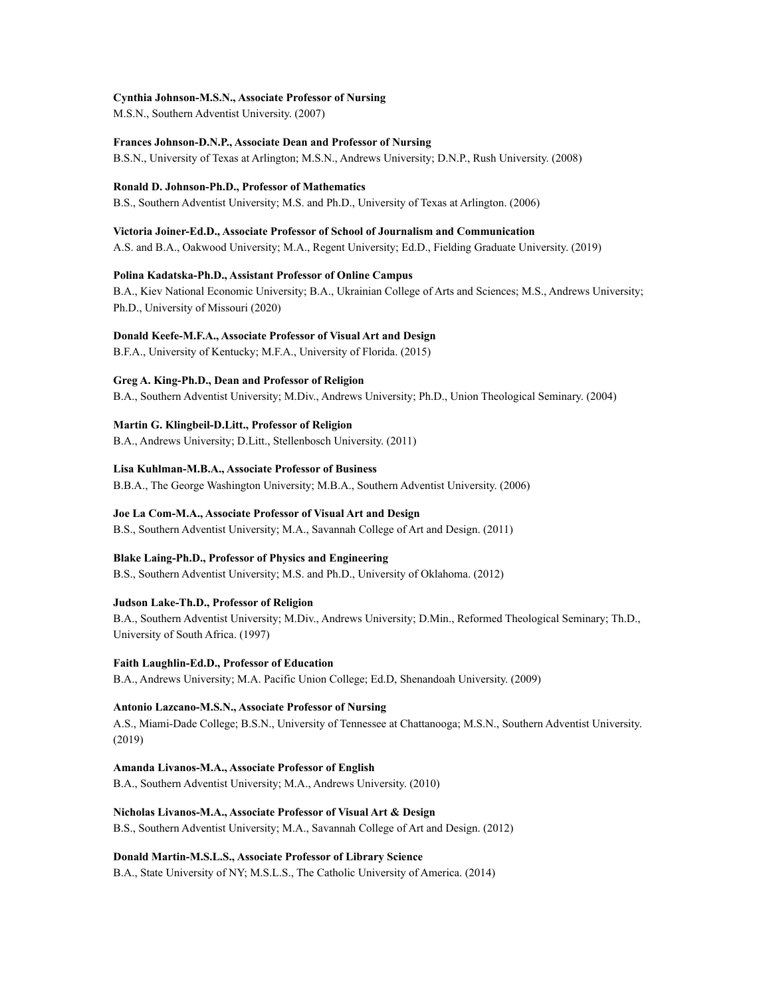#### **Cynthia Johnson-M.S.N., Associate Professor of Nursing**

M.S.N., Southern Adventist University. (2007)

#### **Frances Johnson-D.N.P., Associate Dean and Professor of Nursing**

B.S.N., University of Texas at Arlington; M.S.N., Andrews University; D.N.P., Rush University. (2008)

#### **Ronald D. Johnson-Ph.D., Professor of Mathematics**

B.S., Southern Adventist University; M.S. and Ph.D., University of Texas at Arlington. (2006)

#### **Victoria Joiner-Ed.D., Associate Professor of School of Journalism and Communication**

A.S. and B.A., Oakwood University; M.A., Regent University; Ed.D., Fielding Graduate University. (2019)

#### **Polina Kadatska-Ph.D., Assistant Professor of Online Campus**

B.A., Kiev National Economic University; B.A., Ukrainian College of Arts and Sciences; M.S., Andrews University; Ph.D., University of Missouri (2020)

#### **Donald Keefe-M.F.A., Associate Professor of Visual Art and Design**

B.F.A., University of Kentucky; M.F.A., University of Florida. (2015)

#### **Greg A. King-Ph.D., Dean and Professor of Religion**

B.A., Southern Adventist University; M.Div., Andrews University; Ph.D., Union Theological Seminary. (2004)

#### **Martin G. Klingbeil-D.Litt., Professor of Religion**

B.A., Andrews University; D.Litt., Stellenbosch University. (2011)

#### **Lisa Kuhlman-M.B.A., Associate Professor of Business**

B.B.A., The George Washington University; M.B.A., Southern Adventist University. (2006)

#### **Joe La Com-M.A., Associate Professor of Visual Art and Design**

B.S., Southern Adventist University; M.A., Savannah College of Art and Design. (2011)

#### **Blake Laing-Ph.D., Professor of Physics and Engineering**

B.S., Southern Adventist University; M.S. and Ph.D., University of Oklahoma. (2012)

#### **Judson Lake-Th.D., Professor of Religion**

B.A., Southern Adventist University; M.Div., Andrews University; D.Min., Reformed Theological Seminary; Th.D., University of South Africa. (1997)

#### **Faith Laughlin-Ed.D., Professor of Education** B.A., Andrews University; M.A. Pacific Union College; Ed.D, Shenandoah University. (2009)

**Antonio Lazcano-M.S.N., Associate Professor of Nursing** A.S., Miami-Dade College; B.S.N., University of Tennessee at Chattanooga; M.S.N., Southern Adventist University. (2019)

#### **Amanda Livanos-M.A., Associate Professor of English** B.A., Southern Adventist University; M.A., Andrews University. (2010)

#### **Nicholas Livanos-M.A., Associate Professor of Visual Art & Design** B.S., Southern Adventist University; M.A., Savannah College of Art and Design. (2012)

**Donald Martin-M.S.L.S., Associate Professor of Library Science** B.A., State University of NY; M.S.L.S., The Catholic University of America. (2014)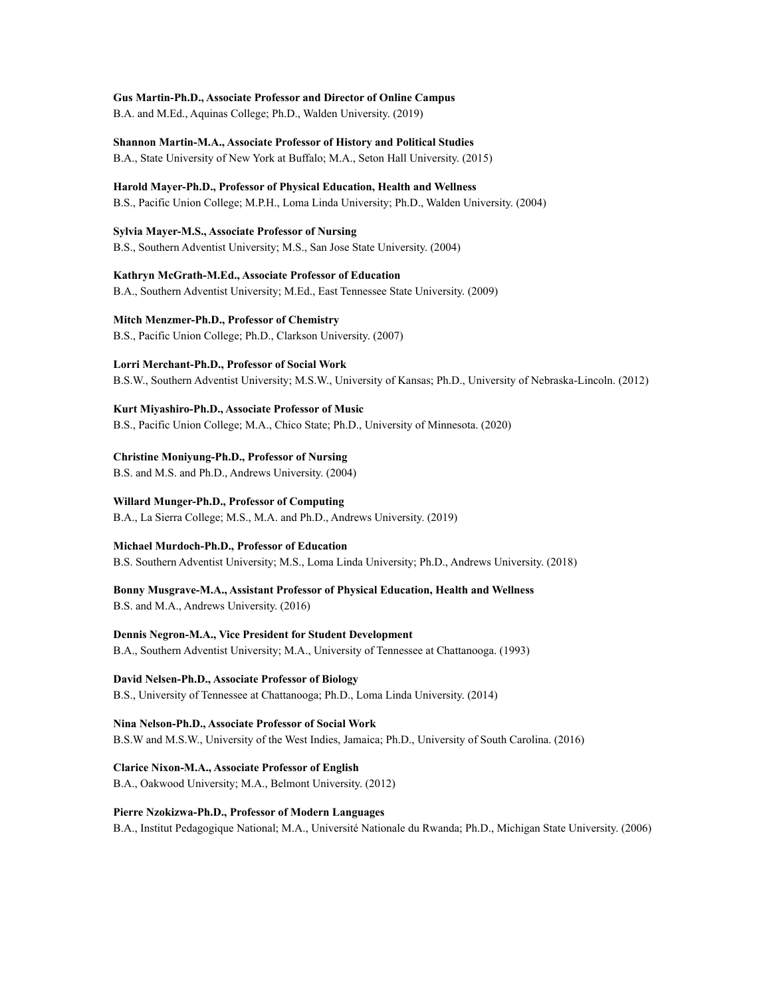**Gus Martin-Ph.D., Associate Professor and Director of Online Campus** B.A. and M.Ed., Aquinas College; Ph.D., Walden University. (2019)

**Shannon Martin-M.A., Associate Professor of History and Political Studies** B.A., State University of New York at Buffalo; M.A., Seton Hall University. (2015)

**Harold Mayer-Ph.D., Professor of Physical Education, Health and Wellness** B.S., Pacific Union College; M.P.H., Loma Linda University; Ph.D., Walden University. (2004)

**Sylvia Mayer-M.S., Associate Professor of Nursing** B.S., Southern Adventist University; M.S., San Jose State University. (2004)

**Kathryn McGrath-M.Ed., Associate Professor of Education** B.A., Southern Adventist University; M.Ed., East Tennessee State University. (2009)

**Mitch Menzmer-Ph.D., Professor of Chemistry** B.S., Pacific Union College; Ph.D., Clarkson University. (2007)

**Lorri Merchant-Ph.D., Professor of Social Work**

B.S.W., Southern Adventist University; M.S.W., University of Kansas; Ph.D., University of Nebraska-Lincoln. (2012)

**Kurt Miyashiro-Ph.D., Associate Professor of Music** B.S., Pacific Union College; M.A., Chico State; Ph.D., University of Minnesota. (2020)

**Christine Moniyung-Ph.D., Professor of Nursing** B.S. and M.S. and Ph.D., Andrews University. (2004)

**Willard Munger-Ph.D., Professor of Computing** B.A., La Sierra College; M.S., M.A. and Ph.D., Andrews University. (2019)

**Michael Murdoch-Ph.D., Professor of Education** B.S. Southern Adventist University; M.S., Loma Linda University; Ph.D., Andrews University. (2018)

**Bonny Musgrave-M.A., Assistant Professor of Physical Education, Health and Wellness** B.S. and M.A., Andrews University. (2016)

**Dennis Negron-M.A., Vice President for Student Development** B.A., Southern Adventist University; M.A., University of Tennessee at Chattanooga. (1993)

**David Nelsen-Ph.D., Associate Professor of Biology** B.S., University of Tennessee at Chattanooga; Ph.D., Loma Linda University. (2014)

**Nina Nelson-Ph.D., Associate Professor of Social Work** B.S.W and M.S.W., University of the West Indies, Jamaica; Ph.D., University of South Carolina. (2016)

**Clarice Nixon-M.A., Associate Professor of English** B.A., Oakwood University; M.A., Belmont University. (2012)

**Pierre Nzokizwa-Ph.D., Professor of Modern Languages** B.A., Institut Pedagogique National; M.A., Université Nationale du Rwanda; Ph.D., Michigan State University. (2006)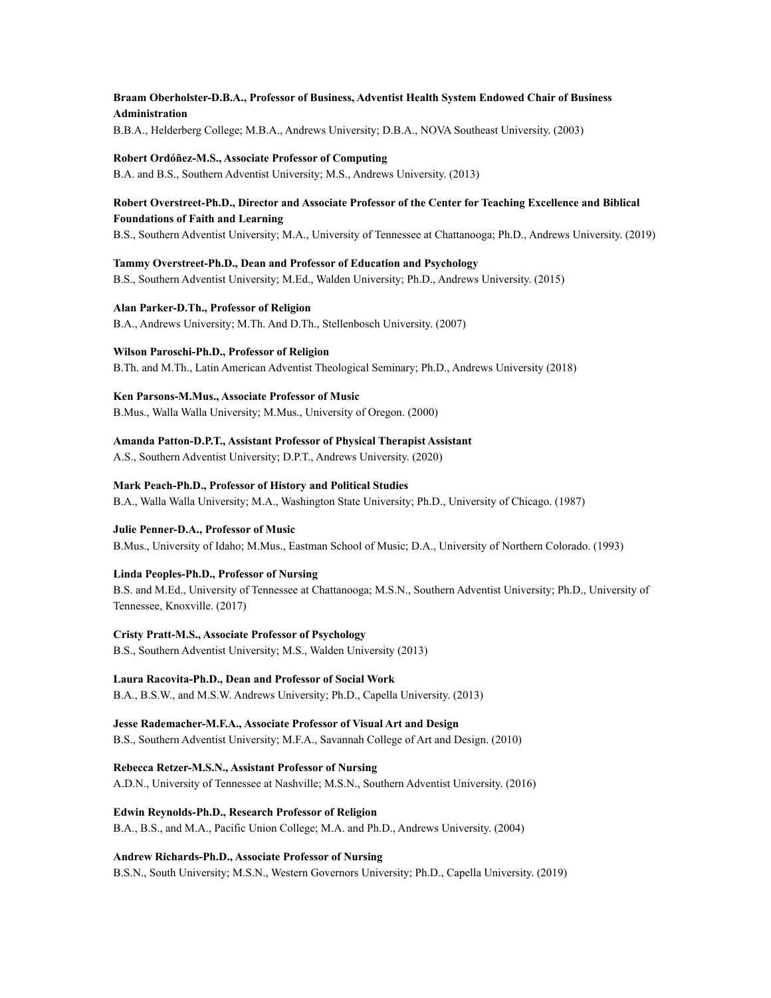# **Braam Oberholster-D.B.A., Professor of Business, Adventist Health System Endowed Chair of Business Administration**

B.B.A., Helderberg College; M.B.A., Andrews University; D.B.A., NOVA Southeast University. (2003)

#### **Robert Ordóñez-M.S., Associate Professor of Computing**

B.A. and B.S., Southern Adventist University; M.S., Andrews University. (2013)

## **Robert Overstreet-Ph.D., Director and Associate Professor of the Center for Teaching Excellence and Biblical Foundations of Faith and Learning**

B.S., Southern Adventist University; M.A., University of Tennessee at Chattanooga; Ph.D., Andrews University. (2019)

**Tammy Overstreet-Ph.D., Dean and Professor of Education and Psychology** B.S., Southern Adventist University; M.Ed., Walden University; Ph.D., Andrews University. (2015)

**Alan Parker-D.Th., Professor of Religion** B.A., Andrews University; M.Th. And D.Th., Stellenbosch University. (2007)

**Wilson Paroschi-Ph.D., Professor of Religion** B.Th. and M.Th., Latin American Adventist Theological Seminary; Ph.D., Andrews University (2018)

**Ken Parsons-M.Mus., Associate Professor of Music** B.Mus., Walla Walla University; M.Mus., University of Oregon. (2000)

**Amanda Patton-D.P.T., Assistant Professor of Physical Therapist Assistant**

A.S., Southern Adventist University; D.P.T., Andrews University. (2020)

**Mark Peach-Ph.D., Professor of History and Political Studies**

B.A., Walla Walla University; M.A., Washington State University; Ph.D., University of Chicago. (1987)

## **Julie Penner-D.A., Professor of Music**

B.Mus., University of Idaho; M.Mus., Eastman School of Music; D.A., University of Northern Colorado. (1993)

#### **Linda Peoples-Ph.D., Professor of Nursing**

B.S. and M.Ed., University of Tennessee at Chattanooga; M.S.N., Southern Adventist University; Ph.D., University of Tennessee, Knoxville. (2017)

#### **Cristy Pratt-M.S., Associate Professor of Psychology**

B.S., Southern Adventist University; M.S., Walden University (2013)

# **Laura Racovita-Ph.D., Dean and Professor of Social Work**

B.A., B.S.W., and M.S.W. Andrews University; Ph.D., Capella University. (2013)

**Jesse Rademacher-M.F.A., Associate Professor of Visual Art and Design** B.S., Southern Adventist University; M.F.A., Savannah College of Art and Design. (2010)

**Rebecca Retzer-M.S.N., Assistant Professor of Nursing**

A.D.N., University of Tennessee at Nashville; M.S.N., Southern Adventist University. (2016)

**Edwin Reynolds-Ph.D., Research Professor of Religion**

B.A., B.S., and M.A., Pacific Union College; M.A. and Ph.D., Andrews University. (2004)

#### **Andrew Richards-Ph.D., Associate Professor of Nursing**

B.S.N., South University; M.S.N., Western Governors University; Ph.D., Capella University. (2019)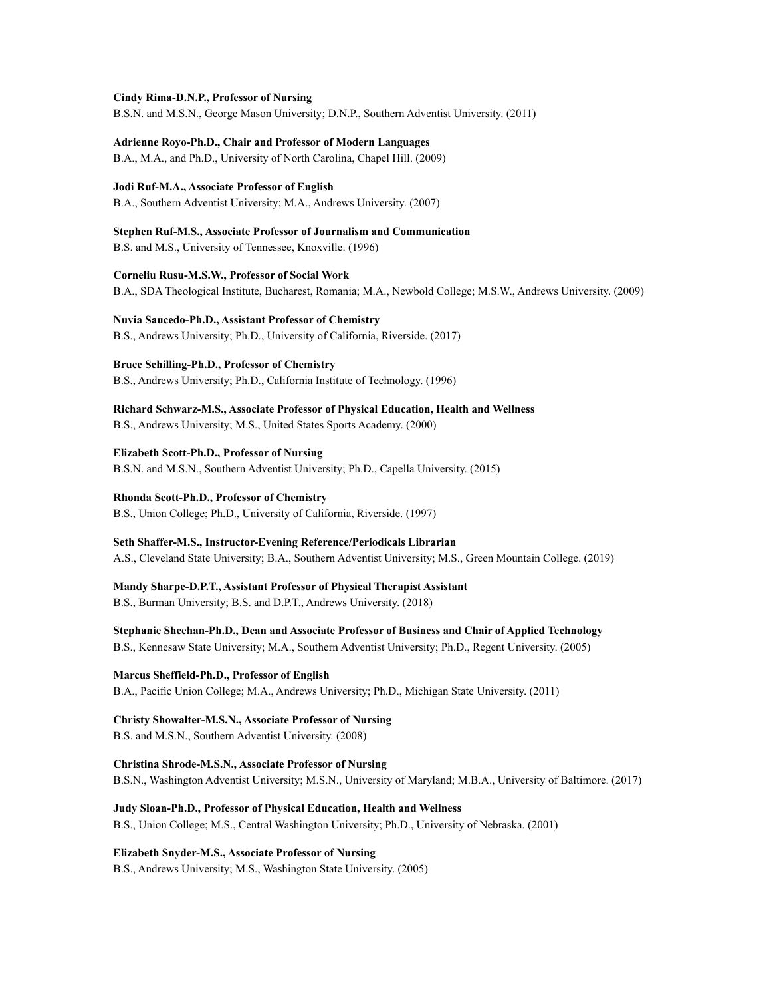**Cindy Rima-D.N.P., Professor of Nursing**

B.S.N. and M.S.N., George Mason University; D.N.P., Southern Adventist University. (2011)

**Adrienne Royo-Ph.D., Chair and Professor of Modern Languages** B.A., M.A., and Ph.D., University of North Carolina, Chapel Hill. (2009)

**Jodi Ruf-M.A., Associate Professor of English** B.A., Southern Adventist University; M.A., Andrews University. (2007)

**Stephen Ruf-M.S., Associate Professor of Journalism and Communication** B.S. and M.S., University of Tennessee, Knoxville. (1996)

**Corneliu Rusu-M.S.W., Professor of Social Work** B.A., SDA Theological Institute, Bucharest, Romania; M.A., Newbold College; M.S.W., Andrews University. (2009)

**Nuvia Saucedo-Ph.D., Assistant Professor of Chemistry** B.S., Andrews University; Ph.D., University of California, Riverside. (2017)

**Bruce Schilling-Ph.D., Professor of Chemistry**

B.S., Andrews University; Ph.D., California Institute of Technology. (1996)

**Richard Schwarz-M.S., Associate Professor of Physical Education, Health and Wellness** B.S., Andrews University; M.S., United States Sports Academy. (2000)

**Elizabeth Scott-Ph.D., Professor of Nursing** B.S.N. and M.S.N., Southern Adventist University; Ph.D., Capella University. (2015)

**Rhonda Scott-Ph.D., Professor of Chemistry** B.S., Union College; Ph.D., University of California, Riverside. (1997)

**Seth Shaffer-M.S., Instructor-Evening Reference/Periodicals Librarian** A.S., Cleveland State University; B.A., Southern Adventist University; M.S., Green Mountain College. (2019)

**Mandy Sharpe-D.P.T., Assistant Professor of Physical Therapist Assistant** B.S., Burman University; B.S. and D.P.T., Andrews University. (2018)

**Stephanie Sheehan-Ph.D., Dean and Associate Professor of Business and Chair of Applied Technology** B.S., Kennesaw State University; M.A., Southern Adventist University; Ph.D., Regent University. (2005)

**Marcus Sheffield-Ph.D., Professor of English** B.A., Pacific Union College; M.A., Andrews University; Ph.D., Michigan State University. (2011)

**Christy Showalter-M.S.N., Associate Professor of Nursing** B.S. and M.S.N., Southern Adventist University. (2008)

**Christina Shrode-M.S.N., Associate Professor of Nursing** B.S.N., Washington Adventist University; M.S.N., University of Maryland; M.B.A., University of Baltimore. (2017)

**Judy Sloan-Ph.D., Professor of Physical Education, Health and Wellness** B.S., Union College; M.S., Central Washington University; Ph.D., University of Nebraska. (2001)

**Elizabeth Snyder-M.S., Associate Professor of Nursing** B.S., Andrews University; M.S., Washington State University. (2005)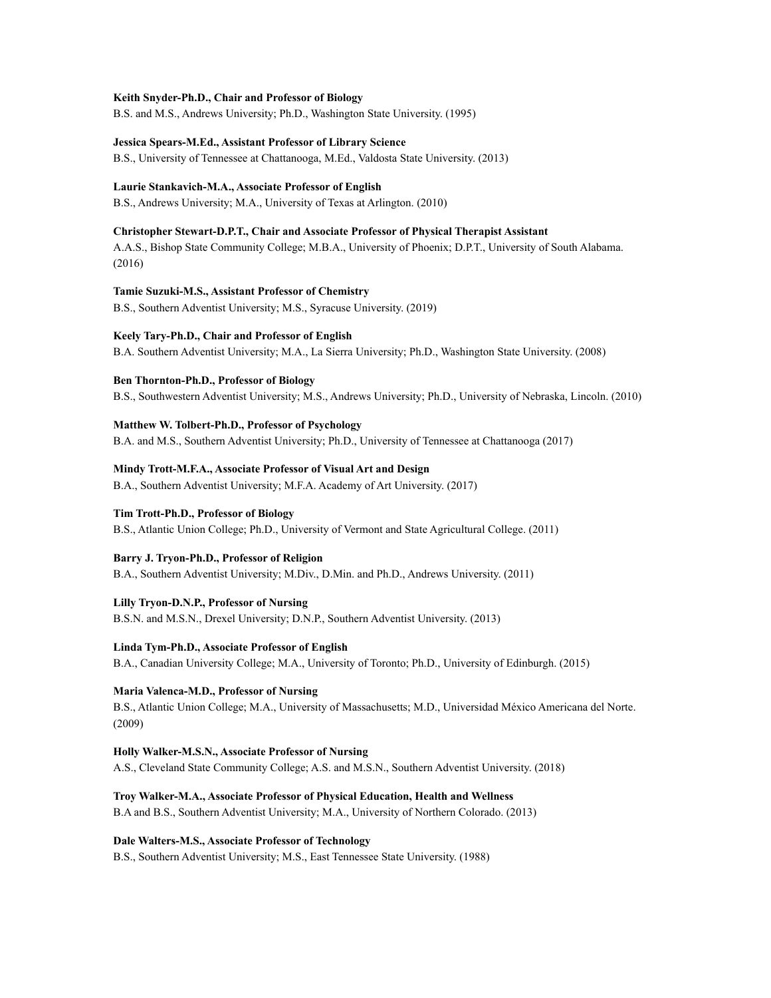#### **Keith Snyder-Ph.D., Chair and Professor of Biology**

B.S. and M.S., Andrews University; Ph.D., Washington State University. (1995)

#### **Jessica Spears-M.Ed., Assistant Professor of Library Science**

B.S., University of Tennessee at Chattanooga, M.Ed., Valdosta State University. (2013)

## **Laurie Stankavich-M.A., Associate Professor of English**

B.S., Andrews University; M.A., University of Texas at Arlington. (2010)

#### **Christopher Stewart-D.P.T., Chair and Associate Professor of Physical Therapist Assistant**

A.A.S., Bishop State Community College; M.B.A., University of Phoenix; D.P.T., University of South Alabama. (2016)

## **Tamie Suzuki-M.S., Assistant Professor of Chemistry**

B.S., Southern Adventist University; M.S., Syracuse University. (2019)

## **Keely Tary-Ph.D., Chair and Professor of English**

B.A. Southern Adventist University; M.A., La Sierra University; Ph.D., Washington State University. (2008)

## **Ben Thornton-Ph.D., Professor of Biology**

B.S., Southwestern Adventist University; M.S., Andrews University; Ph.D., University of Nebraska, Lincoln. (2010)

#### **Matthew W. Tolbert-Ph.D., Professor of Psychology**

B.A. and M.S., Southern Adventist University; Ph.D., University of Tennessee at Chattanooga (2017)

## **Mindy Trott-M.F.A., Associate Professor of Visual Art and Design**

B.A., Southern Adventist University; M.F.A. Academy of Art University. (2017)

## **Tim Trott-Ph.D., Professor of Biology**

B.S., Atlantic Union College; Ph.D., University of Vermont and State Agricultural College. (2011)

#### **Barry J. Tryon-Ph.D., Professor of Religion**

B.A., Southern Adventist University; M.Div., D.Min. and Ph.D., Andrews University. (2011)

# **Lilly Tryon-D.N.P., Professor of Nursing**

B.S.N. and M.S.N., Drexel University; D.N.P., Southern Adventist University. (2013)

#### **Linda Tym-Ph.D., Associate Professor of English**

B.A., Canadian University College; M.A., University of Toronto; Ph.D., University of Edinburgh. (2015)

# **Maria Valenca-M.D., Professor of Nursing**

B.S., Atlantic Union College; M.A., University of Massachusetts; M.D., Universidad México Americana del Norte. (2009)

### **Holly Walker-M.S.N., Associate Professor of Nursing**

A.S., Cleveland State Community College; A.S. and M.S.N., Southern Adventist University. (2018)

#### **Troy Walker-M.A., Associate Professor of Physical Education, Health and Wellness**

B.A and B.S., Southern Adventist University; M.A., University of Northern Colorado. (2013)

#### **Dale Walters-M.S., Associate Professor of Technology**

B.S., Southern Adventist University; M.S., East Tennessee State University. (1988)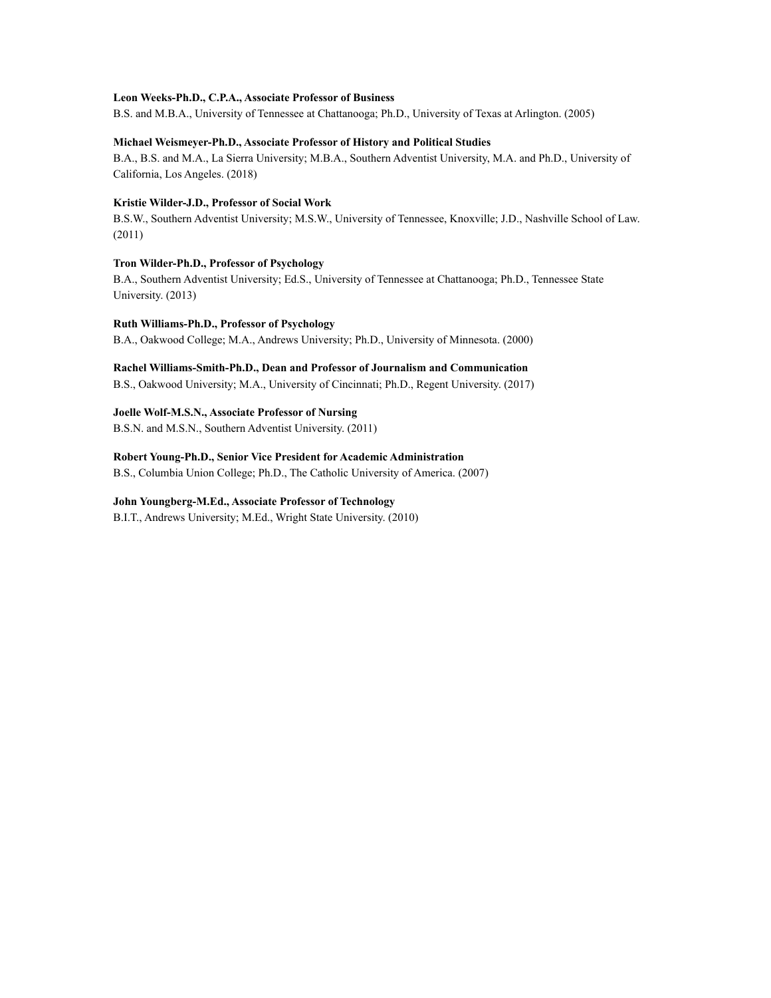#### **Leon Weeks-Ph.D., C.P.A., Associate Professor of Business**

B.S. and M.B.A., University of Tennessee at Chattanooga; Ph.D., University of Texas at Arlington. (2005)

### **Michael Weismeyer-Ph.D., Associate Professor of History and Political Studies**

B.A., B.S. and M.A., La Sierra University; M.B.A., Southern Adventist University, M.A. and Ph.D., University of California, Los Angeles. (2018)

### **Kristie Wilder-J.D., Professor of Social Work**

B.S.W., Southern Adventist University; M.S.W., University of Tennessee, Knoxville; J.D., Nashville School of Law. (2011)

# **Tron Wilder-Ph.D., Professor of Psychology**

B.A., Southern Adventist University; Ed.S., University of Tennessee at Chattanooga; Ph.D., Tennessee State University. (2013)

### **Ruth Williams-Ph.D., Professor of Psychology**

B.A., Oakwood College; M.A., Andrews University; Ph.D., University of Minnesota. (2000)

# **Rachel Williams-Smith-Ph.D., Dean and Professor of Journalism and Communication**

B.S., Oakwood University; M.A., University of Cincinnati; Ph.D., Regent University. (2017)

**Joelle Wolf-M.S.N., Associate Professor of Nursing** B.S.N. and M.S.N., Southern Adventist University. (2011)

**Robert Young-Ph.D., Senior Vice President for Academic Administration** B.S., Columbia Union College; Ph.D., The Catholic University of America. (2007)

#### **John Youngberg-M.Ed., Associate Professor of Technology**

B.I.T., Andrews University; M.Ed., Wright State University. (2010)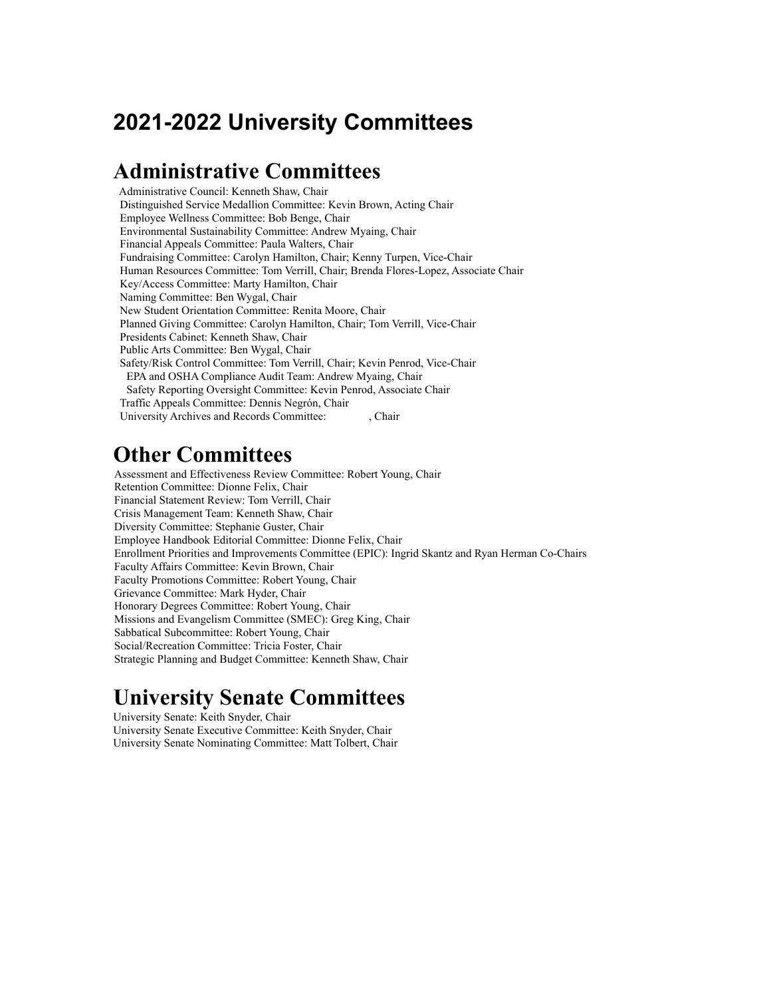# **2021-2022 University Committees**

# **Administrative Committees**

Administrative Council: Kenneth Shaw, Chair Distinguished Service Medallion Committee: Kevin Brown, Acting Chair Employee Wellness Committee: Bob Benge, Chair Environmental Sustainability Committee: Andrew Myaing, Chair Financial Appeals Committee: Paula Walters, Chair Fundraising Committee: Carolyn Hamilton, Chair; Kenny Turpen, Vice-Chair Human Resources Committee: Tom Verrill, Chair; Brenda Flores-Lopez, Associate Chair Key/Access Committee: Marty Hamilton, Chair Naming Committee: Ben Wygal, Chair New Student Orientation Committee: Renita Moore, Chair Planned Giving Committee: Carolyn Hamilton, Chair; Tom Verrill, Vice-Chair Presidents Cabinet: Kenneth Shaw, Chair Public Arts Committee: Ben Wygal, Chair Safety/Risk Control Committee: Tom Verrill, Chair; Kevin Penrod, Vice-Chair EPA and OSHA Compliance Audit Team: Andrew Myaing, Chair Safety Reporting Oversight Committee: Kevin Penrod, Associate Chair Traffic Appeals Committee: Dennis Negrón, Chair University Archives and Records Committee: , Chair

# **Other Committees**

Assessment and Effectiveness Review Committee: Robert Young, Chair Retention Committee: Dionne Felix, Chair Financial Statement Review: Tom Verrill, Chair Crisis Management Team: Kenneth Shaw, Chair Diversity Committee: Stephanie Guster, Chair Employee Handbook Editorial Committee: Dionne Felix, Chair Enrollment Priorities and Improvements Committee (EPIC): Ingrid Skantz and Ryan Herman Co-Chairs Faculty Affairs Committee: Kevin Brown, Chair Faculty Promotions Committee: Robert Young, Chair Grievance Committee: Mark Hyder, Chair Honorary Degrees Committee: Robert Young, Chair Missions and Evangelism Committee (SMEC): Greg King, Chair Sabbatical Subcommittee: Robert Young, Chair Social/Recreation Committee: Tricia Foster, Chair Strategic Planning and Budget Committee: Kenneth Shaw, Chair

# **University Senate Committees**

University Senate: Keith Snyder, Chair University Senate Executive Committee: Keith Snyder, Chair University Senate Nominating Committee: Matt Tolbert, Chair